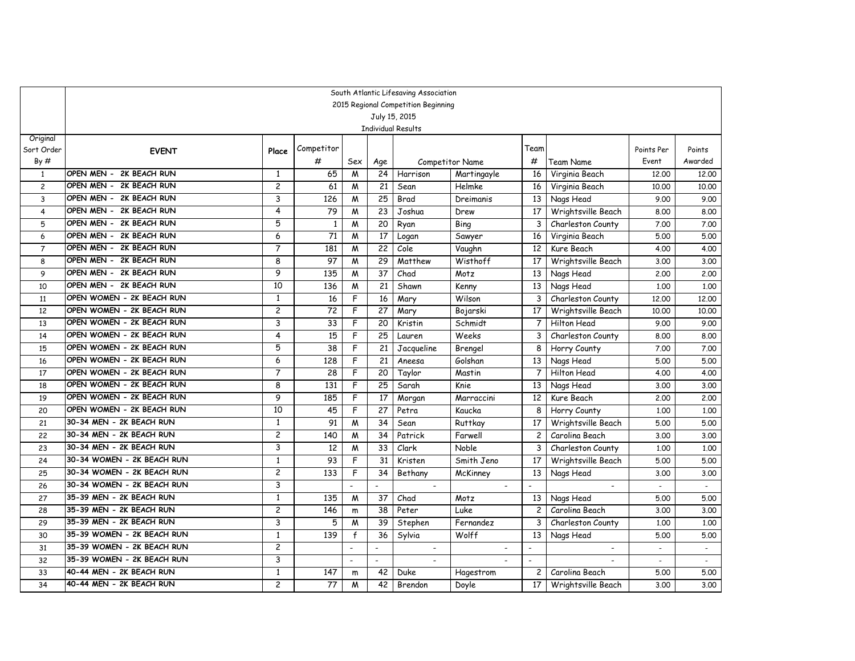|                | South Atlantic Lifesaving Association<br>2015 Regional Competition Beginning |                         |                 |                          |                 |                |                        |                          |                          |              |                |  |  |  |
|----------------|------------------------------------------------------------------------------|-------------------------|-----------------|--------------------------|-----------------|----------------|------------------------|--------------------------|--------------------------|--------------|----------------|--|--|--|
|                | July 15, 2015<br><b>Individual Results</b>                                   |                         |                 |                          |                 |                |                        |                          |                          |              |                |  |  |  |
|                |                                                                              |                         |                 |                          |                 |                |                        |                          |                          |              |                |  |  |  |
|                |                                                                              |                         |                 |                          |                 |                |                        |                          |                          |              |                |  |  |  |
| Original       |                                                                              |                         |                 |                          |                 |                |                        | Team                     |                          |              |                |  |  |  |
| Sort Order     | <b>EVENT</b>                                                                 | Place                   | Competitor<br># |                          |                 |                |                        |                          |                          | Points Per   | Points         |  |  |  |
| By#            |                                                                              |                         |                 | Sex                      | Age             |                | <b>Competitor Name</b> | #                        | Team Name                | Event        | Awarded        |  |  |  |
| $\mathbf{1}$   | OPEN MEN - 2K BEACH RUN                                                      | 1                       | 65              | W                        | 24              | Harrison       | Martingayle            | 16                       | Virginia Beach           | 12.00        | 12.00          |  |  |  |
| $\overline{c}$ | <b>2K BEACH RUN</b><br>OPEN MEN -                                            | 2                       | 61              | M                        | 21              | Sean           | Helmke                 | 16                       | Virginia Beach           | 10.00        | 10,00          |  |  |  |
| 3              | OPEN MEN -<br>2K BEACH RUN                                                   | 3                       | 126             | M                        | 25              | Brad           | Dreimanis              | 13                       | Nags Head                | 9.00         | 9.00           |  |  |  |
| $\overline{4}$ | OPEN MEN - 2K BEACH RUN                                                      | 4                       | 79              | W                        | 23              | Joshua         | Drew                   | 17                       | Wrightsville Beach       | 8.00         | 8.00           |  |  |  |
| 5              | OPEN MEN - 2K BEACH RUN                                                      | 5                       | $\mathbf{1}$    | M                        | 20              | Ryan           | Bing                   | 3                        | Charleston County        | 7.00         | 7.00           |  |  |  |
| 6              | OPEN MEN - 2K BEACH RUN                                                      | 6                       | 71              | M                        | 17              | Logan          | Sawyer                 | 16                       | Virginia Beach           | 5.00         | 5.00           |  |  |  |
| $\overline{7}$ | OPEN MEN - 2K BEACH RUN                                                      | 7                       | 181             | W                        | 22              | Cole           | Vaughn                 | 12                       | Kure Beach               | 4.00         | 4.00           |  |  |  |
| 8              | OPEN MEN - 2K BEACH RUN                                                      | 8                       | 97              | M                        | 29              | Matthew        | Wisthoff               | 17                       | Wrightsville Beach       | 3.00         | 3.00           |  |  |  |
| 9              | OPEN MEN - 2K BEACH RUN                                                      | 9                       | 135             | M                        | 37              | Chad           | Motz                   | 13                       | Nags Head                | 2.00         | 2.00           |  |  |  |
| 10             | OPEN MEN - 2K BEACH RUN                                                      | 10                      | 136             | W                        | 21              | Shawn          | Kenny                  | 13                       | Nags Head                | 1.00         | 1,00           |  |  |  |
| 11             | OPEN WOMEN - 2K BEACH RUN                                                    | 1                       | 16              | F                        | 16              | Mary           | Wilson                 | 3                        | Charleston County        | 12.00        | 12,00          |  |  |  |
| 12             | OPEN WOMEN - 2K BEACH RUN                                                    | 2                       | 72              | F                        | 27              | Mary           | Bojarski               | 17                       | Wrightsville Beach       | 10,00        | 10.00          |  |  |  |
| 13             | OPEN WOMEN - 2K BEACH RUN                                                    | 3                       | 33              | F                        | 20              | Kristin        | Schmidt                | $\overline{7}$           | Hilton Head              | 9.00         | 9.00           |  |  |  |
| 14             | OPEN WOMEN - 2K BEACH RUN                                                    | 4                       | 15              | F                        | 25              | Lauren         | Weeks                  | 3                        | Charleston County        | 8.00         | 8.00           |  |  |  |
| 15             | OPEN WOMEN - 2K BEACH RUN                                                    | 5                       | 38              | F                        | 21              | Jacqueline     | Brengel                | 8                        | Horry County             | 7.00         | 7.00           |  |  |  |
| 16             | OPEN WOMEN - 2K BEACH RUN                                                    | 6                       | 128             | F                        | 21              | Aneesa         | Golshan                | 13                       | Nags Head                | 5.00         | 5.00           |  |  |  |
| 17             | OPEN WOMEN - 2K BEACH RUN                                                    | 7                       | 28              | F                        | 20              | Taylor         | Mastin                 | $\overline{7}$           | Hilton Head              | 4.00         | 4.00           |  |  |  |
| 18             | OPEN WOMEN - 2K BEACH RUN                                                    | 8                       | 131             | F                        | 25              | Sarah          | Knie                   | 13                       | Nags Head                | 3.00         | 3.00           |  |  |  |
| 19             | OPEN WOMEN - 2K BEACH RUN                                                    | 9                       | 185             | F                        | $\overline{17}$ | Morgan         | Marraccini             | 12                       | Kure Beach               | 2.00         | 2,00           |  |  |  |
| 20             | OPEN WOMEN - 2K BEACH RUN                                                    | 10                      | 45              | F                        | 27              | Petra          | Kaucka                 | 8                        | Horry County             | 1.00         | 1,00           |  |  |  |
| 21             | 30-34 MEN - 2K BEACH RUN                                                     | $\mathbf{1}$            | 91              | M                        | 34              | Sean           | Ruttkay                | 17                       | Wrightsville Beach       | 5.00         | 5.00           |  |  |  |
| 22             | 30-34 MEN - 2K BEACH RUN                                                     | $\overline{c}$          | 140             | W                        | 34              | Patrick        | Farwell                | $\overline{c}$           | Carolina Beach           | 3.00         | 3.00           |  |  |  |
| 23             | 30-34 MEN - 2K BEACH RUN                                                     | 3                       | 12              | M                        | 33              | Clark          | Noble                  | 3                        | Charleston County        | 1,00         | 1.00           |  |  |  |
| 24             | 30-34 WOMEN - 2K BEACH RUN                                                   | $\mathbf{1}$            | 93              | F                        | 31              | Kristen        | Smith Jeno             | 17                       | Wrightsville Beach       | 5.00         | 5.00           |  |  |  |
| 25             | 30-34 WOMEN - 2K BEACH RUN                                                   | 2                       | 133             | F                        | $\overline{34}$ | Bethany        | McKinney               | 13                       | Nags Head                | 3.00         | 3.00           |  |  |  |
| 26             | 30-34 WOMEN - 2K BEACH RUN                                                   | 3                       |                 |                          |                 |                |                        |                          |                          | $\mathbf{r}$ | $\blacksquare$ |  |  |  |
| 27             | 35-39 MEN - 2K BEACH RUN                                                     | $\mathbf{1}$            | 135             | M                        | 37              | Chad           | Motz                   | 13                       | Nags Head                | 5.00         | 5.00           |  |  |  |
| 28             | 35-39 MEN - 2K BEACH RUN                                                     | 2                       | 146             | ${\mathsf m}$            | $\overline{38}$ | Peter          | Luke                   | $\mathbf{2}$             | Carolina Beach           | 3.00         | 3.00           |  |  |  |
| 29             | 35-39 MEN - 2K BEACH RUN                                                     | 3                       | 5               | M                        | 39              | Stephen        | Fernandez              | 3                        | Charleston County        | 1,00         | 1.00           |  |  |  |
| 30             | 35-39 WOMEN - 2K BEACH RUN                                                   | $\mathbf{1}$            | 139             | f                        | 36              | Sylvia         | Wolff                  | 13                       | Nags Head                | 5.00         | 5.00           |  |  |  |
| 31             | 35-39 WOMEN - 2K BEACH RUN                                                   | $\overline{c}$          |                 |                          | $\overline{a}$  | $\blacksquare$ |                        | $\blacksquare$           | $\overline{\phantom{a}}$ | $\mathbf{r}$ | $\mathbf{r}$   |  |  |  |
| 32             | 35-39 WOMEN - 2K BEACH RUN                                                   | 3                       |                 | $\overline{\phantom{a}}$ | $\blacksquare$  |                |                        | $\overline{\phantom{a}}$ | $\blacksquare$           | $\sim$       | $\sim$         |  |  |  |
| 33             | 40-44 MEN - 2K BEACH RUN                                                     | $\mathbf{1}$            | 147             | m                        | 42              | Duke           | Hagestrom              | 2                        | Carolina Beach           | 5.00         | 5.00           |  |  |  |
| 34             | 40-44 MEN - 2K BEACH RUN                                                     | $\overline{\mathbf{c}}$ | 77              | M                        | 42              | Brendon        | Doyle                  | 17                       | Wrightsville Beach       | 3.00         | 3.00           |  |  |  |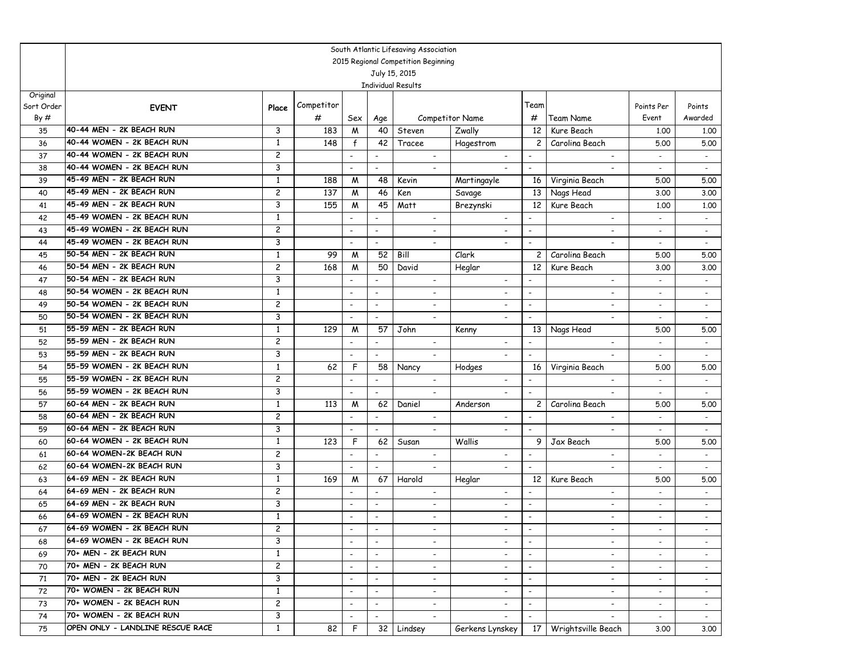|                                                                                                                                                                                                                                                                                   | South Atlantic Lifesaving Association                                  |                                            |  |  |  |  |  |  |  |  |  |  |  |
|-----------------------------------------------------------------------------------------------------------------------------------------------------------------------------------------------------------------------------------------------------------------------------------|------------------------------------------------------------------------|--------------------------------------------|--|--|--|--|--|--|--|--|--|--|--|
| 2015 Regional Competition Beginning<br>July 15, 2015<br><b>Individual Results</b>                                                                                                                                                                                                 |                                                                        |                                            |  |  |  |  |  |  |  |  |  |  |  |
|                                                                                                                                                                                                                                                                                   |                                                                        |                                            |  |  |  |  |  |  |  |  |  |  |  |
|                                                                                                                                                                                                                                                                                   |                                                                        |                                            |  |  |  |  |  |  |  |  |  |  |  |
| Original<br>Competitor<br>Team<br>Sort Order                                                                                                                                                                                                                                      | Points Per                                                             | Points                                     |  |  |  |  |  |  |  |  |  |  |  |
| <b>EVENT</b><br>Place<br>By#<br>#<br>Sex<br><b>Competitor Name</b><br>#<br>Team Name                                                                                                                                                                                              | Event                                                                  | Awarded                                    |  |  |  |  |  |  |  |  |  |  |  |
| Age<br>40-44 MEN - 2K BEACH RUN<br>183<br>Zwally<br>12<br>3<br>M<br>40<br>Steven<br>Kure Beach<br>35                                                                                                                                                                              |                                                                        | 1,00<br>1.00                               |  |  |  |  |  |  |  |  |  |  |  |
| 40-44 WOMEN - 2K BEACH RUN<br>42<br>1<br>148<br>$\mathbf{f}$<br>Tracee<br>Hagestrom<br>$\overline{c}$<br>Carolina Beach<br>36                                                                                                                                                     |                                                                        | 5.00<br>5.00                               |  |  |  |  |  |  |  |  |  |  |  |
| 40-44 WOMEN - 2K BEACH RUN<br>$\overline{c}$<br>37<br>$\sim$<br>$\blacksquare$<br>$\overline{\phantom{a}}$                                                                                                                                                                        | $\blacksquare$                                                         |                                            |  |  |  |  |  |  |  |  |  |  |  |
| 40-44 WOMEN - 2K BEACH RUN<br>3<br>38<br>$\blacksquare$<br>$\overline{\phantom{a}}$<br>$\overline{\phantom{a}}$<br>$\overline{\phantom{a}}$<br>$\overline{\phantom{a}}$                                                                                                           | $\overline{\phantom{a}}$<br>$\sim$                                     | $\sim$                                     |  |  |  |  |  |  |  |  |  |  |  |
| 45-49 MEN - 2K BEACH RUN<br>$\mathbf{1}$<br>188<br>M<br>48<br>16<br>Virginia Beach<br>39<br>Kevin<br>Martingayle                                                                                                                                                                  |                                                                        | 5.00<br>5.00                               |  |  |  |  |  |  |  |  |  |  |  |
| 45-49 MEN - 2K BEACH RUN<br>$\overline{\mathbf{c}}$<br>137<br>46<br>40<br>W<br>Ken<br>13<br>Nags Head<br>Savage                                                                                                                                                                   |                                                                        | 3.00<br>3.00                               |  |  |  |  |  |  |  |  |  |  |  |
| 45-49 MEN - 2K BEACH RUN<br>3<br>155<br>45<br>Matt<br>12<br>41<br>M<br>Kure Beach<br>Brezynski                                                                                                                                                                                    |                                                                        | 1,00<br>1,00                               |  |  |  |  |  |  |  |  |  |  |  |
| 45-49 WOMEN - 2K BEACH RUN<br>42<br>1<br>$\overline{\phantom{a}}$<br>$\overline{\phantom{a}}$                                                                                                                                                                                     | $\overline{\phantom{a}}$<br>$\overline{\phantom{a}}$                   |                                            |  |  |  |  |  |  |  |  |  |  |  |
| 45-49 WOMEN - 2K BEACH RUN<br>$\overline{c}$<br>43<br>$\blacksquare$<br>$\blacksquare$<br>$\overline{a}$<br>$\blacksquare$                                                                                                                                                        | $\sim$                                                                 | $\overline{\phantom{a}}$                   |  |  |  |  |  |  |  |  |  |  |  |
| 45-49 WOMEN - 2K BEACH RUN<br>3<br>44<br>$\blacksquare$<br>$\blacksquare$<br>$\overline{\phantom{a}}$<br>$\overline{\phantom{a}}$                                                                                                                                                 | $\overline{a}$                                                         | $\blacksquare$                             |  |  |  |  |  |  |  |  |  |  |  |
| 50-54 MEN - 2K BEACH RUN<br>99<br>52<br>Bill<br>Clark<br>$\overline{c}$<br>45<br>1<br>M<br>Carolina Beach                                                                                                                                                                         |                                                                        | 5.00<br>5.00                               |  |  |  |  |  |  |  |  |  |  |  |
| 50-54 MEN - 2K BEACH RUN<br>$\overline{\mathbf{c}}$<br>50<br>168<br>M<br>David<br>12<br>Kure Beach<br>46<br>Heglar                                                                                                                                                                |                                                                        | 3.00<br>3.00                               |  |  |  |  |  |  |  |  |  |  |  |
| 50-54 MEN - 2K BEACH RUN<br>3<br>47<br>$\blacksquare$<br>$\overline{\phantom{a}}$<br>$\blacksquare$<br>$\overline{\phantom{a}}$                                                                                                                                                   | $\overline{\phantom{0}}$<br>$\blacksquare$                             | $\blacksquare$                             |  |  |  |  |  |  |  |  |  |  |  |
| 50-54 WOMEN - 2K BEACH RUN<br>$\mathbf{1}$<br>48<br>$\blacksquare$<br>$\overline{\phantom{a}}$<br>$\overline{\phantom{a}}$<br>$\overline{\phantom{a}}$                                                                                                                            | $\overline{\phantom{a}}$<br>$\overline{\phantom{a}}$                   | $\overline{\phantom{a}}$                   |  |  |  |  |  |  |  |  |  |  |  |
| 50-54 WOMEN - 2K BEACH RUN<br>$\overline{\mathbf{c}}$<br>49<br>$\blacksquare$<br>$\overline{\phantom{a}}$<br>$\overline{\phantom{a}}$<br>$\overline{\phantom{a}}$<br>$\overline{\phantom{a}}$                                                                                     | $\overline{\phantom{a}}$<br>$\overline{\phantom{a}}$                   | $\overline{\phantom{a}}$                   |  |  |  |  |  |  |  |  |  |  |  |
| 50-54 WOMEN - 2K BEACH RUN<br>3<br>50<br>$\blacksquare$                                                                                                                                                                                                                           |                                                                        | $\blacksquare$                             |  |  |  |  |  |  |  |  |  |  |  |
| 55-59 MEN - 2K BEACH RUN<br>1<br>57<br>John<br>51<br>129<br>M<br>13<br>Nags Head<br>Kenny                                                                                                                                                                                         | 5.00                                                                   | 5.00                                       |  |  |  |  |  |  |  |  |  |  |  |
| 55-59 MEN - 2K BEACH RUN<br>2<br>52<br>$\overline{\phantom{a}}$<br>$\overline{\phantom{a}}$<br>$\overline{\phantom{a}}$<br>$\overline{\phantom{a}}$<br>$\overline{\phantom{a}}$                                                                                                   | $\sim$<br>$\overline{\phantom{a}}$                                     | $\sim$                                     |  |  |  |  |  |  |  |  |  |  |  |
| 55-59 MEN - 2K BEACH RUN<br>3<br>53<br>$\overline{\phantom{a}}$<br>$\blacksquare$<br>$\blacksquare$<br>$\overline{\phantom{a}}$<br>$\blacksquare$                                                                                                                                 | $\overline{a}$                                                         | $\overline{a}$                             |  |  |  |  |  |  |  |  |  |  |  |
| 55-59 WOMEN - 2K BEACH RUN<br>1<br>F<br>54<br>62<br>58<br>Nancy<br>Hodges<br>16<br>Virginia Beach                                                                                                                                                                                 |                                                                        | 5.00<br>5.00                               |  |  |  |  |  |  |  |  |  |  |  |
| 55-59 WOMEN - 2K BEACH RUN<br>2<br>55<br>$\overline{\phantom{a}}$<br>$\overline{\phantom{a}}$<br>$\overline{\phantom{a}}$<br>$\overline{\phantom{a}}$                                                                                                                             | $\overline{\phantom{a}}$                                               | $\blacksquare$                             |  |  |  |  |  |  |  |  |  |  |  |
| 55-59 WOMEN - 2K BEACH RUN<br>3<br>$\overline{a}$<br>56<br>$\overline{\phantom{a}}$<br>$\overline{\phantom{a}}$<br>$\blacksquare$                                                                                                                                                 |                                                                        |                                            |  |  |  |  |  |  |  |  |  |  |  |
| 60-64 MEN - 2K BEACH RUN<br>1<br>57<br>113<br>M<br>62<br>$\overline{c}$<br>Carolina Beach<br>Daniel<br>Anderson                                                                                                                                                                   |                                                                        | 5.00<br>5.00                               |  |  |  |  |  |  |  |  |  |  |  |
| 60-64 MEN - 2K BEACH RUN<br>$\overline{c}$<br>58<br>$\blacksquare$<br>$\overline{\phantom{a}}$<br>$\blacksquare$<br>$\blacksquare$<br>$\overline{\phantom{a}}$                                                                                                                    | $\overline{\phantom{a}}$<br>$\blacksquare$                             | $\sim$                                     |  |  |  |  |  |  |  |  |  |  |  |
| 60-64 MEN - 2K BEACH RUN<br>3<br>59<br>$\overline{\phantom{a}}$<br>$\overline{\phantom{a}}$<br>$\blacksquare$<br>$\overline{\phantom{a}}$                                                                                                                                         | $\overline{\phantom{0}}$<br>$\blacksquare$                             | $\sim$                                     |  |  |  |  |  |  |  |  |  |  |  |
| 60-64 WOMEN - 2K BEACH RUN<br>1<br>Wallis<br>9<br>123<br>F<br>62<br>Jax Beach<br>60<br>Susan                                                                                                                                                                                      |                                                                        | 5.00<br>5.00                               |  |  |  |  |  |  |  |  |  |  |  |
| 60-64 WOMEN-2K BEACH RUN<br>$\overline{c}$<br>61<br>$\overline{\phantom{a}}$<br>$\overline{\phantom{a}}$<br>60-64 WOMEN-2K BEACH RUN                                                                                                                                              | $\overline{a}$<br>$\overline{\phantom{a}}$                             | $\overline{\phantom{a}}$                   |  |  |  |  |  |  |  |  |  |  |  |
| 3<br>62<br>$\overline{\phantom{a}}$<br>$\overline{\phantom{a}}$<br>$\overline{\phantom{a}}$<br>64-69 MEN - 2K BEACH RUN                                                                                                                                                           | $\overline{\phantom{a}}$<br>$\qquad \qquad \blacksquare$               | $\blacksquare$                             |  |  |  |  |  |  |  |  |  |  |  |
| 1<br>169<br>67<br>Harold<br>12<br>63<br>M<br>Heglar<br>Kure Beach<br>64-69 MEN - 2K BEACH RUN<br>$\overline{c}$                                                                                                                                                                   | 5.00                                                                   | 5.00                                       |  |  |  |  |  |  |  |  |  |  |  |
| 64<br>$\overline{\phantom{a}}$<br>$\blacksquare$<br>$\overline{\phantom{a}}$<br>$\overline{\phantom{a}}$<br>64-69 MEN - 2K BEACH RUN<br>3<br>65<br>$\blacksquare$<br>$\overline{\phantom{a}}$<br>$\overline{\phantom{a}}$<br>$\overline{\phantom{a}}$<br>$\overline{\phantom{a}}$ | $\overline{\phantom{a}}$<br>$\sim$<br>$\overline{\phantom{a}}$         | $\sim$                                     |  |  |  |  |  |  |  |  |  |  |  |
| 64-69 WOMEN - 2K BEACH RUN<br>$\mathbf{1}$<br>66<br>$\blacksquare$<br>$\blacksquare$<br>$\overline{\phantom{a}}$<br>$\overline{\phantom{a}}$<br>$\overline{\phantom{a}}$                                                                                                          | $\overline{\phantom{a}}$<br>$\overline{\phantom{a}}$<br>$\overline{a}$ | $\overline{\phantom{a}}$<br>$\blacksquare$ |  |  |  |  |  |  |  |  |  |  |  |
| 64-69 WOMEN - 2K BEACH RUN<br>$\overline{c}$<br>67                                                                                                                                                                                                                                |                                                                        |                                            |  |  |  |  |  |  |  |  |  |  |  |
| 64-69 WOMEN - 2K BEACH RUN<br>3<br>68<br>$\overline{\phantom{a}}$                                                                                                                                                                                                                 |                                                                        |                                            |  |  |  |  |  |  |  |  |  |  |  |
| 70+ MEN - 2K BEACH RUN<br>1<br>69<br>$\overline{\phantom{a}}$<br>$\blacksquare$<br>$\overline{\phantom{a}}$<br>$\overline{\phantom{0}}$<br>$\overline{\phantom{0}}$                                                                                                               | $\overline{\phantom{a}}$<br>$\sim$                                     |                                            |  |  |  |  |  |  |  |  |  |  |  |
| 70+ MEN - 2K BEACH RUN<br>$\overline{c}$<br>70<br>$\overline{\phantom{a}}$<br>$\overline{\phantom{a}}$<br>$\blacksquare$<br>$\overline{\phantom{a}}$                                                                                                                              | $\overline{\phantom{0}}$<br>$\sim$                                     |                                            |  |  |  |  |  |  |  |  |  |  |  |
| 70+ MEN - 2K BEACH RUN<br>3<br>71<br>$\sim$<br>$\overline{\phantom{a}}$<br>$\overline{\phantom{a}}$<br>$-$<br>$\overline{\phantom{a}}$                                                                                                                                            | $\overline{\phantom{a}}$<br>$\sim$                                     | $\sim$                                     |  |  |  |  |  |  |  |  |  |  |  |
| 70+ WOMEN - 2K BEACH RUN<br>$\mathbf{1}$<br>72<br>$\blacksquare$<br>$\overline{\phantom{a}}$<br>$\overline{\phantom{a}}$<br>$\sim$<br>$\overline{\phantom{a}}$                                                                                                                    | $\sim$<br>$\overline{\phantom{a}}$                                     | $\sim$                                     |  |  |  |  |  |  |  |  |  |  |  |
| 70+ WOMEN - 2K BEACH RUN<br>$\overline{c}$<br>73<br>$\overline{\phantom{a}}$<br>$\overline{\phantom{a}}$<br>$\overline{\phantom{a}}$<br>$\overline{\phantom{a}}$<br>$\overline{\phantom{a}}$                                                                                      | $\overline{\phantom{0}}$<br>$\sim$                                     | $\sim$                                     |  |  |  |  |  |  |  |  |  |  |  |
| 70+ WOMEN - 2K BEACH RUN<br>3<br>74<br>$\overline{\phantom{a}}$<br>$\overline{\phantom{a}}$<br>$\sim$                                                                                                                                                                             | $\sim$                                                                 | $\sim$                                     |  |  |  |  |  |  |  |  |  |  |  |
| OPEN ONLY - LANDLINE RESCUE RACE<br>82<br>32 Lindsey<br>Wrightsville Beach<br>75<br>1<br>F<br>Gerkens Lynskey<br>17                                                                                                                                                               |                                                                        | 3.00<br>3.00                               |  |  |  |  |  |  |  |  |  |  |  |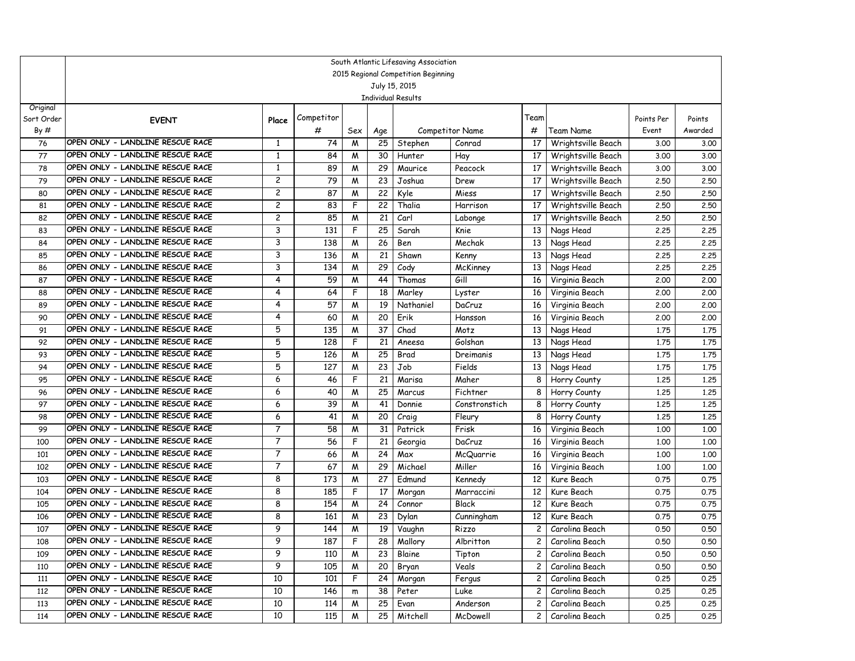|            | South Atlantic Lifesaving Association<br>2015 Regional Competition Beginning |                   |            |        |          |                |                 |                       |                             |              |              |  |  |
|------------|------------------------------------------------------------------------------|-------------------|------------|--------|----------|----------------|-----------------|-----------------------|-----------------------------|--------------|--------------|--|--|
|            | July 15, 2015<br><b>Individual Results</b>                                   |                   |            |        |          |                |                 |                       |                             |              |              |  |  |
|            |                                                                              |                   |            |        |          |                |                 |                       |                             |              |              |  |  |
|            |                                                                              |                   |            |        |          |                |                 |                       |                             |              |              |  |  |
| Original   |                                                                              |                   | Competitor |        |          |                |                 | Team                  |                             |              |              |  |  |
| Sort Order | <b>EVENT</b>                                                                 | Place             |            |        |          |                |                 |                       |                             | Points Per   | Points       |  |  |
| By#        |                                                                              |                   | #          | Sex    | Age      |                | Competitor Name | #                     | Team Name                   | Event        | Awarded      |  |  |
| 76         | OPEN ONLY - LANDLINE RESCUE RACE<br>OPEN ONLY - LANDLINE RESCUE RACE         | 1<br>$\mathbf{1}$ | 74         | M      | 25<br>30 | Stephen        | Conrad          | 17                    | Wrightsville Beach          | 3.00         | 3.00         |  |  |
| 77         | OPEN ONLY - LANDLINE RESCUE RACE                                             | 1                 | 84         | M      | 29       | Hunter         | Hay             | 17                    | Wrightsville Beach          | 3.00         | 3.00         |  |  |
| 78         | OPEN ONLY - LANDLINE RESCUE RACE                                             | 2                 | 89         | W      | 23       | Maurice        | Peacock         | 17                    | Wrightsville Beach          | 3.00         | 3.00         |  |  |
| 79         | OPEN ONLY - LANDLINE RESCUE RACE                                             | 2                 | 79<br>87   | M      | 22       | Joshua         | Drew            | 17<br>17              | Wrightsville Beach          | 2.50         | 2.50         |  |  |
| 80         | OPEN ONLY - LANDLINE RESCUE RACE                                             | 2                 | 83         | M<br>F | 22       | Kyle<br>Thalia | Miess           | 17                    | Wrightsville Beach          | 2.50         | 2.50         |  |  |
| 81<br>82   | OPEN ONLY - LANDLINE RESCUE RACE                                             | 2                 | 85         |        | 21       | Carl           | Harrison        | 17                    | Wrightsville Beach          | 2.50         | 2.50<br>2.50 |  |  |
| 83         | OPEN ONLY - LANDLINE RESCUE RACE                                             | 3                 | 131        | M<br>F | 25       |                | Labonge         | 13                    | Wrightsville Beach          | 2.50         |              |  |  |
| 84         | OPEN ONLY - LANDLINE RESCUE RACE                                             | 3                 | 138        | M      | 26       | Sarah<br>Ben   | Knie<br>Mechak  | 13                    | Nags Head<br>Nags Head      | 2.25<br>2.25 | 2.25<br>2.25 |  |  |
| 85         | OPEN ONLY - LANDLINE RESCUE RACE                                             | 3                 | 136        | M      | 21       | Shawn          | Kenny           | 13                    | Nags Head                   | 2.25         | 2.25         |  |  |
| 86         | OPEN ONLY - LANDLINE RESCUE RACE                                             | 3                 | 134        | M      | 29       | Cody           | McKinney        | 13                    |                             | 2.25         | 2.25         |  |  |
| 87         | OPEN ONLY - LANDLINE RESCUE RACE                                             | 4                 | 59         | M      | 44       | Thomas         | Gill            | 16                    | Nags Head<br>Virginia Beach | 2,00         | 2,00         |  |  |
| 88         | OPEN ONLY - LANDLINE RESCUE RACE                                             | 4                 | 64         | F      | 18       | Marley         | Lyster          | 16                    | Virginia Beach              | 2,00         | 2,00         |  |  |
| 89         | OPEN ONLY - LANDLINE RESCUE RACE                                             | 4                 | 57         | M      | 19       | Nathaniel      | DaCruz          | 16                    | Virginia Beach              | 2,00         | 2.00         |  |  |
| 90         | OPEN ONLY - LANDLINE RESCUE RACE                                             | 4                 | 60         | M      | 20       | Erik           | Hansson         | 16                    | Virginia Beach              | 2,00         | 2.00         |  |  |
| 91         | OPEN ONLY - LANDLINE RESCUE RACE                                             | 5                 | 135        | M      | 37       | Chad           | Motz            | 13                    | Nags Head                   | 1.75         | 1.75         |  |  |
| 92         | OPEN ONLY - LANDLINE RESCUE RACE                                             | 5                 | 128        | F      | 21       | Aneesa         | Golshan         | 13                    | Nags Head                   | 1.75         | 1.75         |  |  |
| 93         | OPEN ONLY - LANDLINE RESCUE RACE                                             | 5                 | 126        | M      | 25       | Brad           | Dreimanis       | 13                    | Nags Head                   | 1.75         | 1.75         |  |  |
| 94         | OPEN ONLY - LANDLINE RESCUE RACE                                             | 5                 | 127        | M      | 23       | Job            | Fields          | 13                    | Nags Head                   | 1.75         | 1.75         |  |  |
| 95         | OPEN ONLY - LANDLINE RESCUE RACE                                             | 6                 | 46         | F      | 21       | Marisa         | Maher           | 8                     | Horry County                | 1.25         | 1.25         |  |  |
| 96         | OPEN ONLY - LANDLINE RESCUE RACE                                             | 6                 | 40         | W      | 25       | Marcus         | Fichtner        | 8                     | Horry County                | 1,25         | 1.25         |  |  |
| 97         | OPEN ONLY - LANDLINE RESCUE RACE                                             | 6                 | 39         | M      | 41       | Donnie         | Constronstich   | 8                     | Horry County                | 1.25         | 1.25         |  |  |
| 98         | OPEN ONLY - LANDLINE RESCUE RACE                                             | 6                 | 41         | M      | 20       | Craig          | Fleury          | 8                     | Horry County                | 1,25         | 1.25         |  |  |
| 99         | OPEN ONLY - LANDLINE RESCUE RACE                                             | 7                 | 58         | M      | 31       | Patrick        | Frisk           | 16                    | Virginia Beach              | 1,00         | 1.00         |  |  |
| 100        | OPEN ONLY - LANDLINE RESCUE RACE                                             | 7                 | 56         | F      | 21       | Georgia        | DaCruz          | 16                    | Virginia Beach              | 1,00         | 1,00         |  |  |
| 101        | OPEN ONLY - LANDLINE RESCUE RACE                                             | 7                 | 66         | M      | 24       | Max            | McQuarrie       | 16                    | Virginia Beach              | 1,00         | 1.00         |  |  |
| 102        | OPEN ONLY - LANDLINE RESCUE RACE                                             | $\overline{7}$    | 67         | M      | 29       | Michael        | Miller          | 16                    | Virginia Beach              | 1.00         | 1.00         |  |  |
| 103        | OPEN ONLY - LANDLINE RESCUE RACE                                             | 8                 | 173        | M      | 27       | Edmund         | Kennedy         | 12                    | Kure Beach                  | 0.75         | 0.75         |  |  |
| 104        | OPEN ONLY - LANDLINE RESCUE RACE                                             | 8                 | 185        | F      | 17       | Morgan         | Marraccini      | 12                    | Kure Beach                  | 0.75         | 0.75         |  |  |
| 105        | OPEN ONLY - LANDLINE RESCUE RACE                                             | 8                 | 154        | M      | 24       | Connor         | Black           | 12                    | Kure Beach                  | 0.75         | 0.75         |  |  |
| 106        | OPEN ONLY - LANDLINE RESCUE RACE                                             | 8                 | 161        | M      | 23       | Dylan          | Cunningham      | 12                    | Kure Beach                  | 0.75         | 0.75         |  |  |
| 107        | OPEN ONLY - LANDLINE RESCUE RACE                                             | 9                 | 144        | M      | 19       | Vaughn         | Rizzo           | $\mathbf{2}$          | Carolina Beach              | 0.50         | 0.50         |  |  |
| 108        | OPEN ONLY - LANDLINE RESCUE RACE                                             | 9                 | 187        | F      |          | 28 Mallory     | Albritton       |                       | Carolina Beach              | 0.50         | 0.50         |  |  |
| 109        | OPEN ONLY - LANDLINE RESCUE RACE                                             | 9                 | 110        | W      | 23       | Blaine         | Tipton          | $\mathbf{2}$          | Carolina Beach              | 0.50         | 0.50         |  |  |
| 110        | OPEN ONLY - LANDLINE RESCUE RACE                                             | 9                 | 105        | M      | 20       | Bryan          | Veals           | $\mathbf{2}$          | Carolina Beach              | 0.50         | 0.50         |  |  |
| 111        | OPEN ONLY - LANDLINE RESCUE RACE                                             | 10                | 101        | F      | 24       | Morgan         | Fergus          | 2                     | Carolina Beach              | 0.25         | 0.25         |  |  |
| 112        | OPEN ONLY - LANDLINE RESCUE RACE                                             | 10                | 146        | m      | 38       | Peter          | Luke            | 2                     | Carolina Beach              | 0.25         | 0.25         |  |  |
| 113        | OPEN ONLY - LANDLINE RESCUE RACE                                             | 10                | 114        | M      | 25       | Evan           | Anderson        | $\mathbf{2}^{\prime}$ | Carolina Beach              | 0.25         | 0.25         |  |  |
| 114        | OPEN ONLY - LANDLINE RESCUE RACE                                             | 10                | 115        | M      | 25       | Mitchell       | McDowell        | $\mathbf{2}$          | Carolina Beach              | 0.25         | 0.25         |  |  |
|            |                                                                              |                   |            |        |          |                |                 |                       |                             |              |              |  |  |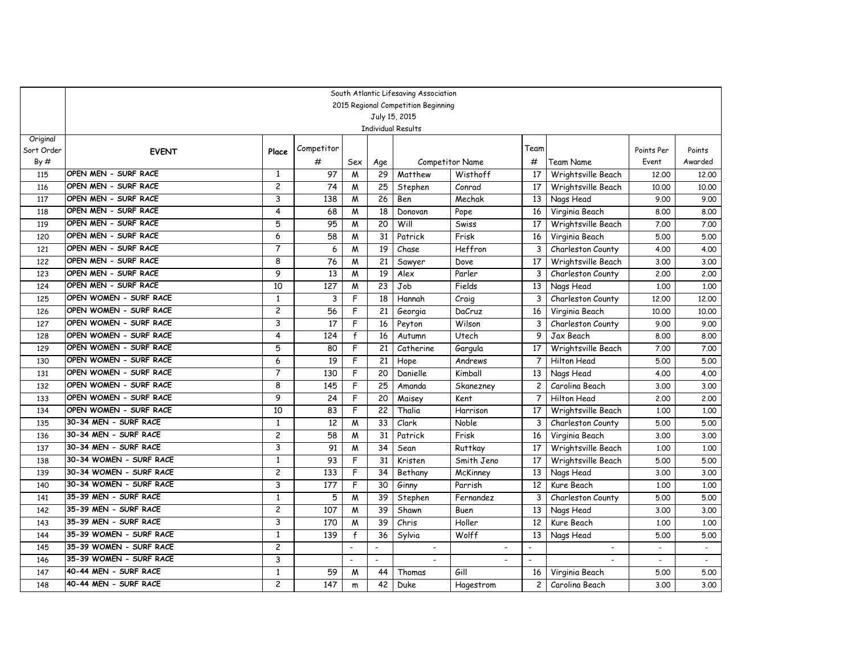|                        | South Atlantic Lifesaving Association<br>2015 Regional Competition Beginning |                |            |                          |                          |                          |                          |                          |                          |                          |                   |  |  |  |
|------------------------|------------------------------------------------------------------------------|----------------|------------|--------------------------|--------------------------|--------------------------|--------------------------|--------------------------|--------------------------|--------------------------|-------------------|--|--|--|
|                        | July 15, 2015<br><b>Individual Results</b>                                   |                |            |                          |                          |                          |                          |                          |                          |                          |                   |  |  |  |
|                        |                                                                              |                |            |                          |                          |                          |                          |                          |                          |                          |                   |  |  |  |
|                        |                                                                              |                |            |                          |                          |                          |                          |                          |                          |                          |                   |  |  |  |
| Original<br>Sort Order |                                                                              |                | Competitor |                          |                          |                          |                          | Team                     |                          |                          |                   |  |  |  |
| By#                    | <b>EVENT</b>                                                                 | Place          | #          | Sex                      |                          |                          | <b>Competitor Name</b>   | #                        | Team Name                | Points Per<br>Event      | Points<br>Awarded |  |  |  |
| 115                    | OPEN MEN - SURF RACE                                                         | 1              | 97         | M                        | Age<br>29                | Matthew                  | Wisthoff                 | 17                       | Wrightsville Beach       | 12.00                    | 12.00             |  |  |  |
| 116                    | OPEN MEN - SURF RACE                                                         | 2              | 74         | M                        | 25                       | Stephen                  | Conrad                   | 17                       | Wrightsville Beach       | 10.00                    | 10,00             |  |  |  |
| 117                    | OPEN MEN - SURF RACE                                                         | 3              | 138        | M                        | 26                       | Ben                      | Mechak                   | 13                       | Nags Head                | 9.00                     | 9.00              |  |  |  |
| 118                    | OPEN MEN - SURF RACE                                                         | 4              | 68         | W                        | 18                       | Donovan                  | Pope                     | 16                       | Virginia Beach           | 8.00                     | 8.00              |  |  |  |
| 119                    | OPEN MEN - SURF RACE                                                         | 5              | 95         | M                        | 20                       | Will                     | Swiss                    | 17                       | Wrightsville Beach       | 7.00                     | 7.00              |  |  |  |
| 120                    | OPEN MEN - SURF RACE                                                         | 6              | 58         | M                        | 31                       | Patrick                  | Frisk                    | 16                       | Virginia Beach           | 5.00                     | 5.00              |  |  |  |
| 121                    | OPEN MEN - SURF RACE                                                         | 7              | 6          | M                        | 19                       | Chase                    | Heffron                  | 3                        | Charleston County        | 4.00                     | 4.00              |  |  |  |
| 122                    | OPEN MEN - SURF RACE                                                         | 8              | 76         | M                        | 21                       | Sawyer                   | Dove                     | 17                       | Wrightsville Beach       | 3.00                     | 3.00              |  |  |  |
| 123                    | OPEN MEN - SURF RACE                                                         | 9              | 13         | M                        | 19                       | Alex                     | Parler                   | 3                        | Charleston County        | 2,00                     | 2,00              |  |  |  |
| 124                    | OPEN MEN - SURF RACE                                                         | 10             | 127        | W                        | 23                       | Job                      | Fields                   | 13                       | Nags Head                | 1.00                     | 1.00              |  |  |  |
| 125                    | OPEN WOMEN - SURF RACE                                                       | $\mathbf{1}$   | 3          | F                        | 18                       | Hannah                   | Craig                    | 3                        | Charleston County        | 12,00                    | 12,00             |  |  |  |
| 126                    | OPEN WOMEN - SURF RACE                                                       | $\overline{c}$ | 56         | F                        | 21                       | Georgia                  | DaCruz                   | 16                       | Virginia Beach           | 10.00                    | 10,00             |  |  |  |
| 127                    | OPEN WOMEN - SURF RACE                                                       | 3              | 17         | F                        | 16                       | Peyton                   | Wilson                   | 3                        | Charleston County        | 9.00                     | 9.00              |  |  |  |
| 128                    | OPEN WOMEN - SURF RACE                                                       | 4              | 124        | $\mathsf{f}$             | 16                       | Autumn                   | Utech                    | 9                        | Jax Beach                | 8.00                     | 8.00              |  |  |  |
| 129                    | OPEN WOMEN - SURF RACE                                                       | 5              | 80         | F                        | 21                       | Catherine                | Gargula                  | 17                       | Wrightsville Beach       | 7.00                     | 7.00              |  |  |  |
| 130                    | OPEN WOMEN - SURF RACE                                                       | 6              | 19         | F                        | 21                       | Hope                     | Andrews                  | $\overline{7}$           | Hilton Head              | 5.00                     | 5.00              |  |  |  |
| 131                    | OPEN WOMEN - SURF RACE                                                       | $\overline{7}$ | 130        | F                        | 20                       | Danielle                 | Kimball                  | 13                       | Nags Head                | 4.00                     | 4.00              |  |  |  |
| 132                    | OPEN WOMEN - SURF RACE                                                       | 8              | 145        | F                        | 25                       | Amanda                   | Skanezney                | $\overline{c}$           | Carolina Beach           | 3.00                     | 3.00              |  |  |  |
| 133                    | OPEN WOMEN - SURF RACE                                                       | 9              | 24         | F                        | 20                       | Maisey                   | Kent                     | $\overline{7}$           | Hilton Head              | 2,00                     | 2.00              |  |  |  |
| 134                    | OPEN WOMEN - SURF RACE                                                       | 10             | 83         | F                        | $\overline{22}$          | Thalia                   | Harrison                 | 17                       | Wrightsville Beach       | 1.00                     | 1.00              |  |  |  |
| 135                    | 30-34 MEN - SURF RACE                                                        | 1              | 12         | M                        | 33                       | Clark                    | Noble                    | 3                        | Charleston County        | 5.00                     | 5.00              |  |  |  |
| 136                    | 30-34 MEN - SURF RACE                                                        | $\overline{c}$ | 58         | W                        | 31                       | Patrick                  | Frisk                    | 16                       | Virginia Beach           | 3.00                     | 3.00              |  |  |  |
| 137                    | 30-34 MEN - SURF RACE                                                        | 3              | 91         | M                        | 34                       | Sean                     | <b>Ruttkay</b>           | 17                       | Wrightsville Beach       | 1,00                     | 1.00              |  |  |  |
| 138                    | 30-34 WOMEN - SURF RACE                                                      | $\mathbf{1}$   | 93         | F                        | 31                       | Kristen                  | Smith Jeno               | 17                       | Wrightsville Beach       | 5.00                     | 5.00              |  |  |  |
| 139                    | 30-34 WOMEN - SURF RACE                                                      | 2              | 133        | F                        | 34                       | Bethany                  | McKinney                 | 13                       | Nags Head                | 3.00                     | 3.00              |  |  |  |
| 140                    | 30-34 WOMEN - SURF RACE                                                      | 3              | 177        | F                        | 30                       | Ginny                    | Parrish                  | $\overline{12}$          | Kure Beach               | 1.00                     | 1.00              |  |  |  |
| 141                    | 35-39 MEN - SURF RACE                                                        | $\mathbf{1}$   | 5          | W                        | 39                       | Stephen                  | Fernandez                | 3                        | Charleston County        | 5.00                     | 5.00              |  |  |  |
| 142                    | 35-39 MEN - SURF RACE                                                        | 2              | 107        | M                        | 39                       | Shawn                    | Buen                     | 13                       | Nags Head                | 3.00                     | 3.00              |  |  |  |
| 143                    | 35-39 MEN - SURF RACE                                                        | 3              | 170        | M                        | 39                       | Chris                    | Holler                   | 12                       | Kure Beach               | 1,00                     | 1.00              |  |  |  |
| 144                    | 35-39 WOMEN - SURF RACE                                                      | 1              | 139        | $\mathsf{f}$             | 36                       | Sylvia                   | Wolff                    | 13                       | Nags Head                | 5.00                     | 5.00              |  |  |  |
| 145                    | 35-39 WOMEN - SURF RACE                                                      | $\overline{c}$ |            |                          | $\overline{\phantom{a}}$ |                          |                          | $\overline{a}$           | $\overline{\phantom{a}}$ | $\overline{a}$           | $\mathbf{r}$      |  |  |  |
| 146                    | 35-39 WOMEN - SURF RACE                                                      | 3              |            | $\overline{\phantom{a}}$ | $\overline{\phantom{a}}$ | $\overline{\phantom{a}}$ | $\overline{\phantom{a}}$ | $\overline{\phantom{a}}$ | $\overline{\phantom{a}}$ | $\overline{\phantom{a}}$ | $\sim$            |  |  |  |
| 147                    | 40-44 MEN - SURF RACE                                                        | $\mathbf{1}$   | 59         | M                        | 44                       | Thomas                   | Gill                     | 16                       | Virginia Beach           | 5.00                     | 5.00              |  |  |  |
| 148                    | 40-44 MEN - SURF RACE                                                        | $\overline{c}$ | 147        | m                        | 42                       | Duke                     | Hagestrom                | $\overline{c}$           | Carolina Beach           | 3.00                     | 3.00              |  |  |  |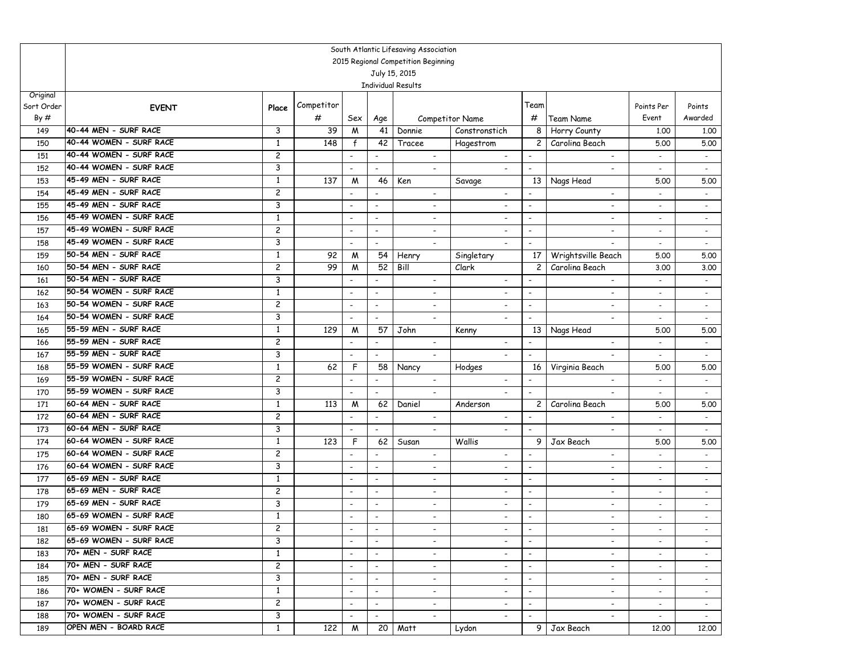|                        | South Atlantic Lifesaving Association                                             |                         |            |                          |                                |                                            |  |                                    |                          |                                       |                                                      |                                            |  |  |
|------------------------|-----------------------------------------------------------------------------------|-------------------------|------------|--------------------------|--------------------------------|--------------------------------------------|--|------------------------------------|--------------------------|---------------------------------------|------------------------------------------------------|--------------------------------------------|--|--|
|                        | 2015 Regional Competition Beginning<br>July 15, 2015<br><b>Individual Results</b> |                         |            |                          |                                |                                            |  |                                    |                          |                                       |                                                      |                                            |  |  |
|                        |                                                                                   |                         |            |                          |                                |                                            |  |                                    |                          |                                       |                                                      |                                            |  |  |
|                        |                                                                                   |                         |            |                          |                                |                                            |  |                                    |                          |                                       |                                                      |                                            |  |  |
| Original<br>Sort Order |                                                                                   |                         | Competitor |                          |                                |                                            |  |                                    | Team                     |                                       | Points Per                                           | Points                                     |  |  |
| By#                    | <b>EVENT</b>                                                                      | Place                   | #          |                          |                                |                                            |  | <b>Competitor Name</b>             | #                        | <b>Team Name</b>                      | Event                                                | Awarded                                    |  |  |
|                        | 40-44 MEN - SURF RACE                                                             | 3                       | 39         | Sex                      | Age<br>41                      |                                            |  | Constronstich                      | 8                        |                                       |                                                      |                                            |  |  |
| 149                    | 40-44 WOMEN - SURF RACE                                                           | 1                       | 148        | M                        | 42                             | Donnie                                     |  |                                    |                          | Horry County<br>Carolina Beach        | 1.00                                                 | 1.00                                       |  |  |
| 150                    | 40-44 WOMEN - SURF RACE                                                           | 2                       |            | $\mathbf{f}$             |                                | Tracee                                     |  | Hagestrom                          | $\mathbf{2}$             |                                       | 5.00                                                 | 5.00                                       |  |  |
| 151                    | 40-44 WOMEN - SURF RACE                                                           | 3                       |            | $\blacksquare$           | $\overline{\phantom{a}}$       | $\overline{\phantom{a}}$<br>$\blacksquare$ |  | $\overline{\phantom{a}}$           | $\overline{\phantom{a}}$ | $\overline{\phantom{a}}$              | $\overline{\phantom{a}}$<br>$\overline{\phantom{a}}$ | $\overline{\phantom{a}}$<br>$\blacksquare$ |  |  |
| 152<br>153             | 45-49 MEN - SURF RACE                                                             | 1                       | 137        | M                        | $\overline{\phantom{a}}$<br>46 | Ken                                        |  |                                    | 13                       |                                       | 5.00                                                 | 5.00                                       |  |  |
| 154                    | 45-49 MEN - SURF RACE                                                             | $\overline{\mathbf{c}}$ |            | $\overline{\phantom{a}}$ | $\overline{\phantom{a}}$       | $\overline{\phantom{a}}$                   |  | Savage<br>$\overline{\phantom{a}}$ |                          | Nags Head<br>$\overline{\phantom{a}}$ | $\overline{\phantom{a}}$                             | $\overline{\phantom{a}}$                   |  |  |
| 155                    | 45-49 MEN - SURF RACE                                                             | 3                       |            | $\overline{\phantom{a}}$ | $\blacksquare$                 | $\blacksquare$                             |  | $\overline{\phantom{a}}$           | $\blacksquare$           | $\overline{\phantom{a}}$              | $\overline{a}$                                       | $\overline{a}$                             |  |  |
| 156                    | 45-49 WOMEN - SURF RACE                                                           | $\overline{1}$          |            | $\overline{\phantom{a}}$ | $\overline{\phantom{a}}$       | $\overline{\phantom{a}}$                   |  | $\overline{\phantom{a}}$           | $\overline{\phantom{a}}$ | $\overline{\phantom{a}}$              | $\overline{\phantom{a}}$                             | $\overline{\phantom{a}}$                   |  |  |
| 157                    | 45-49 WOMEN - SURF RACE                                                           | 2                       |            | $\overline{\phantom{a}}$ | $\overline{\phantom{a}}$       | $\overline{\phantom{a}}$                   |  | $\overline{\phantom{a}}$           | $\overline{\phantom{a}}$ | $\overline{\phantom{a}}$              | $\overline{\phantom{a}}$                             |                                            |  |  |
| 158                    | 45-49 WOMEN - SURF RACE                                                           | 3                       |            | $\blacksquare$           | $\blacksquare$                 |                                            |  |                                    | $\blacksquare$           | $\overline{a}$                        | $\blacksquare$                                       | $\sim$<br>$\blacksquare$                   |  |  |
| 159                    | 50-54 MEN - SURF RACE                                                             | 1                       | 92         | W                        | 54                             | Henry                                      |  | Singletary                         | 17                       | Wrightsville Beach                    | 5.00                                                 | 5.00                                       |  |  |
| 160                    | 50-54 MEN - SURF RACE                                                             | $\overline{\mathbf{c}}$ | 99         | M                        | 52                             | Bill                                       |  | Clark                              | $\overline{c}$           | Carolina Beach                        | 3.00                                                 | 3.00                                       |  |  |
| 161                    | 50-54 MEN - SURF RACE                                                             | 3                       |            | $\blacksquare$           | $\overline{\phantom{a}}$       | $\overline{\phantom{a}}$                   |  | $\overline{\phantom{a}}$           |                          | $\overline{\phantom{a}}$              | $\blacksquare$                                       | $\blacksquare$                             |  |  |
| 162                    | 50-54 WOMEN - SURF RACE                                                           | 1                       |            | $\overline{\phantom{a}}$ | $\overline{\phantom{a}}$       | $\overline{\phantom{a}}$                   |  | $\overline{\phantom{a}}$           | $\overline{\phantom{a}}$ | $\overline{\phantom{a}}$              | $\blacksquare$                                       | $\overline{\phantom{a}}$                   |  |  |
| 163                    | 50-54 WOMEN - SURF RACE                                                           | 2                       |            | $\overline{\phantom{a}}$ | $\overline{\phantom{a}}$       | $\overline{\phantom{a}}$                   |  | $\overline{\phantom{a}}$           | $\overline{\phantom{a}}$ | $\overline{\phantom{a}}$              | $\blacksquare$                                       | $\sim$                                     |  |  |
| 164                    | 50-54 WOMEN - SURF RACE                                                           | 3                       |            | $\blacksquare$           | $\overline{\phantom{a}}$       | $\blacksquare$                             |  | $\blacksquare$                     | $\blacksquare$           | $\overline{a}$                        | ÷.                                                   | $\blacksquare$                             |  |  |
| 165                    | 55-59 MEN - SURF RACE                                                             | 1                       | 129        | M                        | 57                             | John                                       |  | Kenny                              | 13                       | Nags Head                             | 5.00                                                 | 5.00                                       |  |  |
| 166                    | 55-59 MEN - SURF RACE                                                             | $\overline{\mathbf{c}}$ |            | $\overline{\phantom{a}}$ | $\overline{\phantom{a}}$       | $\overline{\phantom{a}}$                   |  | $\overline{\phantom{a}}$           | $\overline{\phantom{a}}$ | $\overline{\phantom{a}}$              | $\overline{\phantom{a}}$                             | $\blacksquare$                             |  |  |
| 167                    | 55-59 MEN - SURF RACE                                                             | 3                       |            | $\blacksquare$           | $\overline{\phantom{a}}$       | $\blacksquare$                             |  | $\overline{\phantom{a}}$           | $\overline{\phantom{a}}$ | $\overline{\phantom{a}}$              | ÷.                                                   | $\blacksquare$                             |  |  |
| 168                    | 55-59 WOMEN - SURF RACE                                                           | $\mathbf{1}$            | 62         | F                        | 58                             | Nancy                                      |  | Hodges                             | 16                       | Virginia Beach                        | 5.00                                                 | 5.00                                       |  |  |
| 169                    | 55-59 WOMEN - SURF RACE                                                           | 2                       |            | $\overline{\phantom{a}}$ | $\overline{\phantom{a}}$       | $\overline{\phantom{a}}$                   |  | $\overline{\phantom{a}}$           | $\overline{\phantom{a}}$ | $\overline{\phantom{a}}$              | $\blacksquare$                                       | $\sim$                                     |  |  |
| 170                    | 55-59 WOMEN - SURF RACE                                                           | 3                       |            | $\overline{\phantom{a}}$ | $\overline{\phantom{a}}$       | $\overline{a}$                             |  | $\blacksquare$                     | $\blacksquare$           | $\overline{a}$                        |                                                      |                                            |  |  |
| 171                    | 60-64 MEN - SURF RACE                                                             | 1                       | 113        | M                        | 62                             | Daniel                                     |  | Anderson                           | $\overline{c}$           | Carolina Beach                        | 5.00                                                 | 5.00                                       |  |  |
| 172                    | 60-64 MEN - SURF RACE                                                             | $\overline{c}$          |            | $\overline{\phantom{a}}$ | $\overline{\phantom{a}}$       | $\overline{\phantom{a}}$                   |  | $\overline{a}$                     | $\overline{a}$           | $\blacksquare$                        | $\overline{\phantom{a}}$                             | $\sim$                                     |  |  |
| 173                    | 60-64 MEN - SURF RACE                                                             | 3                       |            | $\overline{\phantom{a}}$ | $\overline{\phantom{a}}$       | $\overline{\phantom{a}}$                   |  | $\overline{\phantom{a}}$           |                          | $\overline{\phantom{a}}$              | $\blacksquare$                                       | $\blacksquare$                             |  |  |
| 174                    | 60-64 WOMEN - SURF RACE                                                           | 1                       | 123        | F                        | 62                             | Susan                                      |  | Wallis                             | 9                        | Jax Beach                             | 5.00                                                 | 5.00                                       |  |  |
| 175                    | 60-64 WOMEN - SURF RACE                                                           | 2                       |            | $\overline{\phantom{a}}$ | $\overline{\phantom{a}}$       | $\overline{\phantom{a}}$                   |  | $\overline{\phantom{a}}$           |                          | $\overline{a}$                        | $\overline{\phantom{a}}$                             | $\blacksquare$                             |  |  |
| 176                    | 60-64 WOMEN - SURF RACE                                                           | 3                       |            | $\overline{\phantom{a}}$ | $\overline{\phantom{a}}$       | $\overline{\phantom{a}}$                   |  | $\overline{\phantom{a}}$           | $\overline{\phantom{a}}$ | $\overline{\phantom{a}}$              | $\overline{\phantom{a}}$                             | $\overline{\phantom{a}}$                   |  |  |
| 177                    | 65-69 MEN - SURF RACE                                                             | 1                       |            | $\overline{\phantom{a}}$ | $\overline{\phantom{a}}$       | $\blacksquare$                             |  | $\overline{\phantom{a}}$           | $\overline{\phantom{a}}$ | $\overline{a}$                        | $\overline{a}$                                       | $\overline{a}$                             |  |  |
| 178                    | 65-69 MEN - SURF RACE                                                             | 2                       |            | $\overline{\phantom{a}}$ | $\overline{\phantom{a}}$       | $\overline{\phantom{a}}$                   |  | $\overline{\phantom{a}}$           | $\overline{\phantom{a}}$ | $\overline{\phantom{a}}$              | $\overline{\phantom{a}}$                             | $\blacksquare$                             |  |  |
| 179                    | 65-69 MEN - SURF RACE                                                             | 3                       |            | $\overline{\phantom{a}}$ | $\overline{\phantom{a}}$       | $\overline{\phantom{a}}$                   |  | $\overline{\phantom{a}}$           | $\overline{\phantom{a}}$ | $\overline{\phantom{a}}$              | $\sim$                                               | $\overline{\phantom{a}}$                   |  |  |
| 180                    | 65-69 WOMEN - SURF RACE                                                           | $\mathbf{1}$            |            | $\blacksquare$           | $\overline{\phantom{a}}$       | $\blacksquare$                             |  | $\overline{\phantom{a}}$           | $\blacksquare$           | $\overline{a}$                        | $\overline{a}$                                       | $\overline{a}$                             |  |  |
| 181                    | 65-69 WOMEN - SURF RACE                                                           | $\overline{c}$          |            |                          |                                |                                            |  |                                    |                          |                                       |                                                      |                                            |  |  |
| 182                    | 65-69 WOMEN - SURF RACE                                                           | 3                       |            |                          | $\overline{\phantom{a}}$       | $\overline{\phantom{a}}$                   |  |                                    | $\overline{\phantom{a}}$ | $\overline{\phantom{0}}$              | $\blacksquare$                                       |                                            |  |  |
| 183                    | 70+ MEN - SURF RACE                                                               | 1                       |            | $\blacksquare$           | $\overline{\phantom{a}}$       | $\overline{\phantom{a}}$                   |  | $\overline{\phantom{a}}$           | $\overline{\phantom{a}}$ | $\overline{\phantom{a}}$              | $\sim$                                               | $\sim$                                     |  |  |
| 184                    | 70+ MEN - SURF RACE                                                               | $\overline{c}$          |            | $\overline{\phantom{a}}$ | $\overline{\phantom{a}}$       | $\overline{\phantom{a}}$                   |  | $\overline{\phantom{a}}$           | $\sim$                   | $\overline{\phantom{a}}$              | $\sim$                                               | $\sim$                                     |  |  |
| 185                    | 70+ MEN - SURF RACE                                                               | 3                       |            | $\overline{\phantom{a}}$ | $\overline{\phantom{a}}$       | $\overline{\phantom{a}}$                   |  | $\overline{\phantom{a}}$           | $\overline{\phantom{a}}$ | $\overline{\phantom{a}}$              | $\overline{\phantom{a}}$                             | $\sim$                                     |  |  |
| 186                    | 70+ WOMEN - SURF RACE                                                             | 1                       |            | $\overline{\phantom{a}}$ | $\overline{\phantom{a}}$       | $\sim$                                     |  | $\overline{\phantom{a}}$           | $\overline{\phantom{a}}$ | $\sim$                                | $\sim$                                               | $\sim$                                     |  |  |
| 187                    | 70+ WOMEN - SURF RACE                                                             | $\overline{c}$          |            | $\overline{\phantom{a}}$ | $ \,$                          | $\overline{\phantom{a}}$                   |  | $\overline{\phantom{a}}$           | $\sim$                   | $\overline{\phantom{0}}$              | $\sim$                                               | $\sim$                                     |  |  |
| 188                    | 70+ WOMEN - SURF RACE                                                             | 3                       |            | $\overline{\phantom{a}}$ | $\overline{\phantom{a}}$       | $\overline{\phantom{a}}$                   |  | ۰.                                 | $\overline{\phantom{a}}$ | $\overline{\phantom{a}}$              | $\sim$                                               | $\sim$                                     |  |  |
| 189                    | OPEN MEN - BOARD RACE                                                             | $\mathbf{1}$            | 122        | M                        |                                | $20$   Matt                                |  | Lydon                              |                          | 9 Jax Beach                           | 12,00                                                | 12.00                                      |  |  |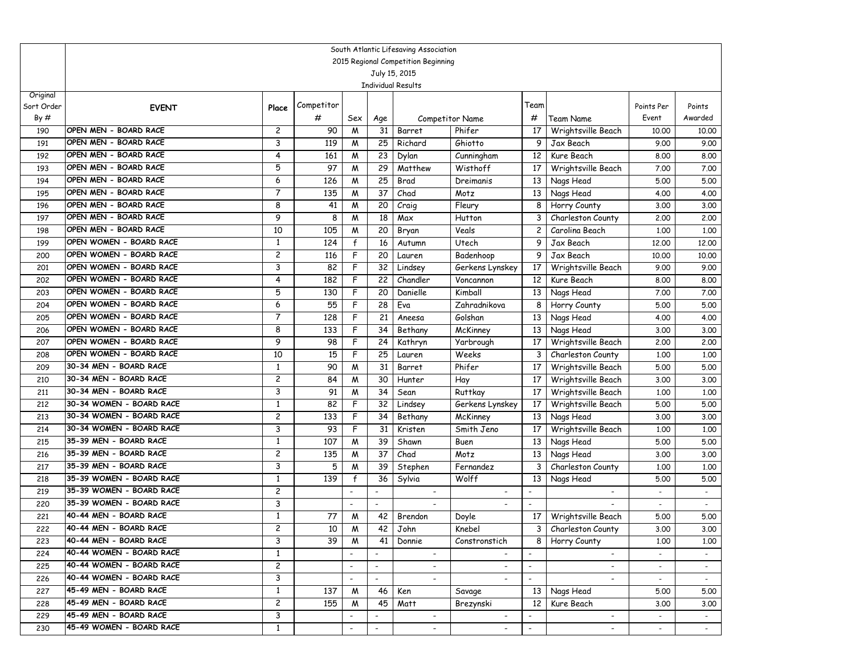|            | South Atlantic Lifesaving Association<br>2015 Regional Competition Beginning |                     |            |                          |                          |                           |                          |                          |                                          |                          |              |  |
|------------|------------------------------------------------------------------------------|---------------------|------------|--------------------------|--------------------------|---------------------------|--------------------------|--------------------------|------------------------------------------|--------------------------|--------------|--|
|            |                                                                              |                     |            |                          |                          |                           |                          |                          |                                          |                          |              |  |
|            |                                                                              |                     |            |                          |                          | July 15, 2015             |                          |                          |                                          |                          |              |  |
| Original   |                                                                              |                     |            |                          |                          | <b>Individual Results</b> |                          |                          |                                          |                          |              |  |
| Sort Order | <b>EVENT</b>                                                                 | Place               | Competitor |                          |                          |                           |                          | Team                     |                                          | Points Per               | Points       |  |
| By#        |                                                                              |                     | #          | Sex                      | Age                      |                           | Competitor Name          | #                        | <b>Team Name</b>                         | Event                    | Awarded      |  |
| 190        | OPEN MEN - BOARD RACE                                                        | $\overline{c}$      | 90         | M                        | 31                       | Barret                    | Phifer                   | 17                       | Wrightsville Beach                       | 10.00                    | 10.00        |  |
| 191        | OPEN MEN - BOARD RACE                                                        | 3                   | 119        | M                        | 25                       | Richard                   | Ghiotto                  | 9                        | Jax Beach                                | 9.00                     | 9.00         |  |
| 192        | OPEN MEN - BOARD RACE                                                        | 4                   | 161        | M                        | 23                       | Dylan                     | Cunningham               | 12                       | Kure Beach                               | 8.00                     | 8.00         |  |
| 193        | OPEN MEN - BOARD RACE                                                        | 5                   | 97         | M                        | 29                       | Matthew                   | Wisthoff                 | 17                       | Wrightsville Beach                       | 7.00                     | 7.00         |  |
| 194        | OPEN MEN - BOARD RACE                                                        | 6                   | 126        | M                        | 25                       | Brad                      | Dreimanis                | 13                       | Nags Head                                | 5.00                     | 5.00         |  |
| 195        | OPEN MEN - BOARD RACE                                                        | $\overline{7}$      | 135        | W                        | $\overline{37}$          | Chad                      | Motz                     | 13                       | Nags Head                                | 4.00                     | 4.00         |  |
| 196        | OPEN MEN - BOARD RACE                                                        | 8                   | 41         | W                        | 20                       | Craig                     | Fleury                   | 8                        | Horry County                             | 3.00                     | 3.00         |  |
| 197        | OPEN MEN - BOARD RACE                                                        | 9                   | 8          | M                        | 18                       | Max                       | Hutton                   | 3                        | Charleston County                        | 2,00                     | 2.00         |  |
| 198        | OPEN MEN - BOARD RACE                                                        | 10                  | 105        | M                        | 20                       | Bryan                     | Veals                    | $\mathbf{2}$             | Carolina Beach                           | 1.00                     | 1.00         |  |
| 199        | OPEN WOMEN - BOARD RACE                                                      | 1                   | 124        | $\mathsf{f}$             | 16                       | Autumn                    | Utech                    | 9                        | Jax Beach                                | 12.00                    | 12.00        |  |
| 200        | OPEN WOMEN - BOARD RACE                                                      | $\overline{c}$      | 116        | F                        | 20                       | Lauren                    | Badenhoop                | 9                        | Jax Beach                                | 10.00                    | 10.00        |  |
| 201        | OPEN WOMEN - BOARD RACE                                                      | 3                   | 82         | F                        | 32                       | Lindsey                   | Gerkens Lynskey          | 17                       | Wrightsville Beach                       | 9.00                     | 9.00         |  |
| 202        | OPEN WOMEN - BOARD RACE                                                      | 4                   | 182        | F                        | 22                       | Chandler                  | Voncannon                | 12                       | Kure Beach                               | 8.00                     | 8.00         |  |
| 203        | OPEN WOMEN - BOARD RACE                                                      | 5                   | 130        | F                        | 20                       | Danielle                  | Kimball                  | 13                       | Nags Head                                | 7.00                     | 7.00         |  |
| 204        | OPEN WOMEN - BOARD RACE                                                      | 6                   | 55         | F                        | 28                       | Eva                       | Zahradnikova             | 8                        | Horry County                             | 5.00                     | 5.00         |  |
| 205        | OPEN WOMEN - BOARD RACE                                                      | $\overline{7}$      | 128        | F                        | 21                       | Aneesa                    | Golshan                  | 13                       | Nags Head                                | 4.00                     | 4.00         |  |
| 206        | OPEN WOMEN - BOARD RACE                                                      | 8                   | 133        | F                        | 34                       | Bethany                   | McKinney                 | 13                       | Nags Head                                | 3.00                     | 3.00         |  |
| 207        | OPEN WOMEN - BOARD RACE                                                      | 9                   | 98         | F                        | 24                       | Kathryn                   | Yarbrough                | 17                       | Wrightsville Beach                       | 2,00                     | 2,00         |  |
| 208        | OPEN WOMEN - BOARD RACE                                                      | 10                  | 15         | F                        | 25                       | Lauren                    | Weeks                    | 3                        | Charleston County                        | 1,00                     | 1.00         |  |
| 209        | 30-34 MEN - BOARD RACE<br>30-34 MEN - BOARD RACE                             | 1                   | 90         | W                        | 31<br>30                 | Barret                    | Phifer                   | 17                       | Wrightsville Beach                       | 5.00                     | 5.00         |  |
| 210        | 30-34 MEN - BOARD RACE                                                       | $\overline{c}$<br>3 | 84<br>91   | M                        | 34                       | Hunter                    | Hay<br>Ruttkay           | 17<br>17                 | Wrightsville Beach                       | 3.00                     | 3.00         |  |
| 211<br>212 | 30-34 WOMEN - BOARD RACE                                                     | 1                   | 82         | M<br>F                   | 32                       | Sean<br>Lindsey           | Gerkens Lynskey          | 17                       | Wrightsville Beach<br>Wrightsville Beach | 1,00<br>5.00             | 1.00<br>5.00 |  |
| 213        | 30-34 WOMEN - BOARD RACE                                                     | $\overline{c}$      | 133        | F                        | 34                       | Bethany                   | McKinney                 | 13                       | Nags Head                                | 3.00                     | 3.00         |  |
| 214        | 30-34 WOMEN - BOARD RACE                                                     | 3                   | 93         | F                        | 31                       | Kristen                   | Smith Jeno               | 17                       | Wrightsville Beach                       | 1,00                     | 1.00         |  |
| 215        | 35-39 MEN - BOARD RACE                                                       | 1                   | 107        | W                        | 39                       | Shawn                     | Buen                     | 13                       | Nags Head                                | 5.00                     | 5.00         |  |
| 216        | 35-39 MEN - BOARD RACE                                                       | 2                   | 135        | M                        | 37                       | Chad                      | Motz                     | 13                       | Nags Head                                | 3.00                     | 3.00         |  |
| 217        | 35-39 MEN - BOARD RACE                                                       | 3                   | 5          | M                        | 39                       | Stephen                   | Fernandez                | 3                        | Charleston County                        | 1,00                     | 1.00         |  |
| 218        | 35-39 WOMEN - BOARD RACE                                                     | 1                   | 139        | $\mathsf{f}$             | 36                       | Sylvia                    | Wolff                    | 13                       | Nags Head                                | 5.00                     | 5.00         |  |
| 219        | 35-39 WOMEN - BOARD RACE                                                     | 2                   |            |                          | $\overline{\phantom{a}}$ |                           |                          |                          |                                          |                          | $\sim$       |  |
| 220        | 35-39 WOMEN - BOARD RACE                                                     | 3                   |            | $\blacksquare$           | $\overline{\phantom{a}}$ |                           |                          |                          |                                          | $\blacksquare$           | $\sim$       |  |
| 221        | 40-44 MEN - BOARD RACE                                                       | $\mathbf{1}$        | 77         | M                        | 42                       | Brendon                   | Doyle                    | 17                       | Wrightsville Beach                       | 5.00                     | 5.00         |  |
| 222        | 40-44 MEN - BOARD RACE                                                       | $\overline{c}$      | 10         | $\overline{M}$           | 42                       | John                      | Knebel                   |                          | 3 Charleston County                      | 3.00                     | 3.00         |  |
| 223        | 40-44 MEN - BOARD RACE                                                       | 3                   | 39         | M                        | 41                       | Donnie                    | Constronstich            | 8                        | Horry County                             | 1,00                     | 1,00         |  |
| 224        | 40-44 WOMEN - BOARD RACE                                                     | 1                   |            |                          |                          |                           |                          |                          |                                          |                          |              |  |
| 225        | 40-44 WOMEN - BOARD RACE                                                     | $\overline{c}$      |            | $\blacksquare$           | $\blacksquare$           | $\overline{\phantom{a}}$  |                          | $\overline{\phantom{a}}$ | $\overline{\phantom{0}}$                 | $\sim$                   | $\sim$       |  |
| 226        | 40-44 WOMEN - BOARD RACE                                                     | 3                   |            | $\overline{\phantom{a}}$ | $\blacksquare$           | $\sim$                    | $\overline{\phantom{a}}$ | $\overline{\phantom{a}}$ | $\overline{\phantom{0}}$                 | $\sim$                   | $\sim$       |  |
| 227        | 45-49 MEN - BOARD RACE                                                       | $\mathbf{1}$        | 137        | M                        | 46                       | Ken                       | Savage                   | 13                       | Nags Head                                | 5.00                     | 5.00         |  |
| 228        | 45-49 MEN - BOARD RACE                                                       | $\overline{c}$      | 155        | M                        | 45                       | Matt                      | Brezynski                | 12 <sup>1</sup>          | Kure Beach                               | 3.00                     | 3.00         |  |
| 229        | 45-49 MEN - BOARD RACE                                                       | 3                   |            |                          | $\overline{\phantom{a}}$ | $\sim$                    | $\overline{\phantom{a}}$ |                          | $\overline{\phantom{a}}$                 |                          |              |  |
| 230        | 45-49 WOMEN - BOARD RACE                                                     | $\mathbf{1}$        |            | $\overline{\phantom{a}}$ | $\overline{\phantom{a}}$ | $\overline{\phantom{a}}$  | $\overline{\phantom{a}}$ | $\overline{\phantom{a}}$ | $\overline{\phantom{a}}$                 | $\overline{\phantom{a}}$ |              |  |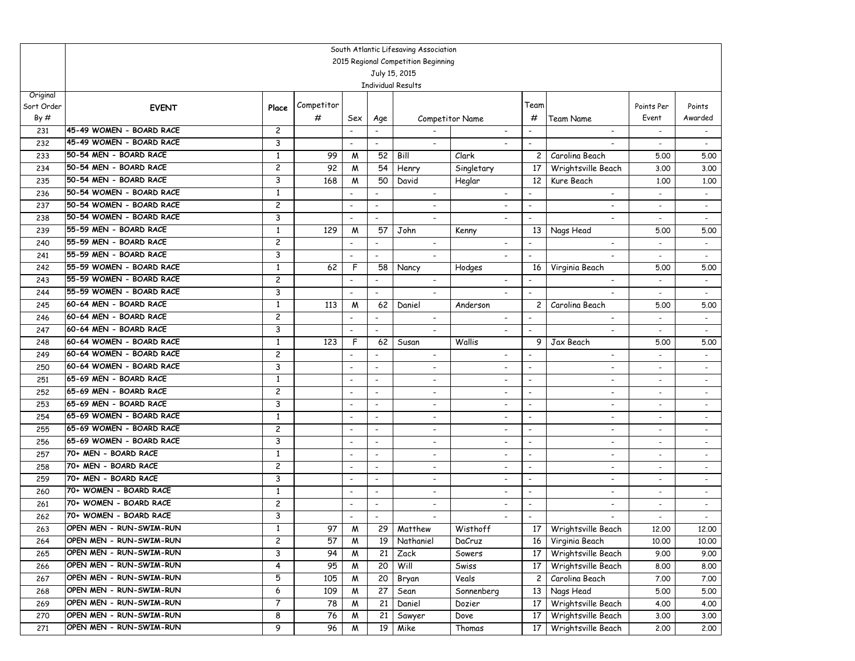|            | South Atlantic Lifesaving Association                                             |                     |                 |                          |                          |            |                          |                          |                          |                          |                          |                          |  |
|------------|-----------------------------------------------------------------------------------|---------------------|-----------------|--------------------------|--------------------------|------------|--------------------------|--------------------------|--------------------------|--------------------------|--------------------------|--------------------------|--|
|            | 2015 Regional Competition Beginning<br>July 15, 2015<br><b>Individual Results</b> |                     |                 |                          |                          |            |                          |                          |                          |                          |                          |                          |  |
|            |                                                                                   |                     |                 |                          |                          |            |                          |                          |                          |                          |                          |                          |  |
|            |                                                                                   |                     |                 |                          |                          |            |                          |                          |                          |                          |                          |                          |  |
| Original   |                                                                                   |                     | Competitor      |                          |                          |            |                          |                          | Team                     |                          |                          |                          |  |
| Sort Order | <b>EVENT</b>                                                                      | Place               |                 |                          |                          |            |                          |                          | #                        |                          | Points Per<br>Event      | Points<br>Awarded        |  |
| By#        | 45-49 WOMEN - BOARD RACE                                                          |                     | #               | Sex                      | Age                      |            |                          | Competitor Name          |                          | <b>Team Name</b>         |                          |                          |  |
| 231        | 45-49 WOMEN - BOARD RACE                                                          | $\overline{c}$      |                 | $\overline{\phantom{a}}$ |                          |            |                          |                          |                          |                          | $\blacksquare$           | $\blacksquare$           |  |
| 232        | 50-54 MEN - BOARD RACE                                                            | 3                   |                 | $\overline{\phantom{a}}$ | $\overline{\phantom{a}}$ |            | $-$                      | $\overline{\phantom{a}}$ | $\overline{\phantom{a}}$ | $\overline{\phantom{a}}$ | $\overline{\phantom{a}}$ | $\overline{\phantom{a}}$ |  |
| 233        | 50-54 MEN - BOARD RACE                                                            | 1                   | 99              | M                        | 52                       | Bill       |                          | Clark                    | $\overline{c}$           | Carolina Beach           | 5.00                     | 5.00                     |  |
| 234        | 50-54 MEN - BOARD RACE                                                            | $\overline{c}$<br>3 | 92              | M                        | 54                       | Henry      |                          | Singletary               | 17                       | Wrightsville Beach       | 3.00                     | 3.00                     |  |
| 235        | 50-54 WOMEN - BOARD RACE                                                          | $\mathbf{1}$        | 168             | M                        | 50                       | David      |                          | Heglar                   | 12                       | Kure Beach               | 1,00                     | 1,00                     |  |
| 236        | 50-54 WOMEN - BOARD RACE                                                          |                     |                 | $\overline{\phantom{a}}$ | $\overline{\phantom{a}}$ |            | $\sim$                   |                          | $\blacksquare$           | $\overline{\phantom{a}}$ | $\overline{\phantom{a}}$ | $\overline{\phantom{a}}$ |  |
| 237        | 50-54 WOMEN - BOARD RACE                                                          | 2<br>3              |                 | $\overline{\phantom{a}}$ | $\blacksquare$           |            | $\blacksquare$           |                          | $\overline{\phantom{a}}$ | $\overline{\phantom{a}}$ | $\overline{\phantom{a}}$ | $\overline{\phantom{a}}$ |  |
| 238        | 55-59 MEN - BOARD RACE                                                            |                     |                 | $\overline{\phantom{a}}$ | $\overline{\phantom{a}}$ |            | $\overline{\phantom{a}}$ | $\overline{\phantom{a}}$ | $\overline{\phantom{a}}$ | ٠                        |                          | $\overline{\phantom{a}}$ |  |
| 239        | 55-59 MEN - BOARD RACE                                                            | 1                   | 129             | M                        | 57                       | John       |                          | Kenny                    | 13                       | Nags Head                | 5.00                     | 5.00                     |  |
| 240        |                                                                                   | $\overline{c}$      |                 |                          | $\blacksquare$           |            | $\blacksquare$           | $\overline{\phantom{a}}$ | $\blacksquare$           | $\overline{\phantom{0}}$ |                          | $\blacksquare$           |  |
| 241        | 55-59 MEN - BOARD RACE<br>55-59 WOMEN - BOARD RACE                                | 3                   |                 | $\overline{\phantom{a}}$ | $\blacksquare$           |            | $\overline{\phantom{a}}$ | $\overline{\phantom{a}}$ | $\blacksquare$           | $\overline{\phantom{a}}$ | $\blacksquare$           | $\sim$                   |  |
| 242        | 55-59 WOMEN - BOARD RACE                                                          | $\mathbf{1}$        | 62              | F                        | 58                       | Nancy      |                          | Hodges                   | 16                       | Virginia Beach           | 5.00                     | 5.00                     |  |
| 243        | 55-59 WOMEN - BOARD RACE                                                          | $\overline{c}$      |                 | $\sim$                   | $\blacksquare$           |            | $\overline{\phantom{a}}$ | $\overline{\phantom{a}}$ |                          | $\overline{\phantom{a}}$ | $\overline{\phantom{a}}$ | $\blacksquare$           |  |
| 244        | 60-64 MEN - BOARD RACE                                                            | 3                   |                 | $\overline{\phantom{a}}$ | $\overline{\phantom{a}}$ |            | $\overline{\phantom{a}}$ | $\overline{\phantom{a}}$ | $\overline{\phantom{a}}$ | $\overline{\phantom{a}}$ | $\overline{\phantom{a}}$ | $\overline{\phantom{a}}$ |  |
| 245        | 60-64 MEN - BOARD RACE                                                            | 1                   | 113             | M                        | 62                       | Daniel     |                          | Anderson                 | 2                        | Carolina Beach           | 5.00                     | 5.00                     |  |
| 246        | 60-64 MEN - BOARD RACE                                                            | $\overline{c}$      |                 | $\overline{\phantom{a}}$ | $\overline{\phantom{a}}$ |            | $\overline{\phantom{a}}$ | $\overline{\phantom{a}}$ | $\overline{\phantom{a}}$ | $\overline{\phantom{a}}$ | $\blacksquare$           | $\blacksquare$           |  |
| 247        |                                                                                   | 3                   |                 | $\overline{\phantom{a}}$ | $\blacksquare$           |            | $\blacksquare$           |                          | $\blacksquare$           | $\blacksquare$           |                          | $\blacksquare$           |  |
| 248        | 60-64 WOMEN - BOARD RACE<br>60-64 WOMEN - BOARD RACE                              | $\mathbf{1}$        | 123             | F                        | 62                       | Susan      |                          | Wallis                   | 9                        | Jax Beach                | 5.00                     | 5.00                     |  |
| 249        | 60-64 WOMEN - BOARD RACE                                                          | $\overline{c}$      |                 | $\overline{\phantom{a}}$ | $\blacksquare$           |            | $\overline{\phantom{a}}$ |                          | $\overline{\phantom{a}}$ |                          | $\overline{\phantom{a}}$ | $\overline{\phantom{a}}$ |  |
| 250        | 65-69 MEN - BOARD RACE                                                            | 3                   |                 | $\overline{\phantom{a}}$ | $\overline{\phantom{a}}$ |            | $\overline{\phantom{a}}$ | $\overline{\phantom{a}}$ | $\overline{\phantom{a}}$ | $\overline{\phantom{a}}$ | $\blacksquare$           | $\overline{\phantom{a}}$ |  |
| 251        | 65-69 MEN - BOARD RACE                                                            | 1                   |                 | $\overline{\phantom{a}}$ | $\overline{\phantom{a}}$ |            | $\overline{\phantom{a}}$ |                          | $\overline{\phantom{a}}$ | -                        | $\overline{\phantom{a}}$ | $\overline{\phantom{a}}$ |  |
| 252        | 65-69 MEN - BOARD RACE                                                            | $\overline{c}$      |                 | $\overline{\phantom{a}}$ | $\overline{\phantom{a}}$ |            | $\overline{\phantom{a}}$ | $\overline{\phantom{a}}$ | $\overline{\phantom{a}}$ | ٠                        | $\blacksquare$           | $\sim$                   |  |
| 253        | 65-69 WOMEN - BOARD RACE                                                          | 3                   |                 | $\overline{\phantom{a}}$ | $\blacksquare$           |            | $\overline{\phantom{a}}$ |                          | $\blacksquare$           | $\overline{\phantom{0}}$ |                          |                          |  |
| 254        | 65-69 WOMEN - BOARD RACE                                                          | 1                   |                 | $\overline{\phantom{a}}$ | $\blacksquare$           |            | $\overline{\phantom{a}}$ | $\overline{\phantom{a}}$ | $\blacksquare$           | $\overline{\phantom{0}}$ | $\overline{\phantom{a}}$ | $\sim$                   |  |
| 255        | 65-69 WOMEN - BOARD RACE                                                          | $\overline{c}$      |                 | $\overline{\phantom{a}}$ | $\overline{\phantom{a}}$ |            | $\overline{\phantom{a}}$ |                          | $\overline{\phantom{a}}$ | $\overline{\phantom{0}}$ | $\overline{\phantom{a}}$ | $\blacksquare$           |  |
| 256        | 70+ MEN - BOARD RACE                                                              | 3                   |                 | $\overline{\phantom{a}}$ | $\overline{\phantom{a}}$ |            | $\overline{\phantom{a}}$ | $\overline{\phantom{a}}$ | $\overline{\phantom{a}}$ | $\overline{\phantom{0}}$ | $\overline{\phantom{a}}$ | $\overline{\phantom{a}}$ |  |
| 257        | 70+ MEN - BOARD RACE                                                              | 1                   |                 | $\overline{\phantom{a}}$ | $\overline{\phantom{a}}$ |            | $\overline{\phantom{a}}$ | $\overline{\phantom{a}}$ | $\overline{\phantom{a}}$ | $\overline{\phantom{a}}$ | $\overline{\phantom{a}}$ | $\blacksquare$           |  |
| 258        | 70+ MEN - BOARD RACE                                                              | $\overline{c}$<br>3 |                 | $\overline{\phantom{a}}$ | $\overline{\phantom{a}}$ |            | $\overline{\phantom{a}}$ | $\overline{\phantom{a}}$ | $\overline{\phantom{a}}$ | $\overline{\phantom{a}}$ | $\overline{\phantom{a}}$ | $\blacksquare$           |  |
| 259        | 70+ WOMEN - BOARD RACE                                                            |                     |                 | $\overline{\phantom{a}}$ | $\blacksquare$           |            | $\blacksquare$           |                          | $\overline{\phantom{a}}$ | $\overline{\phantom{0}}$ |                          |                          |  |
| 260        | 70+ WOMEN - BOARD RACE                                                            | 1                   |                 | $\overline{\phantom{a}}$ | $\overline{\phantom{a}}$ |            | $\overline{\phantom{a}}$ | $\overline{\phantom{a}}$ | $\overline{\phantom{a}}$ | $\overline{\phantom{a}}$ |                          | $\overline{\phantom{a}}$ |  |
| 261        | 70+ WOMEN - BOARD RACE                                                            | 2                   |                 | $\overline{\phantom{a}}$ | $\overline{\phantom{a}}$ |            | $\overline{\phantom{a}}$ | $\overline{\phantom{a}}$ | $\overline{\phantom{a}}$ | $\overline{\phantom{a}}$ | $\overline{\phantom{a}}$ | $\overline{\phantom{a}}$ |  |
| 262        | OPEN MEN - RUN-SWIM-RUN                                                           | 3                   |                 | $\overline{\phantom{a}}$ | $\blacksquare$           |            | $\blacksquare$           | $\overline{\phantom{a}}$ | $\blacksquare$           | $\blacksquare$           | $\sim$                   | $\sim$                   |  |
| 263        |                                                                                   | $\mathbf{1}$        | $\overline{97}$ | ${\mathsf M}$            |                          | 29 Matthew |                          | Wisthoff                 |                          | 17 Wrightsville Beach    | 12,00                    | 12.00                    |  |
| 264        | OPEN MEN - RUN-SWIM-RUN                                                           | 2                   | 57              | M                        | 19                       | Nathaniel  |                          | DaCruz                   | 16                       | Virginia Beach           | 10.00                    | 10.00                    |  |
| 265        | OPEN MEN - RUN-SWIM-RUN                                                           | 3                   | 94              | M                        | 21                       | Zack       |                          | Sowers                   | 17                       | Wrightsville Beach       | 9.00                     | 9.00                     |  |
| 266        | OPEN MEN - RUN-SWIM-RUN                                                           | 4                   | 95              | M                        | 20                       | Will       |                          | Swiss                    | 17                       | Wrightsville Beach       | 8.00                     | 8.00                     |  |
| 267        | OPEN MEN - RUN-SWIM-RUN                                                           | 5                   | 105             | M                        | 20                       | Bryan      |                          | Veals                    | $\overline{c}$           | Carolina Beach           | 7.00                     | 7.00                     |  |
| 268        | OPEN MEN - RUN-SWIM-RUN                                                           | 6                   | 109             | M                        | 27                       | Sean       |                          | Sonnenberg               | 13                       | Nags Head                | 5.00                     | 5.00                     |  |
| 269        | OPEN MEN - RUN-SWIM-RUN                                                           | 7                   | 78              | M                        | 21                       | Daniel     |                          | Dozier                   | 17                       | Wrightsville Beach       | 4.00                     | 4.00                     |  |
| 270        | OPEN MEN - RUN-SWIM-RUN                                                           | 8                   | 76              | M                        | 21                       | Sawyer     |                          | Dove                     | 17                       | Wrightsville Beach       | 3.00                     | 3.00                     |  |
| 271        | OPEN MEN - RUN-SWIM-RUN                                                           | 9                   | 96              | M                        | 19                       | Mike       |                          | Thomas                   | 17                       | Wrightsville Beach       | 2.00                     | 2.00                     |  |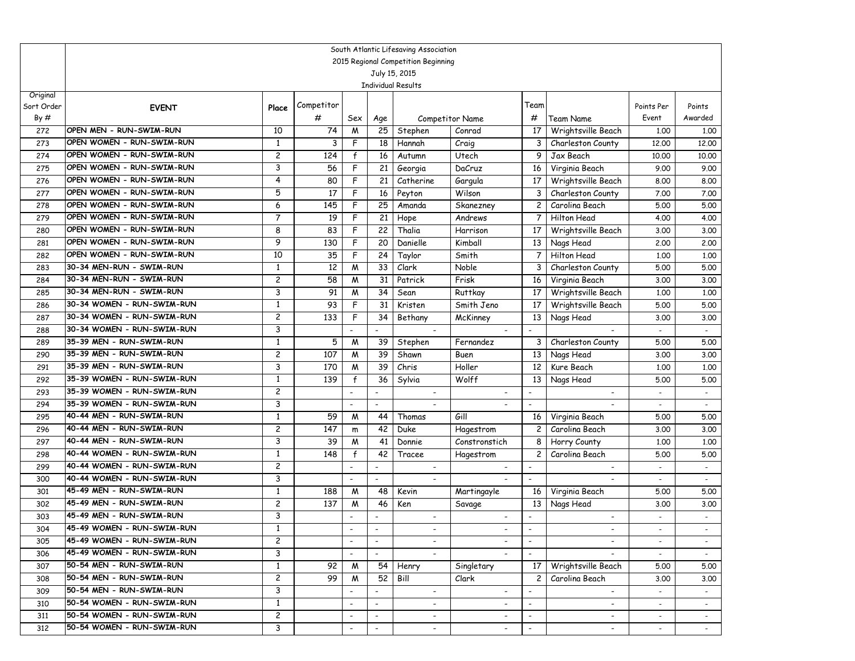|                   | South Atlantic Lifesaving Association<br>2015 Regional Competition Beginning |                |            |                          |                          |                          |                          |                          |                                         |                |                             |  |  |
|-------------------|------------------------------------------------------------------------------|----------------|------------|--------------------------|--------------------------|--------------------------|--------------------------|--------------------------|-----------------------------------------|----------------|-----------------------------|--|--|
|                   | July 15, 2015<br><b>Individual Results</b>                                   |                |            |                          |                          |                          |                          |                          |                                         |                |                             |  |  |
|                   |                                                                              |                |            |                          |                          |                          |                          |                          |                                         |                |                             |  |  |
|                   |                                                                              |                |            |                          |                          |                          |                          |                          |                                         |                |                             |  |  |
| Original          |                                                                              |                | Competitor |                          |                          |                          |                          | Team                     |                                         | Points Per     |                             |  |  |
| Sort Order<br>By# | <b>EVENT</b>                                                                 | Place          |            |                          |                          |                          |                          | #                        |                                         | Event          | Points<br>Awarded           |  |  |
|                   | OPEN MEN - RUN-SWIM-RUN                                                      | 10             | #          | Sex                      | Age                      |                          | Competitor Name          |                          | <b>Team Name</b>                        |                |                             |  |  |
| 272               | OPEN WOMEN - RUN-SWIM-RUN                                                    |                | 74         | M<br>F                   | 25                       | Stephen                  | Conrad                   | 17                       | Wrightsville Beach                      | 1.00           | 1.00                        |  |  |
| 273               | OPEN WOMEN - RUN-SWIM-RUN                                                    | 1<br>2         | 3<br>124   | f                        | 18<br>16                 | Hannah                   | Craig<br>Utech           | 3<br>9                   | Charleston County                       | 12,00          | 12.00                       |  |  |
| 274               | OPEN WOMEN - RUN-SWIM-RUN                                                    | 3              | 56         | F                        | 21                       | Autumn                   |                          |                          | Jax Beach                               | 10.00          | 10.00                       |  |  |
| 275<br>276        | OPEN WOMEN - RUN-SWIM-RUN                                                    | 4              | 80         | F                        | 21                       | Georgia<br>Catherine     | DaCruz                   | 16<br>17                 | Virginia Beach                          | 9.00           | 9.00<br>8.00                |  |  |
| 277               | OPEN WOMEN - RUN-SWIM-RUN                                                    | 5              | 17         | F                        | 16                       | Peyton                   | Gargula<br>Wilson        | 3                        | Wrightsville Beach<br>Charleston County | 8.00<br>7.00   | 7.00                        |  |  |
| 278               | OPEN WOMEN - RUN-SWIM-RUN                                                    | 6              | 145        | F                        | 25                       | Amanda                   | Skanezney                | $\mathbf{2}$             | Carolina Beach                          | 5.00           | 5.00                        |  |  |
| 279               | OPEN WOMEN - RUN-SWIM-RUN                                                    | $\overline{7}$ | 19         | F                        | 21                       | Hope                     | Andrews                  | $\overline{7}$           | Hilton Head                             | 4.00           | 4.00                        |  |  |
| 280               | OPEN WOMEN - RUN-SWIM-RUN                                                    | 8              | 83         | F                        | 22                       | Thalia                   | Harrison                 | 17                       | Wrightsville Beach                      | 3.00           | 3.00                        |  |  |
| 281               | OPEN WOMEN - RUN-SWIM-RUN                                                    | 9              | 130        | F                        | 20                       | Danielle                 | Kimball                  | 13                       | Nags Head                               | 2.00           | 2.00                        |  |  |
| 282               | OPEN WOMEN - RUN-SWIM-RUN                                                    | 10             | 35         | F                        | 24                       | Taylor                   | Smith                    | $\overline{7}$           | Hilton Head                             | 1.00           | 1,00                        |  |  |
| 283               | 30-34 MEN-RUN - SWIM-RUN                                                     | $\mathbf{1}$   | 12         | M                        | 33                       | Clark                    | Noble                    | 3                        | Charleston County                       | 5.00           | 5.00                        |  |  |
| 284               | 30-34 MEN-RUN - SWIM-RUN                                                     | 2              | 58         | M                        | 31                       | Patrick                  | Frisk                    | 16                       | Virginia Beach                          | 3.00           | 3.00                        |  |  |
| 285               | 30-34 MEN-RUN - SWIM-RUN                                                     | 3              | 91         | M                        | 34                       | Sean                     | Ruttkay                  | 17                       | Wrightsville Beach                      | 1.00           | 1,00                        |  |  |
| 286               | 30-34 WOMEN - RUN-SWIM-RUN                                                   | 1              | 93         | F                        | 31                       | Kristen                  | Smith Jeno               | 17                       | Wrightsville Beach                      | 5.00           | 5.00                        |  |  |
| 287               | 30-34 WOMEN - RUN-SWIM-RUN                                                   | $\overline{c}$ | 133        | F                        | 34                       | Bethany                  | McKinney                 | 13                       | Nags Head                               | 3.00           | 3.00                        |  |  |
| 288               | 30-34 WOMEN - RUN-SWIM-RUN                                                   | 3              |            | $\blacksquare$           | $\overline{\phantom{a}}$ | $\sim$                   | $\overline{\phantom{a}}$ | $\overline{\phantom{a}}$ | $\blacksquare$                          | $\sim$         | $\sim$                      |  |  |
| 289               | 35-39 MEN - RUN-SWIM-RUN                                                     | $\mathbf{1}$   | 5          | M                        | 39                       | Stephen                  | Fernandez                | 3                        | Charleston County                       | 5.00           | 5.00                        |  |  |
| 290               | 35-39 MEN - RUN-SWIM-RUN                                                     | 2              | 107        | W                        | 39                       | Shawn                    | Buen                     | 13                       | Nags Head                               | 3.00           | 3.00                        |  |  |
| 291               | 35-39 MEN - RUN-SWIM-RUN                                                     | 3              | 170        | M                        | 39                       | Chris                    | Holler                   | 12                       | Kure Beach                              | 1,00           | 1,00                        |  |  |
| 292               | 35-39 WOMEN - RUN-SWIM-RUN                                                   | 1              | 139        | $\mathsf{f}$             | 36                       | Sylvia                   | Wolff                    | 13                       | Nags Head                               | 5.00           | 5.00                        |  |  |
| 293               | 35-39 WOMEN - RUN-SWIM-RUN                                                   | $\overline{c}$ |            | $\blacksquare$           | $\blacksquare$           |                          |                          | $\blacksquare$           | $\overline{a}$                          |                |                             |  |  |
| 294               | 35-39 WOMEN - RUN-SWIM-RUN                                                   | 3              |            |                          | $\overline{\phantom{a}}$ |                          |                          | $\blacksquare$           |                                         |                | $\sim$                      |  |  |
| 295               | 40-44 MEN - RUN-SWIM-RUN                                                     | 1              | 59         | M                        | 44                       | Thomas                   | Gill                     | 16                       | Virginia Beach                          | 5.00           | 5.00                        |  |  |
| 296               | 40-44 MEN - RUN-SWIM-RUN                                                     | $\overline{c}$ | 147        | m                        | 42                       | Duke                     | Hagestrom                | $\mathbf{2}$             | Carolina Beach                          | 3.00           | 3.00                        |  |  |
| 297               | 40-44 MEN - RUN-SWIM-RUN                                                     | 3              | 39         | M                        | 41                       | Donnie                   | Constronstich            | 8                        | Horry County                            | 1,00           | 1,00                        |  |  |
| 298               | 40-44 WOMEN - RUN-SWIM-RUN                                                   | 1              | 148        | $\mathsf{f}$             | 42                       | Tracee                   | Hagestrom                | $\overline{c}$           | Carolina Beach                          | 5.00           | 5.00                        |  |  |
| 299               | 40-44 WOMEN - RUN-SWIM-RUN                                                   | 2              |            | $\overline{\phantom{a}}$ | $\overline{\phantom{a}}$ | $\overline{\phantom{a}}$ |                          |                          | $\overline{\phantom{a}}$                |                |                             |  |  |
| 300               | 40-44 WOMEN - RUN-SWIM-RUN                                                   | 3              |            |                          | $\overline{\phantom{a}}$ | $\blacksquare$           |                          |                          |                                         |                | $\mathcal{L}_{\mathcal{A}}$ |  |  |
| 301               | 45-49 MEN - RUN-SWIM-RUN                                                     | 1              | 188        | M                        | 48                       | Kevin                    | Martingayle              | 16                       | Virginia Beach                          | 5.00           | 5.00                        |  |  |
| 302               | 45-49 MEN - RUN-SWIM-RUN                                                     | 2              | 137        | M                        | 46                       | Ken                      | Savage                   | 13                       | Nags Head                               | 3.00           | 3.00                        |  |  |
| 303               | 45-49 MEN - RUN-SWIM-RUN                                                     | 3              |            |                          |                          | $\overline{\phantom{a}}$ | $\overline{\phantom{a}}$ |                          | $\blacksquare$                          | $\blacksquare$ | $\overline{a}$              |  |  |
| 304               | 45-49 WOMEN - RUN-SWIM-RUN                                                   | $\mathbf{1}$   |            |                          |                          |                          |                          |                          |                                         |                |                             |  |  |
| 305               | 45-49 WOMEN - RUN-SWIM-RUN                                                   | 2              |            |                          |                          |                          |                          |                          |                                         |                |                             |  |  |
| 306               | 45-49 WOMEN - RUN-SWIM-RUN                                                   | 3              |            |                          | $\overline{\phantom{a}}$ |                          |                          | $\overline{\phantom{a}}$ |                                         |                | $\sim$                      |  |  |
| 307               | 50-54 MEN - RUN-SWIM-RUN                                                     | $\mathbf{1}$   | 92         | M                        | 54                       | Henry                    | Singletary               | 17                       | Wrightsville Beach                      | 5.00           | 5.00                        |  |  |
| 308               | 50-54 MEN - RUN-SWIM-RUN                                                     | $\mathbf{2}$   | 99         | M                        | 52                       | Bill                     | Clark                    | $\overline{c}$           | Carolina Beach                          | 3.00           | 3.00                        |  |  |
| 309               | 50-54 MEN - RUN-SWIM-RUN                                                     | 3              |            | $\overline{\phantom{a}}$ | $\overline{\phantom{a}}$ | $\overline{\phantom{a}}$ | $\overline{\phantom{a}}$ |                          | $\sim$                                  | $\blacksquare$ | $\sim$                      |  |  |
| 310               | 50-54 WOMEN - RUN-SWIM-RUN                                                   | 1              |            | $\overline{\phantom{a}}$ | $\overline{\phantom{a}}$ | $\overline{\phantom{a}}$ | $\overline{\phantom{a}}$ | $\overline{\phantom{a}}$ | $\overline{\phantom{a}}$                | $\blacksquare$ | $\sim$                      |  |  |
| 311               | 50-54 WOMEN - RUN-SWIM-RUN                                                   | $\overline{c}$ |            | $\overline{\phantom{a}}$ | $\overline{\phantom{a}}$ | $-$                      | $\overline{\phantom{a}}$ |                          | $\overline{\phantom{a}}$                | $\blacksquare$ | $\sim$                      |  |  |
| 312               | 50-54 WOMEN - RUN-SWIM-RUN                                                   | 3              |            | $\overline{\phantom{a}}$ | $\overline{\phantom{a}}$ | $ \,$                    | $\overline{\phantom{a}}$ | $\overline{\phantom{a}}$ | $\sim$                                  |                |                             |  |  |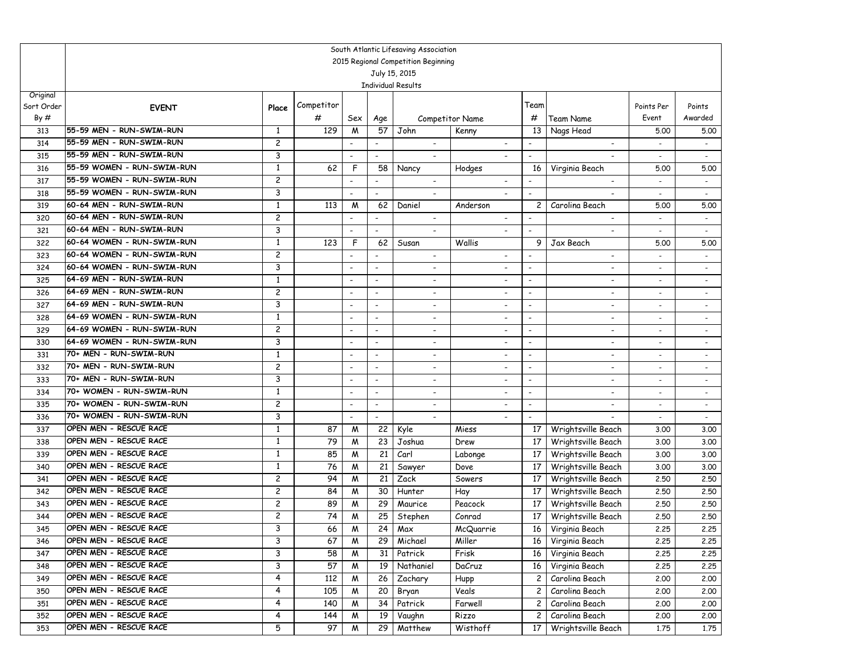|                   |                            |                |            |                                                      |                          | South Atlantic Lifesaving Association |                          |                          |                          |                          |                          |
|-------------------|----------------------------|----------------|------------|------------------------------------------------------|--------------------------|---------------------------------------|--------------------------|--------------------------|--------------------------|--------------------------|--------------------------|
|                   |                            |                |            |                                                      |                          | 2015 Regional Competition Beginning   |                          |                          |                          |                          |                          |
|                   |                            |                |            |                                                      |                          | July 15, 2015                         |                          |                          |                          |                          |                          |
|                   |                            |                |            |                                                      |                          | <b>Individual Results</b>             |                          |                          |                          |                          |                          |
| Original          |                            |                | Competitor |                                                      |                          |                                       |                          | Team                     |                          |                          |                          |
| Sort Order<br>By# | <b>EVENT</b>               | Place          | #          |                                                      |                          |                                       |                          | #                        | <b>Team Name</b>         | Points Per<br>Event      | Points<br>Awarded        |
|                   | 55-59 MEN - RUN-SWIM-RUN   |                | 129        | Sex                                                  | Age<br>57                |                                       | Competitor Name          | 13                       |                          |                          |                          |
| 313               | 55-59 MEN - RUN-SWIM-RUN   | 1<br>2         |            | M                                                    |                          | John                                  | Kenny                    |                          | Nags Head                | 5.00                     | 5.00                     |
| 314               | 55-59 MEN - RUN-SWIM-RUN   | 3              |            |                                                      | $\blacksquare$           | $\overline{\phantom{a}}$              |                          |                          | $\overline{\phantom{a}}$ |                          |                          |
| 315               | 55-59 WOMEN - RUN-SWIM-RUN | 1              | 62         | F                                                    | 58                       | Nancy                                 |                          | $\overline{\phantom{a}}$ |                          |                          |                          |
| 316               | 55-59 WOMEN - RUN-SWIM-RUN | 2              |            |                                                      |                          |                                       | Hodges                   | 16                       | Virginia Beach           | 5.00                     | 5.00                     |
| 317<br>318        | 55-59 WOMEN - RUN-SWIM-RUN | 3              |            | $\overline{\phantom{a}}$<br>$\overline{\phantom{a}}$ | $\overline{\phantom{a}}$ | $\overline{\phantom{a}}$              |                          |                          | $\overline{\phantom{a}}$ | $\overline{\phantom{a}}$ | $\blacksquare$           |
| 319               | 60-64 MEN - RUN-SWIM-RUN   | 1              | 113        | M                                                    | 62                       | Daniel                                | Anderson                 | $\overline{c}$           | Carolina Beach           | 5.00                     | 5.00                     |
| 320               | 60-64 MEN - RUN-SWIM-RUN   | 2              |            |                                                      |                          | $\overline{\phantom{a}}$              |                          |                          |                          |                          |                          |
| 321               | 60-64 MEN - RUN-SWIM-RUN   | 3              |            | $\blacksquare$                                       | $\blacksquare$           |                                       |                          | $\overline{\phantom{a}}$ |                          |                          |                          |
| 322               | 60-64 WOMEN - RUN-SWIM-RUN | 1              | 123        | F                                                    | 62                       | Susan                                 | Wallis                   | 9                        | Jax Beach                | 5.00                     | 5.00                     |
| 323               | 60-64 WOMEN - RUN-SWIM-RUN | 2              |            |                                                      | $\overline{\phantom{a}}$ | $\overline{\phantom{a}}$              | $\overline{\phantom{a}}$ |                          | -                        | $\overline{\phantom{a}}$ | $\sim$                   |
| 324               | 60-64 WOMEN - RUN-SWIM-RUN | 3              |            | $\overline{\phantom{a}}$                             | $\blacksquare$           | $\overline{\phantom{a}}$              | $\overline{\phantom{a}}$ | $\overline{\phantom{a}}$ | $\overline{\phantom{0}}$ | $\overline{\phantom{a}}$ | $\overline{\phantom{0}}$ |
| 325               | 64-69 MEN - RUN-SWIM-RUN   | 1              |            | $\overline{\phantom{a}}$                             | $\overline{\phantom{a}}$ | $\overline{\phantom{a}}$              | $\overline{\phantom{a}}$ | $\overline{\phantom{a}}$ | $\overline{\phantom{a}}$ | $\overline{\phantom{a}}$ | $\sim$                   |
| 326               | 64-69 MEN - RUN-SWIM-RUN   | 2              |            | $\overline{\phantom{a}}$                             | $\overline{\phantom{a}}$ | $\overline{\phantom{a}}$              | $\overline{\phantom{a}}$ | $\overline{\phantom{a}}$ | -                        | $\overline{\phantom{a}}$ | $\overline{\phantom{a}}$ |
| 327               | 64-69 MEN - RUN-SWIM-RUN   | 3              |            | $\overline{\phantom{a}}$                             | $\overline{\phantom{a}}$ |                                       |                          | $\overline{\phantom{a}}$ |                          |                          | $\overline{\phantom{a}}$ |
| 328               | 64-69 WOMEN - RUN-SWIM-RUN | 1              |            | $\overline{\phantom{a}}$                             | $\blacksquare$           | $\blacksquare$                        |                          | $\overline{\phantom{a}}$ | $\overline{\phantom{0}}$ |                          |                          |
| 329               | 64-69 WOMEN - RUN-SWIM-RUN | $\overline{c}$ |            | $\overline{\phantom{a}}$                             | $\overline{\phantom{a}}$ | $\overline{\phantom{a}}$              | $\overline{\phantom{a}}$ | $\overline{\phantom{a}}$ | ٠                        | $\overline{\phantom{a}}$ | $\overline{\phantom{a}}$ |
| 330               | 64-69 WOMEN - RUN-SWIM-RUN | 3              |            | $\overline{\phantom{a}}$                             | $\blacksquare$           | $\overline{\phantom{a}}$              |                          | $\overline{\phantom{a}}$ | $\overline{a}$           |                          | $\overline{\phantom{a}}$ |
| 331               | 70+ MEN - RUN-SWIM-RUN     | 1              |            | $\overline{\phantom{a}}$                             | $\overline{\phantom{a}}$ | $\overline{\phantom{a}}$              | $\overline{\phantom{a}}$ | $\overline{\phantom{a}}$ | ٠                        | $\overline{\phantom{a}}$ | $\sim$                   |
| 332               | 70+ MEN - RUN-SWIM-RUN     | $\overline{c}$ |            | $\overline{\phantom{a}}$                             | $\overline{\phantom{a}}$ | $\overline{\phantom{a}}$              |                          | $\overline{\phantom{a}}$ | -                        | $\blacksquare$           | $\overline{\phantom{a}}$ |
| 333               | 70+ MEN - RUN-SWIM-RUN     | 3              |            | $\overline{\phantom{a}}$                             | $\overline{\phantom{a}}$ | $\overline{\phantom{a}}$              |                          | $\overline{\phantom{a}}$ | ٠                        |                          | $\overline{a}$           |
| 334               | 70+ WOMEN - RUN-SWIM-RUN   | 1              |            | $\overline{\phantom{a}}$                             | $\blacksquare$           |                                       |                          | $\overline{\phantom{a}}$ |                          |                          |                          |
| 335               | 70+ WOMEN - RUN-SWIM-RUN   | $\overline{c}$ |            | $\overline{\phantom{a}}$                             | $\overline{\phantom{a}}$ | $\overline{\phantom{a}}$              | $\overline{\phantom{a}}$ | $\overline{\phantom{a}}$ | $\overline{\phantom{0}}$ |                          | $\overline{\phantom{a}}$ |
| 336               | 70+ WOMEN - RUN-SWIM-RUN   | 3              |            | $\overline{\phantom{a}}$                             | $\overline{\phantom{a}}$ | $\blacksquare$                        |                          | $\blacksquare$           |                          | $\overline{\phantom{a}}$ | $\sim$                   |
| 337               | OPEN MEN - RESCUE RACE     | $\mathbf{1}$   | 87         | M                                                    | 22                       | Kyle                                  | Miess                    | 17                       | Wrightsville Beach       | 3.00                     | 3.00                     |
| 338               | OPEN MEN - RESCUE RACE     | 1              | 79         | M                                                    | 23                       | Joshua                                | Drew                     | 17                       | Wrightsville Beach       | 3.00                     | 3.00                     |
| 339               | OPEN MEN - RESCUE RACE     | 1              | 85         | M                                                    | 21                       | Carl                                  | Labonge                  | 17                       | Wrightsville Beach       | 3.00                     | 3.00                     |
| 340               | OPEN MEN - RESCUE RACE     | 1              | 76         | M                                                    | 21                       | Sawyer                                | Dove                     | 17                       | Wrightsville Beach       | 3.00                     | 3.00                     |
| 341               | OPEN MEN - RESCUE RACE     | $\overline{c}$ | 94         | M                                                    | 21                       | Zack                                  | Sowers                   | 17                       | Wrightsville Beach       | 2.50                     | 2.50                     |
| 342               | OPEN MEN - RESCUE RACE     | 2              | 84         | M                                                    | 30                       | Hunter                                | Hay                      | 17                       | Wrightsville Beach       | 2.50                     | 2.50                     |
| 343               | OPEN MEN - RESCUE RACE     | 2              | 89         | M                                                    | 29                       | Maurice                               | Peacock                  | 17                       | Wrightsville Beach       | 2.50                     | 2.50                     |
| 344               | OPEN MEN - RESCUE RACE     | 2              | 74         | M                                                    | 25                       | Stephen                               | Conrad                   | 17                       | Wrightsville Beach       | 2.50                     | 2.50                     |
| 345               | OPEN MEN - RESCUE RACE     | 3              | 66         | ${\mathsf M}$                                        |                          | $24$ Max                              | McQuarrie                |                          | 16 Virginia Beach        | 2.25                     | 2.25                     |
| 346               | OPEN MEN - RESCUE RACE     | 3              | 67         | W                                                    | 29                       | Michael                               | Miller                   | 16                       | Virginia Beach           | 2.25                     | 2.25                     |
| 347               | OPEN MEN - RESCUE RACE     | 3              | 58         | M                                                    | 31                       | Patrick                               | Frisk                    | 16                       | Virginia Beach           | 2.25                     | 2.25                     |
| 348               | OPEN MEN - RESCUE RACE     | 3              | 57         | M                                                    | 19                       | Nathaniel                             | DaCruz                   | 16                       | Virginia Beach           | 2.25                     | 2.25                     |
| 349               | OPEN MEN - RESCUE RACE     | 4              | 112        | M                                                    | 26                       | Zachary                               | Hupp                     | $\overline{c}$           | Carolina Beach           | 2.00                     | 2.00                     |
| 350               | OPEN MEN - RESCUE RACE     | 4              | 105        | M                                                    | 20                       | Bryan                                 | Veals                    | $\mathbf{2}$             | Carolina Beach           | 2.00                     | 2.00                     |
| 351               | OPEN MEN - RESCUE RACE     | 4              | 140        | M                                                    | 34                       | Patrick                               | Farwell                  | $\mathbf{2}$             | Carolina Beach           | 2,00                     | 2.00                     |
| 352               | OPEN MEN - RESCUE RACE     | 4              | 144        | M                                                    | 19                       | Vaughn                                | Rizzo                    | $\mathbf{2}$             | Carolina Beach           | 2.00                     | 2.00                     |
| 353               | OPEN MEN - RESCUE RACE     | 5              | 97         | M                                                    | 29                       | Matthew                               | Wisthoff                 | 17                       | Wrightsville Beach       | 1.75                     | 1.75                     |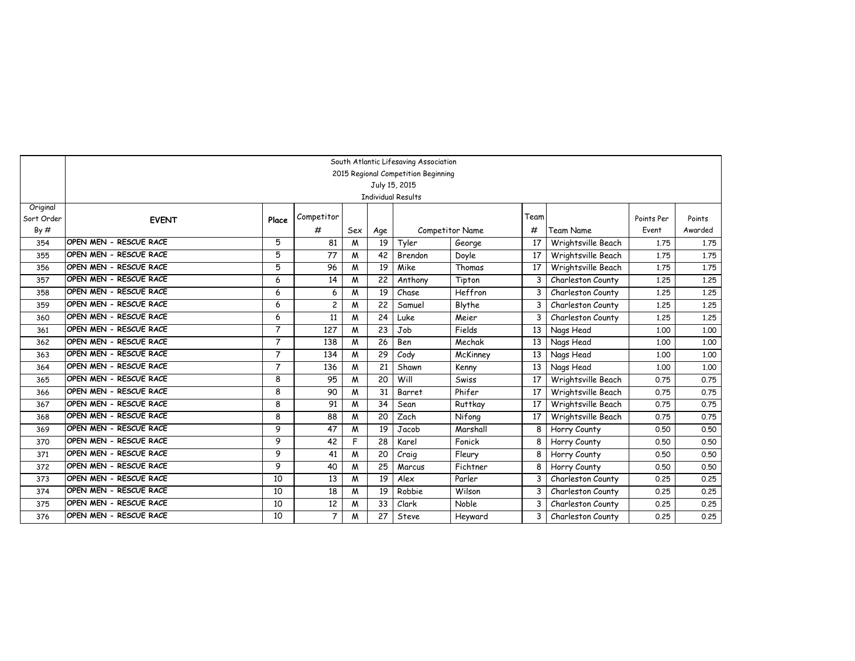|            |                        |                |                |     |     | South Atlantic Lifesaving Association      |                        |      |                    |            |         |
|------------|------------------------|----------------|----------------|-----|-----|--------------------------------------------|------------------------|------|--------------------|------------|---------|
|            |                        |                |                |     |     | 2015 Regional Competition Beginning        |                        |      |                    |            |         |
|            |                        |                |                |     |     | July 15, 2015<br><b>Individual Results</b> |                        |      |                    |            |         |
| Original   |                        |                |                |     |     |                                            |                        |      |                    |            |         |
| Sort Order | <b>EVENT</b>           | Place          | Competitor     |     |     |                                            |                        | Team |                    | Points Per | Points  |
| By#        |                        |                | #              | Sex | Age |                                            | <b>Competitor Name</b> | #    | <b>Team Name</b>   | Event      | Awarded |
| 354        | OPEN MEN - RESCUE RACE | 5              | 81             | M   | 19  | Tyler                                      | George                 | 17   | Wrightsville Beach | 1.75       | 1.75    |
| 355        | OPEN MEN - RESCUE RACE | 5              | 77             | M   | 42  | Brendon                                    | Doyle                  | 17   | Wrightsville Beach | 1.75       | 1.75    |
| 356        | OPEN MEN - RESCUE RACE | 5              | 96             | M   | 19  | Mike                                       | Thomas                 | 17   | Wrightsville Beach | 1.75       | 1.75    |
| 357        | OPEN MEN - RESCUE RACE | 6              | 14             | M   | 22  | Anthony                                    | Tipton                 | 3    | Charleston County  | 1.25       | 1.25    |
| 358        | OPEN MEN - RESCUE RACE | 6              | 6              | M   | 19  | Chase                                      | Heffron                | 3    | Charleston County  | 1,25       | 1,25    |
| 359        | OPEN MEN - RESCUE RACE | 6              | $\overline{c}$ | M   | 22  | Samuel                                     | Blythe                 | 3    | Charleston County  | 1,25       | 1.25    |
| 360        | OPEN MEN - RESCUE RACE | 6              | 11             | M   | 24  | Luke                                       | Meier                  | 3    | Charleston County  | 1,25       | 1,25    |
| 361        | OPEN MEN - RESCUE RACE | $\overline{7}$ | 127            | M   | 23  | Job                                        | Fields                 | 13   | Nags Head          | 1.00       | 1,00    |
| 362        | OPEN MEN - RESCUE RACE | $\overline{7}$ | 138            | M   | 26  | Ben                                        | Mechak                 | 13   | Nags Head          | 1.00       | 1,00    |
| 363        | OPEN MEN - RESCUE RACE | $\overline{7}$ | 134            | M   | 29  | Cody                                       | McKinney               | 13   | Nags Head          | 1.00       | 1,00    |
| 364        | OPEN MEN - RESCUE RACE | $\overline{7}$ | 136            | M   | 21  | Shawn                                      | Kenny                  | 13   | Nags Head          | 1.00       | 1,00    |
| 365        | OPEN MEN - RESCUE RACE | 8              | 95             | M   | 20  | Will                                       | Swiss                  | 17   | Wrightsville Beach | 0.75       | 0.75    |
| 366        | OPEN MEN - RESCUE RACE | 8              | 90             | M   | 31  | Barret                                     | Phifer                 | 17   | Wrightsville Beach | 0.75       | 0.75    |
| 367        | OPEN MEN - RESCUE RACE | 8              | 91             | M   | 34  | Sean                                       | Ruttkay                | 17   | Wrightsville Beach | 0.75       | 0.75    |
| 368        | OPEN MEN - RESCUE RACE | 8              | 88             | M   | 20  | Zach                                       | Nifong                 | 17   | Wrightsville Beach | 0.75       | 0.75    |
| 369        | OPEN MEN - RESCUE RACE | 9              | 47             | M   | 19  | Jacob                                      | Marshall               | 8    | Horry County       | 0.50       | 0.50    |
| 370        | OPEN MEN - RESCUE RACE | 9              | 42             | F   | 28  | Karel                                      | Fonick                 | 8    | Horry County       | 0.50       | 0.50    |
| 371        | OPEN MEN - RESCUE RACE | 9              | 41             | M   | 20  | Craig                                      | Fleury                 | 8    | Horry County       | 0.50       | 0.50    |
| 372        | OPEN MEN - RESCUE RACE | 9              | 40             | M   | 25  | Marcus                                     | Fichtner               | 8    | Horry County       | 0.50       | 0.50    |
| 373        | OPEN MEN - RESCUE RACE | 10             | 13             | M   | 19  | Alex                                       | Parler                 | 3    | Charleston County  | 0.25       | 0.25    |
| 374        | OPEN MEN - RESCUE RACE | 10             | 18             | M   | 19  | Robbie                                     | Wilson                 | 3    | Charleston County  | 0.25       | 0.25    |
| 375        | OPEN MEN - RESCUE RACE | 10             | 12             | M   | 33  | Clark                                      | Noble                  | 3    | Charleston County  | 0.25       | 0.25    |
| 376        | OPEN MEN - RESCUE RACE | 10             | $\overline{7}$ | M   | 27  | Steve                                      | Heyward                | 3    | Charleston County  | 0.25       | 0.25    |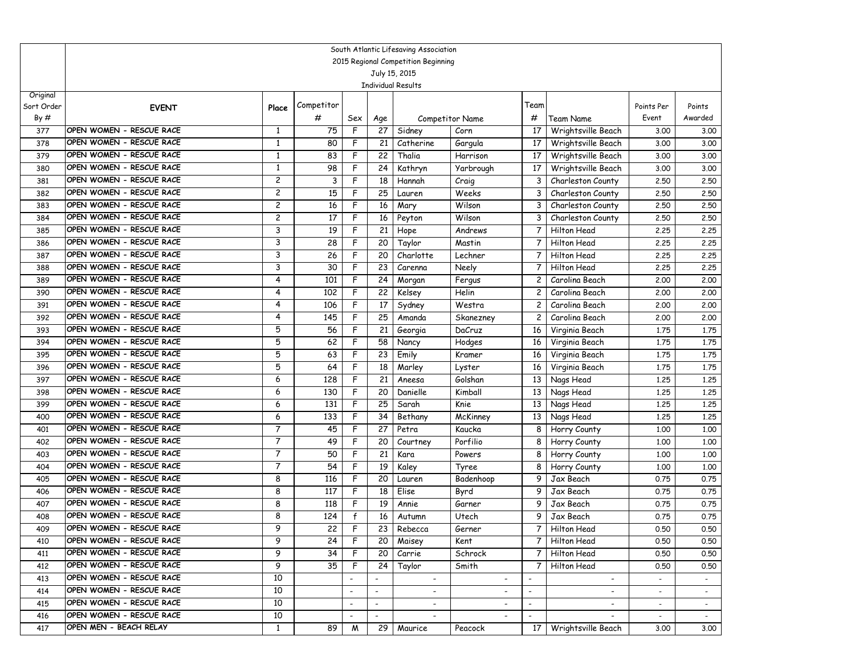|                   | South Atlantic Lifesaving Association<br>2015 Regional Competition Beginning |                |            |                          |                          |                           |                          |                          |                                          |                          |                   |  |
|-------------------|------------------------------------------------------------------------------|----------------|------------|--------------------------|--------------------------|---------------------------|--------------------------|--------------------------|------------------------------------------|--------------------------|-------------------|--|
|                   |                                                                              |                |            |                          |                          |                           |                          |                          |                                          |                          |                   |  |
|                   |                                                                              |                |            |                          |                          | July 15, 2015             |                          |                          |                                          |                          |                   |  |
|                   |                                                                              |                |            |                          |                          | <b>Individual Results</b> |                          |                          |                                          |                          |                   |  |
| Original          |                                                                              |                | Competitor |                          |                          |                           |                          | Team                     |                                          |                          |                   |  |
| Sort Order<br>By# | <b>EVENT</b>                                                                 | Place          |            |                          |                          |                           |                          |                          |                                          | Points Per<br>Event      | Points<br>Awarded |  |
|                   | OPEN WOMEN - RESCUE RACE                                                     | 1              | #          | Sex<br>F                 | Age                      |                           | Competitor Name          | #                        | Team Name                                |                          |                   |  |
| 377               | OPEN WOMEN - RESCUE RACE                                                     |                | 75         | F                        | 27                       | Sidney                    | Corn                     | 17                       | Wrightsville Beach                       | 3.00                     | 3.00              |  |
| 378<br>379        | OPEN WOMEN - RESCUE RACE                                                     | 1<br>1         | 80<br>83   | F                        | 21<br>22                 | Catherine<br>Thalia       | Gargula<br>Harrison      | 17<br>17                 | Wrightsville Beach                       | 3.00<br>3.00             | 3.00              |  |
| 380               | OPEN WOMEN - RESCUE RACE                                                     | 1              | 98         | F                        | 24                       | Kathryn                   | Yarbrough                | 17                       | Wrightsville Beach<br>Wrightsville Beach | 3.00                     | 3.00<br>3.00      |  |
| 381               | OPEN WOMEN - RESCUE RACE                                                     | $\overline{c}$ | 3          | F                        | 18                       | Hannah                    |                          | 3                        | Charleston County                        | 2.50                     | 2.50              |  |
| 382               | OPEN WOMEN - RESCUE RACE                                                     | 2              | 15         | F                        | $\overline{25}$          | Lauren                    | Craig<br>Weeks           | 3                        | Charleston County                        | 2.50                     | 2.50              |  |
| 383               | OPEN WOMEN - RESCUE RACE                                                     | 2              | 16         | F                        | 16                       | Mary                      | Wilson                   | 3                        | Charleston County                        | 2.50                     | 2.50              |  |
| 384               | OPEN WOMEN - RESCUE RACE                                                     | 2              | 17         | F                        | 16                       | Peyton                    | Wilson                   | 3                        | Charleston County                        | 2.50                     | 2.50              |  |
| 385               | OPEN WOMEN - RESCUE RACE                                                     | 3              | 19         | F                        | 21                       | Hope                      | Andrews                  | $\overline{7}$           | Hilton Head                              | 2,25                     | 2.25              |  |
| 386               | OPEN WOMEN - RESCUE RACE                                                     | 3              | 28         | F                        | 20                       | Taylor                    | Mastin                   | 7                        | Hilton Head                              | 2,25                     | 2.25              |  |
| 387               | OPEN WOMEN - RESCUE RACE                                                     | 3              | 26         | F                        | 20                       | Charlotte                 | Lechner                  | 7                        | Hilton Head                              | 2,25                     | 2.25              |  |
| 388               | OPEN WOMEN - RESCUE RACE                                                     | 3              | 30         | F                        | 23                       | Carenna                   | Neely                    | 7                        | Hilton Head                              | 2,25                     | 2.25              |  |
| 389               | OPEN WOMEN - RESCUE RACE                                                     | 4              | 101        | F                        | 24                       | Morgan                    | Fergus                   | $\overline{c}$           | Carolina Beach                           | 2,00                     | 2,00              |  |
| 390               | OPEN WOMEN - RESCUE RACE                                                     | 4              | 102        | F                        | 22                       | Kelsey                    | Helin                    | 2                        | Carolina Beach                           | 2,00                     | 2,00              |  |
| 391               | OPEN WOMEN - RESCUE RACE                                                     | 4              | 106        | F                        | 17                       | Sydney                    | Westra                   | 2                        | Carolina Beach                           | 2,00                     | 2.00              |  |
| 392               | OPEN WOMEN - RESCUE RACE                                                     | 4              | 145        | F                        | 25                       | Amanda                    | Skanezney                | $\overline{c}$           | Carolina Beach                           | 2,00                     | 2.00              |  |
| 393               | OPEN WOMEN - RESCUE RACE                                                     | 5              | 56         | F                        | 21                       | Georgia                   | DaCruz                   | 16                       | Virginia Beach                           | 1.75                     | 1.75              |  |
| 394               | OPEN WOMEN - RESCUE RACE                                                     | 5              | 62         | F                        | 58                       | Nancy                     | Hodges                   | 16                       | Virginia Beach                           | 1.75                     | 1.75              |  |
| 395               | OPEN WOMEN - RESCUE RACE                                                     | 5              | 63         | F                        | 23                       | Emily                     | Kramer                   | 16                       | Virginia Beach                           | 1.75                     | 1.75              |  |
| 396               | OPEN WOMEN - RESCUE RACE                                                     | 5              | 64         | F                        | 18                       | Marley                    | Lyster                   | 16                       | Virginia Beach                           | 1.75                     | 1.75              |  |
| 397               | OPEN WOMEN - RESCUE RACE                                                     | 6              | 128        | F                        | 21                       | Aneesa                    | Golshan                  | 13                       | Nags Head                                | 1,25                     | 1.25              |  |
| 398               | OPEN WOMEN - RESCUE RACE                                                     | 6              | 130        | F                        | 20                       | Danielle                  | Kimball                  | 13                       | Nags Head                                | 1,25                     | 1.25              |  |
| 399               | OPEN WOMEN - RESCUE RACE                                                     | 6              | 131        | F                        | 25                       | Sarah                     | Knie                     | 13                       | Nags Head                                | 1,25                     | 1.25              |  |
| 400               | OPEN WOMEN - RESCUE RACE                                                     | 6              | 133        | F                        | 34                       | Bethany                   | McKinney                 | 13                       | Nags Head                                | 1,25                     | 1.25              |  |
| 401               | OPEN WOMEN - RESCUE RACE                                                     | 7              | 45         | F                        | 27                       | Petra                     | Kaucka                   | 8                        | Horry County                             | 1,00                     | 1.00              |  |
| 402               | OPEN WOMEN - RESCUE RACE                                                     | 7              | 49         | F                        | 20                       | Courtney                  | Porfilio                 | 8                        | Horry County                             | 1,00                     | 1.00              |  |
| 403               | OPEN WOMEN - RESCUE RACE                                                     | 7              | 50         | F                        | 21                       | Kara                      | Powers                   | 8                        | Horry County                             | 1,00                     | 1.00              |  |
| 404               | OPEN WOMEN - RESCUE RACE                                                     | 7              | 54         | F                        | 19                       | Kaley                     | Tyree                    | 8                        | Horry County                             | 1,00                     | 1.00              |  |
| 405               | OPEN WOMEN - RESCUE RACE                                                     | 8              | 116        | F                        | 20                       | Lauren                    | Badenhoop                | 9                        | Jax Beach                                | 0.75                     | 0.75              |  |
| 406               | OPEN WOMEN - RESCUE RACE                                                     | 8              | 117        | F                        | 18                       | Elise                     | Byrd                     | 9                        | Jax Beach                                | 0.75                     | 0.75              |  |
| 407               | OPEN WOMEN - RESCUE RACE                                                     | 8              | 118        | F                        | 19                       | Annie                     | Garner                   | 9                        | Jax Beach                                | 0.75                     | 0.75              |  |
| 408               | OPEN WOMEN - RESCUE RACE                                                     | 8              | 124        | f                        | 16                       | Autumn                    | Utech                    | 9                        | Jax Beach                                | 0.75                     | 0.75              |  |
| 409               | OPEN WOMEN - RESCUE RACE                                                     | 9              | 22         | $\mathsf{F}$             | 23                       | Rebecca                   | Gerner                   |                          | 7 Hilton Head                            | 0.50                     | 0.50              |  |
| 410               | OPEN WOMEN - RESCUE RACE                                                     | 9              | 24         | F                        | 20                       | Maisey                    | Kent                     | 7                        | Hilton Head                              | 0.50                     | 0.50              |  |
| 411               | OPEN WOMEN - RESCUE RACE                                                     | 9              | 34         | F                        | 20                       | Carrie                    | Schrock                  | $7^{\circ}$              | Hilton Head                              | 0.50                     | 0.50              |  |
| 412               | OPEN WOMEN - RESCUE RACE                                                     | 9              | 35         | F                        | 24                       | Taylor                    | Smith                    | $\overline{7}$           | Hilton Head                              | 0.50                     | 0.50              |  |
| 413               | OPEN WOMEN - RESCUE RACE                                                     | 10             |            |                          |                          | $\overline{\phantom{a}}$  | $\overline{\phantom{a}}$ | $\overline{\phantom{a}}$ | $\overline{\phantom{0}}$                 |                          |                   |  |
| 414               | OPEN WOMEN - RESCUE RACE                                                     | 10             |            | $\overline{\phantom{a}}$ | $\overline{\phantom{a}}$ | $\sim$                    | $\overline{\phantom{a}}$ | $\overline{\phantom{a}}$ | $\overline{\phantom{a}}$                 | $\overline{\phantom{a}}$ | $\sim$            |  |
| 415               | OPEN WOMEN - RESCUE RACE                                                     | 10             |            | $\overline{\phantom{a}}$ | $\overline{\phantom{a}}$ | $\overline{\phantom{a}}$  |                          | $\overline{\phantom{a}}$ |                                          | $\sim$                   | $\sim$            |  |
| 416               | OPEN WOMEN - RESCUE RACE                                                     | 10             |            |                          |                          | $\overline{\phantom{a}}$  |                          | $\overline{\phantom{a}}$ |                                          | $\sim$                   | $\sim$            |  |
| 417               | OPEN MEN - BEACH RELAY                                                       | 1              | 89         | M                        | 29                       | Maurice                   | Peacock                  | 17 <sup>1</sup>          | Wrightsville Beach                       | 3.00                     | 3.00              |  |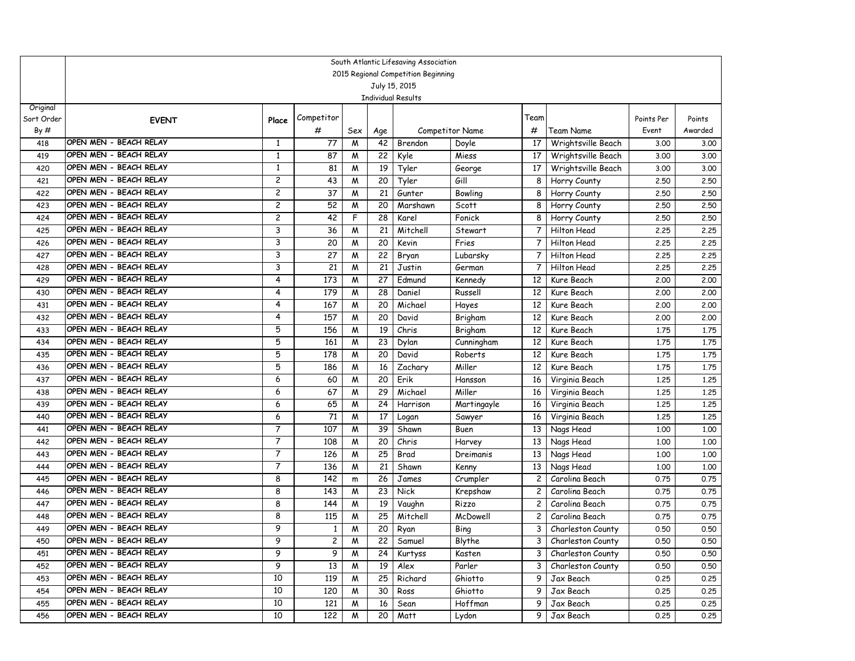|            | South Atlantic Lifesaving Association<br>2015 Regional Competition Beginning |                |              |     |                 |             |                        |                         |                    |            |         |  |  |  |
|------------|------------------------------------------------------------------------------|----------------|--------------|-----|-----------------|-------------|------------------------|-------------------------|--------------------|------------|---------|--|--|--|
|            | July 15, 2015<br><b>Individual Results</b>                                   |                |              |     |                 |             |                        |                         |                    |            |         |  |  |  |
|            |                                                                              |                |              |     |                 |             |                        |                         |                    |            |         |  |  |  |
|            |                                                                              |                |              |     |                 |             |                        |                         |                    |            |         |  |  |  |
| Original   |                                                                              |                | Competitor   |     |                 |             |                        | Team                    |                    |            |         |  |  |  |
| Sort Order | <b>EVENT</b>                                                                 | Place          | #            |     |                 |             |                        |                         |                    | Points Per | Points  |  |  |  |
| By#        | OPEN MEN - BEACH RELAY                                                       |                |              | Sex | Age             |             | <b>Competitor Name</b> | #                       | Team Name          | Event      | Awarded |  |  |  |
| 418        | OPEN MEN - BEACH RELAY                                                       | 1              | 77           | M   | 42              | Brendon     | Doyle                  | 17                      | Wrightsville Beach | 3.00       | 3.00    |  |  |  |
| 419        | OPEN MEN - BEACH RELAY                                                       | 1              | 87           | W   | 22              | Kyle        | Miess                  | 17                      | Wrightsville Beach | 3.00       | 3.00    |  |  |  |
| 420        | OPEN MEN - BEACH RELAY                                                       | 1              | 81           | M   | 19              | Tyler       | George                 | 17                      | Wrightsville Beach | 3.00       | 3.00    |  |  |  |
| 421        | OPEN MEN - BEACH RELAY                                                       | 2              | 43           | W   | 20              | Tyler       | Gill                   | 8                       | Horry County       | 2.50       | 2.50    |  |  |  |
| 422        |                                                                              | 2              | 37           | M   | 21              | Gunter      | Bowling                | 8                       | Horry County       | 2.50       | 2.50    |  |  |  |
| 423        | OPEN MEN - BEACH RELAY<br>OPEN MEN - BEACH RELAY                             | 2              | 52           | M   | 20              | Marshawn    | Scott                  | 8                       | Horry County       | 2.50       | 2.50    |  |  |  |
| 424        |                                                                              | 2              | 42           | F   | 28              | Karel       | Fonick                 | 8                       | Horry County       | 2.50       | 2.50    |  |  |  |
| 425        | OPEN MEN - BEACH RELAY                                                       | 3              | 36           | W   | 21              | Mitchell    | Stewart                | $\overline{7}$          | Hilton Head        | 2.25       | 2.25    |  |  |  |
| 426        | OPEN MEN - BEACH RELAY                                                       | 3              | 20           | W   | 20              | Kevin       | Fries                  | 7                       | Hilton Head        | 2.25       | 2.25    |  |  |  |
| 427        | OPEN MEN - BEACH RELAY                                                       | 3              | 27           | M   | 22              | Bryan       | Lubarsky               | 7                       | Hilton Head        | 2.25       | 2.25    |  |  |  |
| 428        | OPEN MEN - BEACH RELAY                                                       | 3              | 21           | M   | 21              | Justin      | German                 | 7                       | Hilton Head        | 2.25       | 2.25    |  |  |  |
| 429        | OPEN MEN - BEACH RELAY                                                       | 4              | 173          | M   | 27              | Edmund      | Kennedy                | 12                      | Kure Beach         | 2,00       | 2.00    |  |  |  |
| 430        | OPEN MEN - BEACH RELAY                                                       | 4              | 179          | M   | 28              | Daniel      | Russell                | 12                      | Kure Beach         | 2.00       | 2.00    |  |  |  |
| 431        | OPEN MEN - BEACH RELAY                                                       | 4              | 167          | W   | 20              | Michael     | Hayes                  | 12                      | Kure Beach         | 2,00       | 2.00    |  |  |  |
| 432        | OPEN MEN - BEACH RELAY                                                       | 4              | 157          | M   | 20              | David       | Brigham                | 12                      | Kure Beach         | 2.00       | 2.00    |  |  |  |
| 433        | OPEN MEN - BEACH RELAY                                                       | 5              | 156          | M   | 19              | Chris       | Brigham                | 12                      | Kure Beach         | 1.75       | 1.75    |  |  |  |
| 434        | OPEN MEN - BEACH RELAY                                                       | 5              | 161          | W   | 23              | Dylan       | Cunningham             | 12                      | Kure Beach         | 1.75       | 1.75    |  |  |  |
| 435        | OPEN MEN - BEACH RELAY                                                       | 5              | 178          | M   | 20              | David       | Roberts                | 12                      | Kure Beach         | 1.75       | 1.75    |  |  |  |
| 436        | OPEN MEN - BEACH RELAY                                                       | 5              | 186          | M   | 16              | Zachary     | Miller                 | 12                      | Kure Beach         | 1.75       | 1.75    |  |  |  |
| 437        | OPEN MEN - BEACH RELAY                                                       | 6              | 60           | W   | 20              | Erik        | Hansson                | 16                      | Virginia Beach     | 1,25       | 1.25    |  |  |  |
| 438        | OPEN MEN - BEACH RELAY                                                       | 6              | 67           | W   | 29              | Michael     | Miller                 | 16                      | Virginia Beach     | 1.25       | 1.25    |  |  |  |
| 439        | OPEN MEN - BEACH RELAY                                                       | 6              | 65           | W   | 24              | Harrison    | Martingayle            | 16                      | Virginia Beach     | 1.25       | 1.25    |  |  |  |
| 440        | OPEN MEN - BEACH RELAY                                                       | 6              | 71           | W   | 17              | Logan       | Sawyer                 | 16                      | Virginia Beach     | 1.25       | 1.25    |  |  |  |
| 441        | OPEN MEN - BEACH RELAY                                                       | 7              | 107          | M   | 39              | Shawn       | Buen                   | 13                      | Nags Head          | 1,00       | 1.00    |  |  |  |
| 442        | OPEN MEN - BEACH RELAY                                                       | 7              | 108          | M   | 20              | Chris       | Harvey                 | 13                      | Nags Head          | 1,00       | 1.00    |  |  |  |
| 443        | OPEN MEN - BEACH RELAY                                                       | $\overline{7}$ | 126          | W   | 25              | Brad        | Dreimanis              | 13                      | Nags Head          | 1.00       | 1.00    |  |  |  |
| 444        | OPEN MEN - BEACH RELAY                                                       | $\overline{7}$ | 136          | W   | 21              | Shawn       | Kenny                  | 13                      | Nags Head          | 1,00       | 1.00    |  |  |  |
| 445        | OPEN MEN - BEACH RELAY                                                       | 8              | 142          | m   | 26              | James       | Crumpler               | 2                       | Carolina Beach     | 0.75       | 0.75    |  |  |  |
| 446        | OPEN MEN - BEACH RELAY                                                       | 8              | 143          | M   | 23              | <b>Nick</b> | Krepshaw               | 2                       | Carolina Beach     | 0.75       | 0.75    |  |  |  |
| 447        | OPEN MEN - BEACH RELAY                                                       | 8              | 144          | M   | 19              | Vaughn      | Rizzo                  | 2                       | Carolina Beach     | 0.75       | 0.75    |  |  |  |
| 448        | OPEN MEN - BEACH RELAY                                                       | 8              | 115          | M   | 25              | Mitchell    | McDowell               | $\overline{c}$          | Carolina Beach     | 0.75       | 0.75    |  |  |  |
| 449        | OPEN MEN - BEACH RELAY                                                       | 9              | 1            | M   | 20              | Ryan        | Bing                   | 3                       | Charleston County  | 0.50       | 0.50    |  |  |  |
| 450        | OPEN MEN - BEACH RELAY                                                       | 9              | $\mathbf{2}$ | M   | $\overline{22}$ | Samuel      | Blythe                 | $\overline{\mathbf{3}}$ | Charleston County  | 0.50       | 0.50    |  |  |  |
| 451        | OPEN MEN - BEACH RELAY                                                       | 9              | 9            | M   | 24              | Kurtyss     | Kasten                 | 3 <sup>1</sup>          | Charleston County  | 0.50       | 0.50    |  |  |  |
| 452        | OPEN MEN - BEACH RELAY                                                       | 9              | 13           | M   | 19              | Alex        | Parler                 | 3                       | Charleston County  | 0.50       | 0.50    |  |  |  |
| 453        | OPEN MEN - BEACH RELAY                                                       | 10             | 119          | M   | 25              | Richard     | Ghiotto                | 9                       | Jax Beach          | 0.25       | 0.25    |  |  |  |
| 454        | OPEN MEN - BEACH RELAY                                                       | 10             | 120          | M   | 30              | Ross        | Ghiotto                | 9                       | Jax Beach          | 0.25       | 0.25    |  |  |  |
| 455        | OPEN MEN - BEACH RELAY                                                       | 10             | 121          | M   | 16              | Sean        | Hoffman                | 9                       | Jax Beach          | 0.25       | 0.25    |  |  |  |
| 456        | OPEN MEN - BEACH RELAY                                                       | 10             | 122          | M   | 20              | Matt        | Lydon                  | 9                       | Jax Beach          | 0.25       | 0.25    |  |  |  |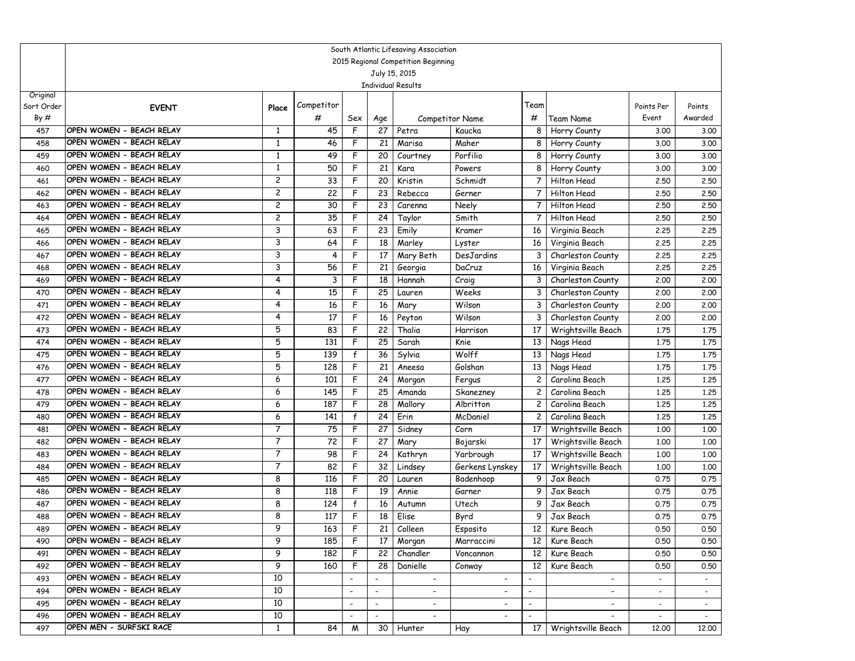|            | South Atlantic Lifesaving Association                |                     |            |                          |                          |                                     |                          |                          |                          |                          |                   |  |
|------------|------------------------------------------------------|---------------------|------------|--------------------------|--------------------------|-------------------------------------|--------------------------|--------------------------|--------------------------|--------------------------|-------------------|--|
|            |                                                      |                     |            |                          |                          | 2015 Regional Competition Beginning |                          |                          |                          |                          |                   |  |
|            |                                                      |                     |            |                          |                          | July 15, 2015                       |                          |                          |                          |                          |                   |  |
|            |                                                      |                     |            |                          |                          | <b>Individual Results</b>           |                          |                          |                          |                          |                   |  |
| Original   |                                                      |                     | Competitor |                          |                          |                                     |                          | Team                     |                          |                          |                   |  |
| Sort Order | <b>EVENT</b>                                         | Place               |            |                          |                          |                                     |                          |                          |                          | Points Per               | Points<br>Awarded |  |
| By#        |                                                      |                     | #          | Sex                      | Age                      |                                     | Competitor Name          | #                        | Team Name                | Event                    |                   |  |
| 457        | OPEN WOMEN - BEACH RELAY                             | 1                   | 45         | F                        | 27                       | Petra                               | Kaucka                   | 8                        | Horry County             | 3.00                     | 3.00              |  |
| 458        | OPEN WOMEN - BEACH RELAY                             | 1                   | 46         | F                        | 21                       | Marisa                              | Maher                    | 8                        | Horry County             | 3.00                     | 3.00              |  |
| 459        | OPEN WOMEN - BEACH RELAY<br>OPEN WOMEN - BEACH RELAY | 1                   | 49         | F                        | 20                       | Courtney                            | Porfilio                 | 8                        | Horry County             | 3.00                     | 3.00              |  |
| 460        | OPEN WOMEN - BEACH RELAY                             | 1<br>$\overline{c}$ | 50         | F<br>F                   | 21                       | Kara                                | Powers                   | 8                        | Horry County             | 3.00                     | 3.00              |  |
| 461        | OPEN WOMEN - BEACH RELAY                             |                     | 33<br>22   | F                        | 20<br>23                 | Kristin                             | Schmidt                  | $\overline{7}$           | Hilton Head              | 2.50                     | 2.50              |  |
| 462        | OPEN WOMEN - BEACH RELAY                             | 2                   |            |                          |                          | Rebecca                             | Gerner                   | 7                        | Hilton Head              | 2.50                     | 2.50              |  |
| 463        | OPEN WOMEN - BEACH RELAY                             | 2                   | 30         | F                        | 23                       | Carenna                             | Neely                    | 7                        | Hilton Head              | 2.50                     | 2.50              |  |
| 464        | OPEN WOMEN - BEACH RELAY                             | 2                   | 35         | F                        | 24                       | Taylor                              | Smith                    | 7                        | Hilton Head              | 2.50                     | 2.50              |  |
| 465        | OPEN WOMEN - BEACH RELAY                             | 3                   | 63         | F                        | 23                       | Emily                               | Kramer                   | 16                       | Virginia Beach           | 2,25                     | 2.25              |  |
| 466        |                                                      | 3                   | 64         | F                        | 18                       | Marley                              | Lyster                   | 16                       | Virginia Beach           | 2,25                     | 2.25              |  |
| 467        | OPEN WOMEN - BEACH RELAY                             | 3                   | 4          | F                        | 17                       | Mary Beth                           | DesJardins               | 3                        | Charleston County        | 2,25                     | 2.25              |  |
| 468        | OPEN WOMEN - BEACH RELAY                             | 3                   | 56         | F                        | 21                       | Georgia                             | DaCruz                   | 16                       | Virginia Beach           | 2,25                     | 2.25              |  |
| 469        | OPEN WOMEN - BEACH RELAY                             | 4                   | 3          | F                        | 18                       | Hannah                              | Craig                    | 3                        | Charleston County        | 2,00                     | 2.00              |  |
| 470        | OPEN WOMEN - BEACH RELAY                             | 4                   | 15         | F                        | 25                       | Lauren                              | Weeks                    | 3                        | Charleston County        | 2,00                     | 2,00              |  |
| 471        | OPEN WOMEN - BEACH RELAY                             | 4                   | 16         | F                        | 16                       | Mary                                | Wilson                   | 3                        | Charleston County        | 2,00                     | 2.00              |  |
| 472        | OPEN WOMEN - BEACH RELAY                             | 4                   | 17         | F                        | 16                       | Peyton                              | Wilson                   | 3                        | Charleston County        | 2,00                     | 2.00              |  |
| 473        | OPEN WOMEN - BEACH RELAY                             | 5                   | 83         | F                        | 22                       | Thalia                              | Harrison                 | 17                       | Wrightsville Beach       | 1.75                     | 1.75              |  |
| 474        | OPEN WOMEN - BEACH RELAY                             | 5                   | 131        | F                        | 25                       | Sarah                               | Knie                     | 13                       | Nags Head                | 1.75                     | 1.75              |  |
| 475        | OPEN WOMEN - BEACH RELAY                             | 5                   | 139        | $\mathsf{f}$             | 36                       | Sylvia                              | Wolff                    | 13                       | Nags Head                | 1.75                     | 1.75              |  |
| 476        | OPEN WOMEN - BEACH RELAY                             | 5                   | 128        | F                        | 21                       | Aneesa                              | Golshan                  | 13                       | Nags Head                | 1.75                     | 1.75              |  |
| 477        | OPEN WOMEN - BEACH RELAY                             | 6                   | 101        | F                        | 24                       | Morgan                              | Fergus                   | 2                        | Carolina Beach           | 1,25                     | 1.25              |  |
| 478        | OPEN WOMEN - BEACH RELAY                             | 6                   | 145        | F                        | 25                       | Amanda                              | Skanezney                | $\mathbf{2}$             | Carolina Beach           | 1,25                     | 1.25              |  |
| 479        | OPEN WOMEN - BEACH RELAY                             | 6                   | 187        | F                        | 28                       | Mallory                             | Albritton                | 2                        | Carolina Beach           | 1,25                     | 1.25              |  |
| 480        | OPEN WOMEN - BEACH RELAY                             | 6                   | 141        | $\mathsf{f}$             | 24                       | Erin                                | McDaniel                 | 2                        | Carolina Beach           | 1,25                     | 1.25              |  |
| 481        | OPEN WOMEN - BEACH RELAY                             | 7                   | 75         | F                        | 27                       | Sidney                              | Corn                     | 17                       | Wrightsville Beach       | 1.00                     | 1.00              |  |
| 482        | OPEN WOMEN - BEACH RELAY                             | 7                   | 72         | F                        | 27                       | Mary                                | Bojarski                 | 17                       | Wrightsville Beach       | 1,00                     | 1.00              |  |
| 483        | OPEN WOMEN - BEACH RELAY                             | 7                   | 98         | F                        | 24                       | Kathryn                             | Yarbrough                | 17                       | Wrightsville Beach       | 1,00                     | 1.00              |  |
| 484        | OPEN WOMEN - BEACH RELAY                             | 7                   | 82         | F                        | 32                       | Lindsey                             | Gerkens Lynskey          | 17                       | Wrightsville Beach       | 1,00                     | 1.00              |  |
| 485        | OPEN WOMEN - BEACH RELAY                             | 8                   | 116        | F                        | 20                       | Lauren                              | Badenhoop                | 9                        | Jax Beach                | 0.75                     | 0.75              |  |
| 486        | OPEN WOMEN - BEACH RELAY                             | 8                   | 118        | F                        | 19                       | Annie                               | Garner                   | 9                        | Jax Beach                | 0.75                     | 0.75              |  |
| 487        | OPEN WOMEN - BEACH RELAY                             | 8                   | 124        | f                        | 16                       | Autumn                              | Utech                    | 9                        | Jax Beach                | 0.75                     | 0.75              |  |
| 488        | OPEN WOMEN - BEACH RELAY                             | 8                   | 117        | F                        | 18                       | Elise                               | Byrd                     | 9                        | Jax Beach                | 0.75                     | 0.75              |  |
| 489        | OPEN WOMEN - BEACH RELAY                             | 9                   | 163        | $\mathsf F$              |                          | 21 Colleen                          | Esposito                 |                          | 12 Kure Beach            | 0.50                     | 0.50              |  |
| 490        | OPEN WOMEN - BEACH RELAY                             | 9                   | 185        | F                        | 17                       | Morgan                              | Marraccini               | 12                       | Kure Beach               | 0.50                     | 0.50              |  |
| 491        | OPEN WOMEN - BEACH RELAY                             | 9                   | 182        | F                        | 22                       | Chandler                            | Voncannon                | 12 <sup>1</sup>          | Kure Beach               | 0.50                     | 0.50              |  |
| 492        | OPEN WOMEN - BEACH RELAY                             | 9                   | 160        | $\mathsf{F}$             | 28                       | Danielle                            | Conway                   | 12 <sup>1</sup>          | Kure Beach               | 0.50                     | 0.50              |  |
| 493        | OPEN WOMEN - BEACH RELAY                             | 10                  |            |                          |                          | $\overline{\phantom{a}}$            |                          |                          | $\overline{\phantom{a}}$ |                          |                   |  |
| 494        | OPEN WOMEN - BEACH RELAY                             | 10                  |            | $\overline{\phantom{a}}$ | $\overline{\phantom{a}}$ | $\sim$                              | $\overline{\phantom{a}}$ | $\overline{\phantom{a}}$ | $\overline{\phantom{a}}$ | $\overline{\phantom{a}}$ | $\sim$            |  |
| 495        | OPEN WOMEN - BEACH RELAY                             | 10                  |            | $\overline{\phantom{a}}$ | $\overline{\phantom{a}}$ | $\overline{\phantom{a}}$            |                          | $\overline{\phantom{a}}$ |                          | $\sim$                   | $\sim$            |  |
| 496        | OPEN WOMEN - BEACH RELAY                             | 10                  |            |                          |                          | $\overline{\phantom{a}}$            |                          | $\overline{\phantom{a}}$ |                          | $\sim$                   | $\sim$            |  |
| 497        | OPEN MEN - SURFSKI RACE                              | $\mathbf{1}$        | 84         | M                        |                          | 30 Hunter                           | Hay                      | 17 <sup>1</sup>          | Wrightsville Beach       | 12.00                    | 12.00             |  |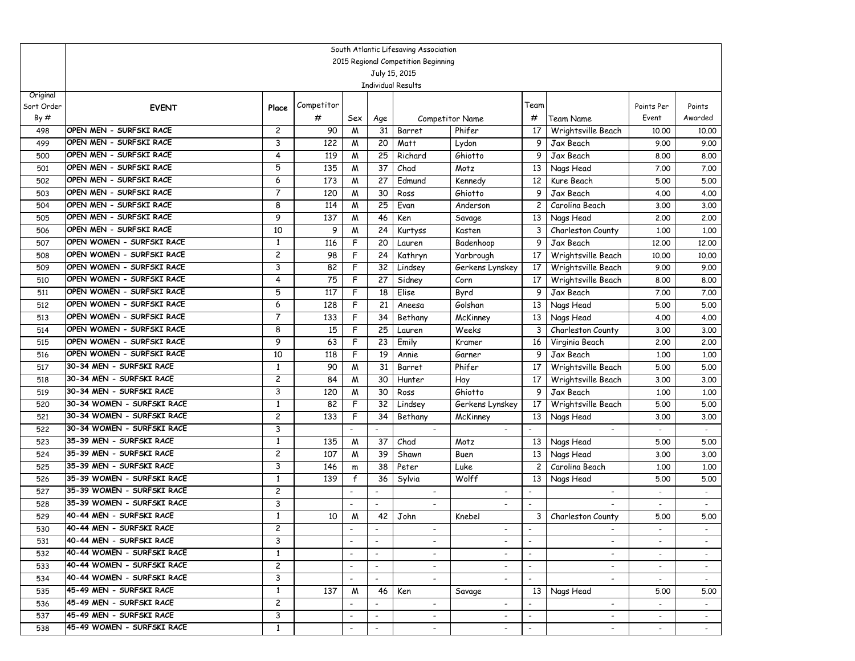|                        | South Atlantic Lifesaving Association                    |                                         |            |                          |                          |                           |                          |                                                      |                          |                          |         |  |  |
|------------------------|----------------------------------------------------------|-----------------------------------------|------------|--------------------------|--------------------------|---------------------------|--------------------------|------------------------------------------------------|--------------------------|--------------------------|---------|--|--|
|                        | 2015 Regional Competition Beginning                      |                                         |            |                          |                          |                           |                          |                                                      |                          |                          |         |  |  |
|                        |                                                          |                                         |            |                          |                          | July 15, 2015             |                          |                                                      |                          |                          |         |  |  |
|                        |                                                          |                                         |            |                          |                          | <b>Individual Results</b> |                          |                                                      |                          |                          |         |  |  |
| Original<br>Sort Order |                                                          |                                         | Competitor |                          |                          |                           |                          | Team                                                 |                          | Points Per               | Points  |  |  |
| By#                    | <b>EVENT</b>                                             | Place                                   | #          | Sex                      | Age                      |                           | <b>Competitor Name</b>   | #                                                    | <b>Team Name</b>         | Event                    | Awarded |  |  |
| 498                    | OPEN MEN - SURFSKI RACE                                  | $\overline{c}$                          | 90         | M                        | 31                       | Barret                    | Phifer                   | 17                                                   | Wrightsville Beach       | 10.00                    | 10.00   |  |  |
| 499                    | OPEN MEN - SURFSKI RACE                                  | 3                                       | 122        | M                        | 20                       | Matt                      | Lydon                    | 9                                                    | Jax Beach                | 9.00                     | 9.00    |  |  |
| 500                    | OPEN MEN - SURFSKI RACE                                  | 4                                       | 119        | M                        | 25                       | Richard                   | Ghiotto                  | 9                                                    | Jax Beach                | 8.00                     | 8.00    |  |  |
| 501                    | OPEN MEN - SURFSKI RACE                                  | 5                                       | 135        | M                        | 37                       | Chad                      | Motz                     | 13                                                   | Nags Head                | 7.00                     | 7.00    |  |  |
| 502                    | OPEN MEN - SURFSKI RACE                                  | 6                                       | 173        | M                        | 27                       | Edmund                    | Kennedy                  | 12                                                   | Kure Beach               | 5.00                     | 5.00    |  |  |
| 503                    | OPEN MEN - SURFSKI RACE                                  | $\overline{7}$                          | 120        | W                        | $\overline{30}$          | Ross                      | Ghiotto                  | 9                                                    | Jax Beach                | 4.00                     | 4.00    |  |  |
| 504                    | OPEN MEN - SURFSKI RACE                                  | 8                                       | 114        | M                        | 25                       | Evan                      | Anderson                 | $\mathbf{2}$                                         | Carolina Beach           | 3.00                     | 3.00    |  |  |
| 505                    | OPEN MEN - SURFSKI RACE                                  | 9                                       | 137        | M                        | 46                       | Ken                       | Savage                   | 13                                                   | Nags Head                | 2,00                     | 2.00    |  |  |
| 506                    | OPEN MEN - SURFSKI RACE                                  | 10                                      | 9          | M                        | 24                       | Kurtyss                   | Kasten                   | 3                                                    | Charleston County        | 1.00                     | 1.00    |  |  |
| 507                    | OPEN WOMEN - SURFSKI RACE                                | 1                                       | 116        | F                        | 20                       | Lauren                    | Badenhoop                | 9                                                    | Jax Beach                | 12.00                    | 12.00   |  |  |
| 508                    | OPEN WOMEN - SURFSKI RACE                                | 2                                       | 98         | F                        | 24                       | Kathryn                   | Yarbrough                | 17                                                   | Wrightsville Beach       | 10.00                    | 10.00   |  |  |
| 509                    | OPEN WOMEN - SURFSKI RACE                                | 3                                       | 82         | F                        | 32                       | Lindsey                   | Gerkens Lynskey          | 17                                                   | Wrightsville Beach       | 9.00                     | 9.00    |  |  |
| 510                    | OPEN WOMEN - SURFSKI RACE                                | 4                                       | 75         | F                        | 27                       | Sidney                    | Corn                     | 17                                                   | Wrightsville Beach       | 8.00                     | 8.00    |  |  |
| 511                    | OPEN WOMEN - SURFSKI RACE                                | 5                                       | 117        | F                        | 18                       | Elise                     | Byrd                     | 9                                                    | Jax Beach                | 7.00                     | 7.00    |  |  |
| 512                    | OPEN WOMEN - SURFSKI RACE                                | 6                                       | 128        | F                        | 21                       | Aneesa                    | Golshan                  | 13                                                   | Nags Head                | 5.00                     | 5.00    |  |  |
| 513                    | OPEN WOMEN - SURFSKI RACE                                | 7                                       | 133        | F                        | 34                       | Bethany                   | McKinney                 | 13                                                   | Nags Head                | 4.00                     | 4.00    |  |  |
| 514                    | OPEN WOMEN - SURFSKI RACE                                | 8                                       | 15         | F                        | $\overline{25}$          | Lauren                    | Weeks                    | 3                                                    | Charleston County        | 3.00                     | 3.00    |  |  |
| 515                    | OPEN WOMEN - SURFSKI RACE                                | 9                                       | 63         | F                        | 23                       | Emily                     | Kramer                   | 16                                                   | Virginia Beach           | 2,00                     | 2.00    |  |  |
| 516                    | OPEN WOMEN - SURFSKI RACE                                | 10                                      | 118        | F                        | 19                       | Annie                     | Garner                   | 9                                                    | Jax Beach                | 1,00                     | 1.00    |  |  |
| 517                    | 30-34 MEN - SURFSKI RACE                                 | 1                                       | 90         | W                        | 31                       | Barret                    | Phifer                   | 17                                                   | Wrightsville Beach       | 5.00                     | 5.00    |  |  |
| 518                    | 30-34 MEN - SURFSKI RACE                                 | $\overline{c}$                          | 84         | M                        | 30                       | Hunter                    | Hay                      | 17                                                   | Wrightsville Beach       | 3.00                     | 3.00    |  |  |
| 519                    | 30-34 MEN - SURFSKI RACE                                 | 3                                       | 120        | M                        | 30                       | Ross                      | Ghiotto                  | 9                                                    | Jax Beach                | 1,00                     | 1.00    |  |  |
| 520                    | 30-34 WOMEN - SURFSKI RACE                               | 1                                       | 82         | F                        | 32                       | Lindsey                   | Gerkens Lynskey          | 17                                                   | Wrightsville Beach       | 5.00                     | 5.00    |  |  |
| 521                    | 30-34 WOMEN - SURFSKI RACE                               | 2                                       | 133        | F                        | 34                       | Bethany                   | McKinney                 | 13                                                   | Nags Head                | 3.00                     | 3.00    |  |  |
| 522                    | 30-34 WOMEN - SURFSKI RACE                               | 3                                       |            |                          | $\blacksquare$           |                           |                          |                                                      |                          | $\overline{\phantom{a}}$ | $\sim$  |  |  |
| 523                    | 35-39 MEN - SURFSKI RACE                                 | 1                                       | 135        | M                        | 37                       | Chad                      | Motz                     | 13                                                   | Nags Head                | 5.00                     | 5.00    |  |  |
| 524                    | 35-39 MEN - SURFSKI RACE                                 | 2                                       | 107        | M                        | 39                       | Shawn                     | Buen                     | 13                                                   | Nags Head                | 3.00                     | 3.00    |  |  |
| 525                    | 35-39 MEN - SURFSKI RACE                                 | 3                                       | 146        | m                        | 38                       | Peter                     | Luke                     | $\overline{c}$                                       | Carolina Beach           | 1,00                     | 1.00    |  |  |
| 526                    | 35-39 WOMEN - SURFSKI RACE<br>35-39 WOMEN - SURFSKI RACE | 1                                       | 139        | $\mathsf{f}$             | 36                       | Sylvia                    | Wolff                    | 13                                                   | Nags Head                | 5.00                     | 5.00    |  |  |
| 527                    | 35-39 WOMEN - SURFSKI RACE                               | 2<br>3                                  |            |                          | $\overline{\phantom{a}}$ |                           |                          |                                                      |                          |                          | $\sim$  |  |  |
| 528                    | 40-44 MEN - SURFSKI RACE                                 |                                         |            | $\blacksquare$           | $\blacksquare$           | $\blacksquare$            |                          |                                                      |                          | $\overline{\phantom{a}}$ | $\sim$  |  |  |
| 529<br>530             | 40-44 MEN - SURFSKI RACE                                 | $\mathbf{1}$<br>$\overline{\mathbf{c}}$ | 10         | M                        | 42                       | John                      | Knebel                   | 3                                                    | Charleston County        | 5.00                     | 5.00    |  |  |
|                        | 40-44 MEN - SURFSKI RACE                                 | 3                                       |            |                          |                          |                           |                          |                                                      |                          |                          |         |  |  |
| 531<br>532             | 40-44 WOMEN - SURFSKI RACE                               | 1                                       |            | $\overline{\phantom{a}}$ |                          | $\overline{\phantom{a}}$  |                          |                                                      | $\overline{\phantom{0}}$ |                          |         |  |  |
| 533                    | 40-44 WOMEN - SURFSKI RACE                               | $\overline{c}$                          |            | $\blacksquare$           | $\overline{\phantom{a}}$ | $\overline{\phantom{0}}$  |                          | $\overline{\phantom{a}}$<br>$\overline{\phantom{a}}$ | $\overline{\phantom{0}}$ | $\sim$                   |         |  |  |
| 534                    | 40-44 WOMEN - SURFSKI RACE                               | 3                                       |            | $\overline{\phantom{a}}$ | $\overline{\phantom{a}}$ | $\overline{\phantom{a}}$  | $\overline{\phantom{a}}$ | $\overline{\phantom{a}}$                             | $\overline{\phantom{0}}$ | $\sim$                   | $\sim$  |  |  |
| 535                    | 45-49 MEN - SURFSKI RACE                                 | $\mathbf{1}$                            | 137        | M                        | 46                       | Ken                       | Savage                   |                                                      | 13 Nags Head             | 5.00                     | 5.00    |  |  |
| 536                    | 45-49 MEN - SURFSKI RACE                                 | $\overline{c}$                          |            |                          | $\overline{\phantom{a}}$ | $\overline{\phantom{a}}$  | $\overline{\phantom{a}}$ |                                                      | $\overline{\phantom{a}}$ | $\sim$                   | $\sim$  |  |  |
| 537                    | 45-49 MEN - SURFSKI RACE                                 | 3                                       |            | $\overline{\phantom{a}}$ | $\overline{\phantom{a}}$ | $\overline{\phantom{a}}$  | $\overline{\phantom{a}}$ | $\overline{\phantom{a}}$                             | $\overline{\phantom{a}}$ | $\sim$                   | $\sim$  |  |  |
| 538                    | 45-49 WOMEN - SURFSKI RACE                               | 1                                       |            | $\overline{\phantom{a}}$ | $\overline{\phantom{a}}$ | $\overline{\phantom{a}}$  | $\overline{\phantom{a}}$ |                                                      | $\overline{\phantom{a}}$ | $\overline{\phantom{a}}$ |         |  |  |
|                        |                                                          |                                         |            |                          |                          |                           |                          |                                                      |                          |                          |         |  |  |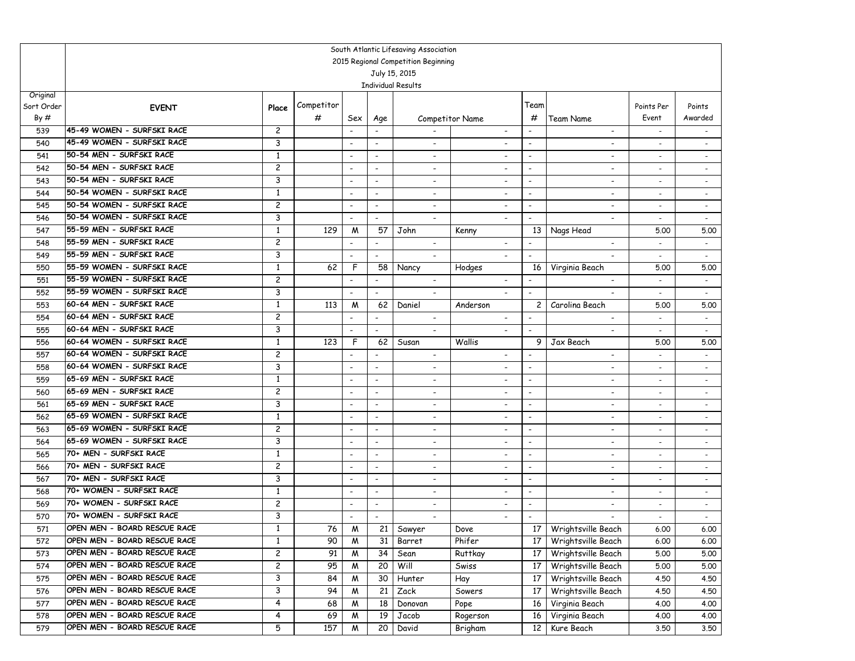|            | South Atlantic Lifesaving Association |                         |            |                                                      |                                                      |                                            |                                    |                                                      |                                                      |                          |                                  |  |  |  |
|------------|---------------------------------------|-------------------------|------------|------------------------------------------------------|------------------------------------------------------|--------------------------------------------|------------------------------------|------------------------------------------------------|------------------------------------------------------|--------------------------|----------------------------------|--|--|--|
|            | 2015 Regional Competition Beginning   |                         |            |                                                      |                                                      |                                            |                                    |                                                      |                                                      |                          |                                  |  |  |  |
|            |                                       |                         |            |                                                      |                                                      | July 15, 2015                              |                                    |                                                      |                                                      |                          |                                  |  |  |  |
|            |                                       |                         |            |                                                      |                                                      | <b>Individual Results</b>                  |                                    |                                                      |                                                      |                          |                                  |  |  |  |
| Original   |                                       |                         | Competitor |                                                      |                                                      |                                            |                                    | Team                                                 |                                                      |                          |                                  |  |  |  |
| Sort Order | <b>EVENT</b>                          | Place                   |            |                                                      |                                                      |                                            |                                    | #                                                    |                                                      | Points Per<br>Event      | Points<br>Awarded                |  |  |  |
| By#        | 45-49 WOMEN - SURFSKI RACE            |                         | #          | Sex                                                  | Age                                                  |                                            | Competitor Name                    |                                                      | <b>Team Name</b>                                     |                          |                                  |  |  |  |
| 539        | 45-49 WOMEN - SURFSKI RACE            | $\overline{c}$          |            |                                                      |                                                      |                                            |                                    |                                                      | $\overline{\phantom{0}}$                             | $\blacksquare$           | $\overline{\phantom{0}}$         |  |  |  |
| 540        | 50-54 MEN - SURFSKI RACE              | 3                       |            | $\overline{\phantom{a}}$                             | $\overline{\phantom{a}}$                             | $\overline{\phantom{a}}$                   |                                    | $\overline{\phantom{a}}$                             | $\overline{\phantom{a}}$                             | $\overline{\phantom{a}}$ | $\overline{\phantom{a}}$         |  |  |  |
| 541        | 50-54 MEN - SURFSKI RACE              | 1<br>$\overline{c}$     |            | $\overline{\phantom{a}}$                             | $\overline{\phantom{a}}$                             | $\overline{\phantom{a}}$                   |                                    | $\overline{\phantom{a}}$                             | $\overline{\phantom{a}}$                             | $\overline{\phantom{a}}$ | $\sim$                           |  |  |  |
| 542        | 50-54 MEN - SURFSKI RACE              | 3                       |            | $\overline{\phantom{a}}$                             | $\overline{\phantom{a}}$                             | $\blacksquare$                             |                                    | $\overline{\phantom{a}}$                             | $\overline{\phantom{0}}$                             |                          | $\sim$                           |  |  |  |
| 543        | 50-54 WOMEN - SURFSKI RACE            | $\mathbf{1}$            |            | $\overline{\phantom{a}}$<br>$\overline{\phantom{a}}$ | $\overline{\phantom{a}}$<br>$\overline{\phantom{a}}$ | $\blacksquare$                             | $\overline{\phantom{a}}$           | $\overline{\phantom{a}}$<br>$\overline{\phantom{a}}$ | $\overline{\phantom{a}}$                             |                          | $\overline{\phantom{a}}$         |  |  |  |
| 544        | 50-54 WOMEN - SURFSKI RACE            | 2                       |            |                                                      |                                                      | $\overline{\phantom{a}}$                   | $\overline{\phantom{a}}$           |                                                      | $\overline{\phantom{a}}$                             | $\overline{\phantom{a}}$ | $\sim$                           |  |  |  |
| 545        | 50-54 WOMEN - SURFSKI RACE            | 3                       |            | $\overline{\phantom{a}}$                             | $\overline{\phantom{a}}$                             | $\blacksquare$                             | $\blacksquare$                     | $\overline{\phantom{a}}$                             | $\overline{\phantom{a}}$                             | $\overline{\phantom{a}}$ | $\overline{\phantom{a}}$         |  |  |  |
| 546        | 55-59 MEN - SURFSKI RACE              | 1                       | 129        | $\overline{\phantom{a}}$                             | $\overline{\phantom{a}}$<br>57                       | $\overline{\phantom{a}}$<br>John           | $\overline{\phantom{a}}$           | $\overline{\phantom{a}}$                             | $\overline{\phantom{0}}$                             |                          | $\overline{\phantom{a}}$         |  |  |  |
| 547        | 55-59 MEN - SURFSKI RACE              | $\overline{c}$          |            | M                                                    | $\blacksquare$                                       | $\blacksquare$                             | Kenny<br>$\blacksquare$            | 13<br>$\blacksquare$                                 | Nags Head<br>$\overline{\phantom{0}}$                | 5.00                     | 5.00<br>$\mathbb{Z}^+$           |  |  |  |
| 548        | 55-59 MEN - SURFSKI RACE              | 3                       |            |                                                      | $\blacksquare$                                       | $\overline{\phantom{a}}$                   |                                    |                                                      |                                                      |                          |                                  |  |  |  |
| 549        | 55-59 WOMEN - SURFSKI RACE            | $\mathbf{1}$            |            | $\overline{\phantom{a}}$<br>F                        |                                                      |                                            | $\overline{\phantom{a}}$           | $\overline{\phantom{a}}$                             | $\blacksquare$                                       | $\blacksquare$           | $\sim$                           |  |  |  |
| 550<br>551 | 55-59 WOMEN - SURFSKI RACE            | $\overline{c}$          | 62         | $\sim$                                               | 58<br>$\blacksquare$                                 | Nancy<br>$\overline{\phantom{a}}$          | Hodges<br>$\overline{\phantom{a}}$ | 16<br>$\overline{\phantom{a}}$                       | Virginia Beach<br>$\overline{\phantom{0}}$           | 5.00                     | 5.00                             |  |  |  |
| 552        | 55-59 WOMEN - SURFSKI RACE            | 3                       |            | $\overline{\phantom{a}}$                             | $\overline{\phantom{a}}$                             |                                            | $\overline{\phantom{a}}$           | $\overline{\phantom{a}}$                             | $\overline{\phantom{0}}$                             | $\overline{\phantom{a}}$ | $\blacksquare$                   |  |  |  |
| 553        | 60-64 MEN - SURFSKI RACE              | 1                       | 113        |                                                      | 62                                                   | $\overline{\phantom{a}}$<br>Daniel         | Anderson                           | 2                                                    | Carolina Beach                                       | $\overline{\phantom{a}}$ | $\overline{\phantom{a}}$<br>5.00 |  |  |  |
| 554        | 60-64 MEN - SURFSKI RACE              | $\overline{c}$          |            | M<br>$\overline{\phantom{a}}$                        |                                                      |                                            |                                    | $\overline{\phantom{a}}$                             |                                                      | 5.00                     | $\sim$                           |  |  |  |
| 555        | 60-64 MEN - SURFSKI RACE              | 3                       |            | $\overline{\phantom{a}}$                             | $\overline{\phantom{a}}$<br>$\blacksquare$           | $\overline{\phantom{a}}$<br>$\blacksquare$ | $\overline{\phantom{a}}$           | $\blacksquare$                                       | $\overline{\phantom{a}}$<br>$\overline{\phantom{a}}$ | $\overline{\phantom{a}}$ | $\blacksquare$                   |  |  |  |
| 556        | 60-64 WOMEN - SURFSKI RACE            | 1                       | 123        | F                                                    | 62                                                   | Susan                                      | Wallis                             | 9                                                    | Jax Beach                                            | 5.00                     | 5.00                             |  |  |  |
| 557        | 60-64 WOMEN - SURFSKI RACE            | $\overline{c}$          |            | $\overline{\phantom{a}}$                             | $\blacksquare$                                       | $\overline{\phantom{a}}$                   |                                    | $\overline{\phantom{a}}$                             |                                                      | $\overline{\phantom{a}}$ | $\sim$                           |  |  |  |
| 558        | 60-64 WOMEN - SURFSKI RACE            | 3                       |            | $\overline{\phantom{a}}$                             | $\overline{\phantom{a}}$                             | $\overline{\phantom{a}}$                   | $\overline{\phantom{a}}$           | $\overline{\phantom{a}}$                             | $\overline{\phantom{a}}$                             | $\blacksquare$           | $\sim$                           |  |  |  |
| 559        | 65-69 MEN - SURFSKI RACE              | 1                       |            | $\overline{\phantom{a}}$                             | $\overline{\phantom{a}}$                             | $\overline{\phantom{a}}$                   |                                    | $\overline{\phantom{a}}$                             | -                                                    | $\overline{\phantom{a}}$ | $\overline{\phantom{a}}$         |  |  |  |
| 560        | 65-69 MEN - SURFSKI RACE              | 2                       |            | $\overline{\phantom{a}}$                             | $\overline{\phantom{a}}$                             | $\overline{\phantom{a}}$                   | $\overline{\phantom{a}}$           | $\overline{\phantom{a}}$                             | ٠                                                    | $\overline{\phantom{a}}$ | $\sim$                           |  |  |  |
| 561        | 65-69 MEN - SURFSKI RACE              | 3                       |            | $\overline{\phantom{a}}$                             | $\blacksquare$                                       | $\overline{\phantom{a}}$                   |                                    | $\blacksquare$                                       | $\overline{\phantom{0}}$                             |                          |                                  |  |  |  |
| 562        | 65-69 WOMEN - SURFSKI RACE            | 1                       |            | $\overline{\phantom{a}}$                             | $\blacksquare$                                       | $\overline{\phantom{a}}$                   | $\overline{\phantom{a}}$           | $\blacksquare$                                       | ٠                                                    | $\overline{\phantom{a}}$ | $\overline{\phantom{a}}$         |  |  |  |
| 563        | 65-69 WOMEN - SURFSKI RACE            | $\overline{c}$          |            | $\overline{\phantom{a}}$                             | $\overline{\phantom{a}}$                             | $\overline{\phantom{a}}$                   |                                    | $\overline{\phantom{a}}$                             | $\overline{\phantom{0}}$                             | $\overline{\phantom{a}}$ | $\blacksquare$                   |  |  |  |
| 564        | 65-69 WOMEN - SURFSKI RACE            | 3                       |            | $\overline{\phantom{a}}$                             | $\overline{\phantom{a}}$                             | $\overline{\phantom{a}}$                   | $\overline{\phantom{a}}$           | $\overline{\phantom{a}}$                             | $\overline{\phantom{0}}$                             | $\overline{\phantom{a}}$ | $\overline{\phantom{a}}$         |  |  |  |
| 565        | 70+ MEN - SURFSKI RACE                | 1                       |            | $\overline{\phantom{a}}$                             | $\overline{\phantom{a}}$                             | $\overline{\phantom{a}}$                   | $\overline{\phantom{a}}$           | $\overline{\phantom{a}}$                             | $\overline{\phantom{a}}$                             | $\blacksquare$           | $\blacksquare$                   |  |  |  |
| 566        | 70+ MEN - SURFSKI RACE                | $\overline{c}$          |            | $\overline{\phantom{a}}$                             | $\overline{\phantom{a}}$                             | $\overline{\phantom{a}}$                   | $\overline{\phantom{a}}$           | $\overline{\phantom{a}}$                             | $\overline{\phantom{a}}$                             | $\overline{\phantom{a}}$ | $\blacksquare$                   |  |  |  |
| 567        | 70+ MEN - SURFSKI RACE                | 3                       |            | $\overline{\phantom{a}}$                             | $\blacksquare$                                       | $\blacksquare$                             |                                    | $\overline{\phantom{a}}$                             | $\overline{\phantom{0}}$                             |                          |                                  |  |  |  |
| 568        | 70+ WOMEN - SURFSKI RACE              | 1                       |            | $\overline{\phantom{a}}$                             | $\overline{\phantom{a}}$                             | $\overline{\phantom{a}}$                   |                                    | $\overline{\phantom{a}}$                             | $\overline{\phantom{a}}$                             |                          | $\overline{\phantom{a}}$         |  |  |  |
| 569        | 70+ WOMEN - SURFSKI RACE              | 2                       |            | $\overline{\phantom{a}}$                             | $\overline{\phantom{a}}$                             | $\overline{\phantom{a}}$                   | $\overline{\phantom{a}}$           | $\overline{\phantom{a}}$                             | $\overline{\phantom{a}}$                             | $\overline{\phantom{a}}$ | $\blacksquare$                   |  |  |  |
| 570        | 70+ WOMEN - SURFSKI RACE              | 3                       |            | $\overline{\phantom{a}}$                             | $\blacksquare$                                       | $\overline{\phantom{a}}$                   | $\overline{\phantom{a}}$           | $\overline{\phantom{a}}$                             | $\overline{\phantom{a}}$                             | $\sim$                   | $\overline{\phantom{a}}$         |  |  |  |
| 571        | OPEN MEN - BOARD RESCUE RACE          | $\mathbf{1}$            | 76         | ${\mathsf M}$                                        |                                                      | $21$ Sawyer                                | Dove                               |                                                      | 17 Wrightsville Beach                                | 6.00                     | 6.00                             |  |  |  |
| 572        | OPEN MEN - BOARD RESCUE RACE          | 1                       | 90         | M                                                    | 31                                                   | Barret                                     | Phifer                             | 17                                                   | Wrightsville Beach                                   | 6.00                     | 6.00                             |  |  |  |
| 573        | OPEN MEN - BOARD RESCUE RACE          | $\overline{c}$          | 91         | M                                                    | 34                                                   | Sean                                       | <b>Ruttkay</b>                     | 17 <sup>1</sup>                                      | Wrightsville Beach                                   | 5.00                     | 5.00                             |  |  |  |
| 574        | OPEN MEN - BOARD RESCUE RACE          | $\overline{\mathbf{c}}$ | 95         | M                                                    | 20                                                   | Will                                       | Swiss                              | 17                                                   | Wrightsville Beach                                   | 5.00                     | 5.00                             |  |  |  |
| 575        | OPEN MEN - BOARD RESCUE RACE          | 3                       | 84         | M                                                    | 30                                                   | Hunter                                     | Hay                                | 17 <sup>2</sup>                                      | Wrightsville Beach                                   | 4.50                     | 4.50                             |  |  |  |
| 576        | OPEN MEN - BOARD RESCUE RACE          | 3                       | 94         | M                                                    | 21                                                   | Zack                                       | Sowers                             | 17 <sup>2</sup>                                      | Wrightsville Beach                                   | 4.50                     | 4.50                             |  |  |  |
| 577        | OPEN MEN - BOARD RESCUE RACE          | 4                       | 68         | M                                                    | 18                                                   | Donovan                                    | Pope                               | 16                                                   | Virginia Beach                                       | 4.00                     | 4.00                             |  |  |  |
| 578        | OPEN MEN - BOARD RESCUE RACE          | 4                       | 69         | M                                                    | 19                                                   | Jacob                                      | Rogerson                           | 16                                                   | Virginia Beach                                       | 4.00                     | 4.00                             |  |  |  |
| 579        | OPEN MEN - BOARD RESCUE RACE          | 5                       | 157        | M                                                    | 20                                                   | David                                      | Brigham                            | 12                                                   | Kure Beach                                           | 3.50                     | 3.50                             |  |  |  |
|            |                                       |                         |            |                                                      |                                                      |                                            |                                    |                                                      |                                                      |                          |                                  |  |  |  |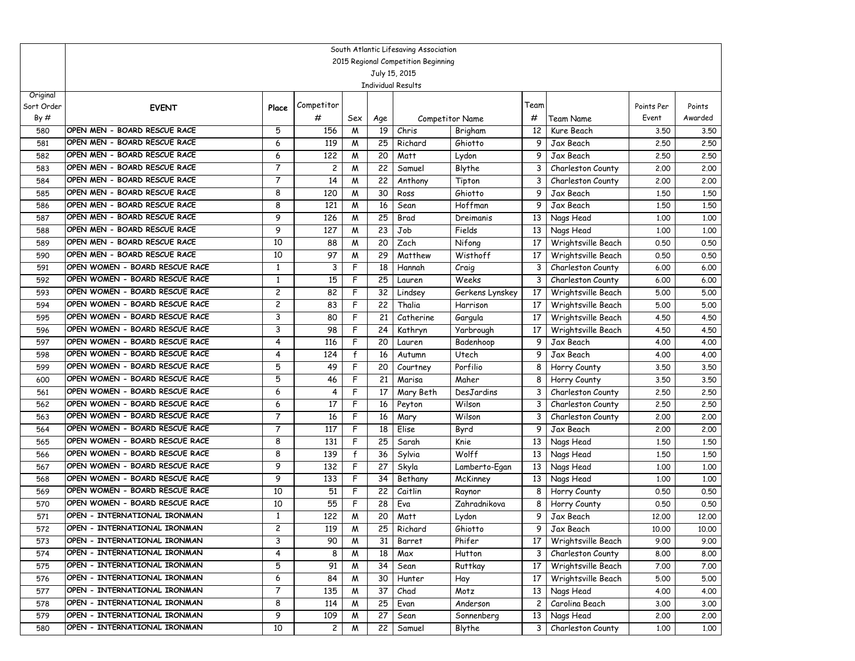|                   | South Atlantic Lifesaving Association                        |                         |                      |              |          |                           |                        |                 |                                          |                     |                   |  |  |
|-------------------|--------------------------------------------------------------|-------------------------|----------------------|--------------|----------|---------------------------|------------------------|-----------------|------------------------------------------|---------------------|-------------------|--|--|
|                   | 2015 Regional Competition Beginning                          |                         |                      |              |          |                           |                        |                 |                                          |                     |                   |  |  |
|                   |                                                              |                         |                      |              |          | July 15, 2015             |                        |                 |                                          |                     |                   |  |  |
|                   |                                                              |                         |                      |              |          | <b>Individual Results</b> |                        |                 |                                          |                     |                   |  |  |
| Original          |                                                              |                         | Competitor           |              |          |                           |                        | Team            |                                          |                     |                   |  |  |
| Sort Order<br>By# | <b>EVENT</b>                                                 | Place                   |                      |              |          |                           |                        |                 |                                          | Points Per<br>Event | Points<br>Awarded |  |  |
|                   | OPEN MEN - BOARD RESCUE RACE                                 |                         | #                    | Sex          | Age      |                           | <b>Competitor Name</b> | #               | Team Name                                |                     |                   |  |  |
| 580               |                                                              | 5                       | 156                  | M            | 19       | Chris                     | Brigham                | 12              | Kure Beach                               | 3.50                | 3.50              |  |  |
| 581               | OPEN MEN - BOARD RESCUE RACE<br>OPEN MEN - BOARD RESCUE RACE | 6                       | 119                  | M            | 25       | Richard                   | Ghiotto                | 9               | Jax Beach                                | 2,50                | 2.50              |  |  |
| 582               | OPEN MEN - BOARD RESCUE RACE                                 | 6<br>$\overline{7}$     | 122                  | M            | 20       | Matt                      | Lydon                  | 9               | Jax Beach                                | 2.50                | 2.50              |  |  |
| 583               | OPEN MEN - BOARD RESCUE RACE                                 | $\overline{7}$          | $\overline{c}$<br>14 | M            | 22       | Samuel                    | Blythe                 | 3               | Charleston County                        | 2,00                | 2,00              |  |  |
| 584               | OPEN MEN - BOARD RESCUE RACE                                 | 8                       | 120                  | M            | 22<br>30 | Anthony                   | Tipton<br>Ghiotto      | 3<br>9          | Charleston County<br>Jax Beach           | 2,00                | 2.00              |  |  |
| 585               | OPEN MEN - BOARD RESCUE RACE                                 | 8                       | 121                  | M            |          | Ross                      |                        | 9               |                                          | 1,50                | 1.50              |  |  |
| 586               | OPEN MEN - BOARD RESCUE RACE                                 | 9                       |                      | M            | 16       | Sean                      | Hoffman                |                 | Jax Beach                                | 1.50                | 1.50              |  |  |
| 587               | OPEN MEN - BOARD RESCUE RACE                                 | 9                       | 126<br>127           | M            | 25       | Brad<br>Job               | Dreimanis<br>Fields    | 13              | Nags Head                                | 1,00                | 1.00              |  |  |
| 588               | OPEN MEN - BOARD RESCUE RACE                                 | 10                      | 88                   | M            | 23<br>20 | Zach                      | Nifong                 | 13<br>17        | Nags Head                                | 1,00<br>0.50        | 1.00<br>0.50      |  |  |
| 589               | OPEN MEN - BOARD RESCUE RACE                                 | 10                      | 97                   | M            | 29       |                           | Wisthoff               |                 | Wrightsville Beach                       |                     |                   |  |  |
| 590               | OPEN WOMEN - BOARD RESCUE RACE                               | $\mathbf{1}$            |                      | W<br>F       | 18       | Matthew                   |                        | 17<br>3         | Wrightsville Beach                       | 0.50                | 0.50              |  |  |
| 591               | OPEN WOMEN - BOARD RESCUE RACE                               | 1                       | 3                    | F            | 25       | Hannah                    | Craig<br>Weeks         | 3               | Charleston County<br>Charleston County   | 6.00                | 6.00              |  |  |
| 592<br>593        | OPEN WOMEN - BOARD RESCUE RACE                               | $\overline{c}$          | 15<br>82             | F            | 32       | Lauren                    | Gerkens Lynskey        | 17              |                                          | 6.00<br>5.00        | 6.00<br>5.00      |  |  |
|                   | OPEN WOMEN - BOARD RESCUE RACE                               | 2                       | 83                   | F            | 22       | Lindsey<br>Thalia         | Harrison               | 17              | Wrightsville Beach                       |                     | 5.00              |  |  |
| 594               | OPEN WOMEN - BOARD RESCUE RACE                               | 3                       | 80                   | F            | 21       | Catherine                 |                        | 17              | Wrightsville Beach<br>Wrightsville Beach | 5.00<br>4.50        | 4.50              |  |  |
| 595<br>596        | OPEN WOMEN - BOARD RESCUE RACE                               | 3                       | 98                   | F            | 24       | Kathryn                   | Gargula<br>Yarbrough   | 17              | Wrightsville Beach                       | 4.50                | 4.50              |  |  |
| 597               | OPEN WOMEN - BOARD RESCUE RACE                               | 4                       | 116                  | F            | 20       |                           | Badenhoop              | 9               | Jax Beach                                | 4.00                | 4.00              |  |  |
| 598               | OPEN WOMEN - BOARD RESCUE RACE                               | 4                       | 124                  | $\mathsf{f}$ | 16       | Lauren                    | Utech                  | 9               | Jax Beach                                | 4.00                | 4.00              |  |  |
| 599               | OPEN WOMEN - BOARD RESCUE RACE                               | 5                       | 49                   | F            | 20       | Autumn                    | Porfilio               | 8               | Horry County                             | 3.50                | 3.50              |  |  |
| 600               | OPEN WOMEN - BOARD RESCUE RACE                               | 5                       | 46                   | F            | 21       | Courtney<br>Marisa        | Maher                  | 8               | Horry County                             | 3.50                | 3.50              |  |  |
| 561               | OPEN WOMEN - BOARD RESCUE RACE                               | 6                       | 4                    | F            | 17       | Mary Beth                 | DesJardins             | 3               | Charleston County                        | 2.50                | 2.50              |  |  |
| 562               | OPEN WOMEN - BOARD RESCUE RACE                               | 6                       | 17                   | F            | 16       | Peyton                    | Wilson                 | 3               | Charleston County                        | 2.50                | 2.50              |  |  |
| 563               | OPEN WOMEN - BOARD RESCUE RACE                               | $\overline{7}$          | 16                   | F            | 16       | Mary                      | Wilson                 | 3               | Charleston County                        | 2,00                | 2.00              |  |  |
| 564               | OPEN WOMEN - BOARD RESCUE RACE                               | $\overline{7}$          | 117                  | F            | 18       | Elise                     | Byrd                   | 9               | Jax Beach                                | 2,00                | 2.00              |  |  |
| 565               | OPEN WOMEN - BOARD RESCUE RACE                               | 8                       | 131                  | F            | 25       | Sarah                     | Knie                   | 13              | Nags Head                                | 1,50                | 1.50              |  |  |
| 566               | OPEN WOMEN - BOARD RESCUE RACE                               | 8                       | 139                  | f            | 36       | Sylvia                    | Wolff                  | 13              | Nags Head                                | 1,50                | 1,50              |  |  |
| 567               | OPEN WOMEN - BOARD RESCUE RACE                               | 9                       | 132                  | F            | 27       | Skyla                     | Lamberto-Egan          | 13              | Nags Head                                | 1,00                | 1.00              |  |  |
| 568               | OPEN WOMEN - BOARD RESCUE RACE                               | 9                       | 133                  | F            | 34       | Bethany                   | McKinney               | 13              | Nags Head                                | 1,00                | 1.00              |  |  |
| 569               | OPEN WOMEN - BOARD RESCUE RACE                               | 10                      | 51                   | F            | 22       | Caitlin                   | Raynor                 | 8               | Horry County                             | 0.50                | 0.50              |  |  |
| 570               | OPEN WOMEN - BOARD RESCUE RACE                               | 10                      | 55                   | F            | 28       | Eva                       | Zahradnikova           | 8               | Horry County                             | 0.50                | 0.50              |  |  |
| 571               | OPEN - INTERNATIONAL IRONMAN                                 | 1                       | 122                  | M            | 20       | Matt                      | Lydon                  | 9               | Jax Beach                                | 12,00               | 12.00             |  |  |
| 572               | OPEN - INTERNATIONAL IRONMAN                                 | $\overline{\mathbf{c}}$ | 119                  | M            |          | 25 Richard                | Ghiotto                |                 | 9 Jax Beach                              | 10.00               | 10.00             |  |  |
| 573               | OPEN - INTERNATIONAL IRONMAN                                 | 3                       | 90                   | M            | 31       | Barret                    | Phifer                 | 17              | Wrightsville Beach                       | 9.00                | 9.00              |  |  |
| 574               | OPEN - INTERNATIONAL IRONMAN                                 | 4                       | 8                    | M            | 18       | Max                       | Hutton                 | 3 <sup>1</sup>  | Charleston County                        | 8.00                | 8.00              |  |  |
| 575               | OPEN - INTERNATIONAL IRONMAN                                 | 5                       | 91                   | M            | 34       | Sean                      | Ruttkay                | 17 <sup>1</sup> | Wrightsville Beach                       | 7.00                | 7.00              |  |  |
| 576               | OPEN - INTERNATIONAL IRONMAN                                 | 6                       | 84                   | M            | 30       | Hunter                    | Hay                    | 17              | Wrightsville Beach                       | 5.00                | 5.00              |  |  |
| 577               | OPEN - INTERNATIONAL IRONMAN                                 | 7                       | 135                  | M            | 37       | Chad                      | Motz                   | 13              | Nags Head                                | 4.00                | 4.00              |  |  |
| 578               | OPEN - INTERNATIONAL IRONMAN                                 | 8                       | 114                  | M            | 25       | Evan                      | Anderson               | 2               | Carolina Beach                           | 3.00                | 3.00              |  |  |
| 579               | OPEN - INTERNATIONAL IRONMAN                                 | 9                       | 109                  | M            | 27       | Sean                      | Sonnenberg             | 13              | Nags Head                                | 2.00                | 2.00              |  |  |
| 580               | OPEN - INTERNATIONAL IRONMAN                                 | 10                      | $\overline{c}$       | M            | 22       | Samuel                    | Blythe                 | 3               | Charleston County                        | 1.00                | 1,00              |  |  |
|                   |                                                              |                         |                      |              |          |                           |                        |                 |                                          |                     |                   |  |  |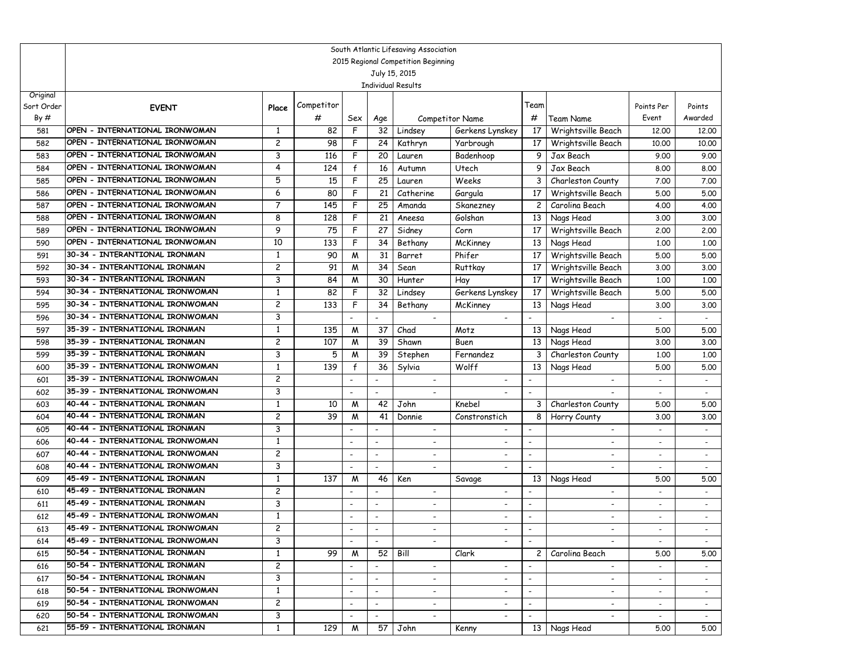|            | South Atlantic Lifesaving Association                            |                |            |                          |                          |                           |                          |                          |                              |                          |                          |  |  |
|------------|------------------------------------------------------------------|----------------|------------|--------------------------|--------------------------|---------------------------|--------------------------|--------------------------|------------------------------|--------------------------|--------------------------|--|--|
|            | 2015 Regional Competition Beginning                              |                |            |                          |                          |                           |                          |                          |                              |                          |                          |  |  |
|            |                                                                  |                |            |                          |                          | July 15, 2015             |                          |                          |                              |                          |                          |  |  |
| Original   |                                                                  |                |            |                          |                          | <b>Individual Results</b> |                          |                          |                              |                          |                          |  |  |
| Sort Order | <b>EVENT</b>                                                     | Place          | Competitor |                          |                          |                           |                          | Team                     |                              | Points Per               | Points                   |  |  |
| By#        |                                                                  |                | #          | Sex                      | Age                      |                           | Competitor Name          | #                        | Team Name                    | Event                    | Awarded                  |  |  |
| 581        | OPEN - INTERNATIONAL IRONWOMAN                                   | 1              | 82         | F                        | 32                       | Lindsey                   | Gerkens Lynskey          | 17                       | Wrightsville Beach           | 12,00                    | 12,00                    |  |  |
| 582        | OPEN - INTERNATIONAL IRONWOMAN                                   | 2              | 98         | F                        | 24                       | Kathryn                   | Yarbrough                | 17                       | Wrightsville Beach           | 10.00                    | 10.00                    |  |  |
| 583        | OPEN - INTERNATIONAL IRONWOMAN                                   | 3              | 116        | F                        | 20                       | Lauren                    | Badenhoop                | 9                        | Jax Beach                    | 9.00                     | 9.00                     |  |  |
| 584        | OPEN - INTERNATIONAL IRONWOMAN                                   | 4              | 124        | f                        | 16                       | Autumn                    | Utech                    | 9                        | Jax Beach                    | 8.00                     | 8.00                     |  |  |
| 585        | OPEN - INTERNATIONAL IRONWOMAN                                   | 5              | 15         | F                        | 25                       | Lauren                    | Weeks                    | 3                        | Charleston County            | 7.00                     | 7.00                     |  |  |
| 586        | OPEN - INTERNATIONAL IRONWOMAN                                   | 6              | 80         | F                        | 21                       | Catherine                 | Gargula                  | 17                       | Wrightsville Beach           | 5.00                     | 5.00                     |  |  |
| 587        | OPEN - INTERNATIONAL IRONWOMAN                                   | 7              | 145        | F                        | 25                       | Amanda                    | Skanezney                | $\overline{c}$           | Carolina Beach               | 4.00                     | 4.00                     |  |  |
| 588        | OPEN - INTERNATIONAL IRONWOMAN                                   | 8              | 128        | F                        | 21                       | Aneesa                    | Golshan                  | 13                       | Nags Head                    | 3.00                     | 3.00                     |  |  |
| 589        | OPEN - INTERNATIONAL IRONWOMAN                                   | 9              | 75         | F                        | 27                       | Sidney                    | Corn                     | 17                       | Wrightsville Beach           | 2,00                     | 2.00                     |  |  |
| 590        | OPEN - INTERNATIONAL IRONWOMAN                                   | 10             | 133        | F                        | 34                       | Bethany                   | McKinney                 | 13                       | Nags Head                    | 1,00                     | 1,00                     |  |  |
| 591        | 30-34 - INTERANTIONAL IRONMAN                                    | 1              | 90         | M                        | 31                       | Barret                    | Phifer                   | 17                       | Wrightsville Beach           | 5.00                     | 5.00                     |  |  |
| 592        | 30-34 - INTERANTIONAL IRONMAN                                    | 2              | 91         | W                        | 34                       | Sean                      | Ruttkay                  | 17                       | Wrightsville Beach           | 3.00                     | 3.00                     |  |  |
| 593        | 30-34 - INTERANTIONAL IRONMAN                                    | 3              | 84         | W                        | 30                       | Hunter                    | Hay                      | 17                       | Wrightsville Beach           | 1,00                     | 1,00                     |  |  |
| 594        | 30-34 - INTERNATIONAL IRONWOMAN                                  | 1              | 82         | F                        | 32                       | Lindsey                   | Gerkens Lynskey          | 17                       | Wrightsville Beach           | 5.00                     | 5.00                     |  |  |
| 595        | 30-34 - INTERNATIONAL IRONWOMAN                                  | 2              | 133        | F                        | 34                       | Bethany                   | McKinney                 | 13                       | Nags Head                    | 3.00                     | 3.00                     |  |  |
| 596        | 30-34 - INTERNATIONAL IRONWOMAN                                  | 3              |            |                          | $\overline{\phantom{a}}$ | $\overline{\phantom{a}}$  | $\overline{\phantom{a}}$ | $\overline{\phantom{a}}$ |                              |                          |                          |  |  |
| 597        | 35-39 - INTERNATIONAL IRONMAN                                    | 1              | 135        | M                        | 37                       | Chad                      | Motz                     | 13                       | Nags Head                    | 5.00                     | 5.00                     |  |  |
| 598        | 35-39 - INTERNATIONAL IRONMAN<br>35-39 - INTERNATIONAL IRONMAN   | 2              | 107        | M                        | 39                       | Shawn                     | Buen                     | 13                       | Nags Head                    | 3.00                     | 3.00                     |  |  |
| 599        | 35-39 - INTERNATIONAL IRONWOMAN                                  | 3<br>1         | 5<br>139   | M<br>$\mathsf{f}$        | 39<br>36                 | Stephen                   | Fernandez<br>Wolff       | 3                        | Charleston County            | 1,00                     | 1,00                     |  |  |
| 600<br>601 | 35-39 - INTERNATIONAL IRONWOMAN                                  | 2              |            |                          |                          | Sylvia                    |                          | 13                       | Nags Head                    | 5.00                     | 5.00                     |  |  |
| 602        | 35-39 - INTERNATIONAL IRONWOMAN                                  | 3              |            | $\overline{\phantom{a}}$ | $\overline{\phantom{a}}$ |                           |                          | $\blacksquare$           |                              |                          |                          |  |  |
| 603        | 40-44 - INTERNATIONAL IRONMAN                                    | 1              | 10         | M                        | 42                       | John                      | Knebel                   | 3                        | Charleston County            | 5.00                     | 5.00                     |  |  |
| 604        | 40-44 - INTERNATIONAL IRONMAN                                    | $\overline{c}$ | 39         | M                        | 41                       | Donnie                    | Constronstich            | 8                        | Horry County                 | 3.00                     | 3.00                     |  |  |
| 605        | 40-44 - INTERNATIONAL IRONMAN                                    | 3              |            |                          | $\overline{\phantom{a}}$ | $\overline{\phantom{a}}$  | $\overline{\phantom{a}}$ |                          | $\overline{\phantom{a}}$     | $\blacksquare$           |                          |  |  |
| 606        | 40-44 - INTERNATIONAL IRONWOMAN                                  | 1              |            | $\blacksquare$           | $\blacksquare$           | $\overline{\phantom{a}}$  |                          | $\overline{\phantom{a}}$ | $\overline{a}$               | $\overline{\phantom{a}}$ | $\blacksquare$           |  |  |
| 607        | 40-44 - INTERNATIONAL IRONWOMAN                                  | 2              |            | $\blacksquare$           | $\overline{\phantom{a}}$ | $\overline{\phantom{a}}$  |                          | $\overline{\phantom{a}}$ | $\qquad \qquad \blacksquare$ | $\overline{\phantom{a}}$ | $\blacksquare$           |  |  |
| 608        | 40-44 - INTERNATIONAL IRONWOMAN                                  | 3              |            | $\overline{\phantom{a}}$ | $\overline{\phantom{a}}$ | $\blacksquare$            |                          |                          |                              |                          | $\overline{\phantom{a}}$ |  |  |
| 609        | 45-49 - INTERNATIONAL IRONMAN                                    | 1              | 137        | M                        | 46                       | Ken                       | Savage                   | 13                       | Nags Head                    | 5.00                     | 5.00                     |  |  |
| 610        | 45-49 - INTERNATIONAL IRONMAN                                    | $\overline{c}$ |            | $\blacksquare$           | $\blacksquare$           | $\overline{\phantom{a}}$  |                          |                          | ٠                            | $\sim$                   | $\sim$                   |  |  |
| 611        | 45-49 - INTERNATIONAL IRONMAN                                    | 3              |            | $\overline{\phantom{a}}$ | $\overline{\phantom{a}}$ | $\overline{\phantom{a}}$  | $\overline{\phantom{a}}$ | $\overline{\phantom{a}}$ | $\overline{\phantom{a}}$     | $\overline{\phantom{a}}$ | $\overline{\phantom{a}}$ |  |  |
| 612        | 45-49 - INTERNATIONAL IRONWOMAN                                  | $\mathbf{1}$   |            | $\blacksquare$           | $\blacksquare$           | $\overline{\phantom{0}}$  | $\overline{\phantom{a}}$ | $\overline{\phantom{a}}$ | $\overline{\phantom{0}}$     | $\overline{a}$           | $\overline{a}$           |  |  |
| 613        | 45-49 - INTERNATIONAL IRONWOMAN                                  | $\overline{c}$ |            |                          |                          |                           |                          |                          |                              |                          |                          |  |  |
| 614        | 45-49 - INTERNATIONAL IRONWOMAN                                  | 3              |            |                          |                          |                           |                          |                          |                              |                          |                          |  |  |
| 615        | 50-54 - INTERNATIONAL IRONMAN                                    | 1              | 99         | W                        | 52                       | Bill                      | Clark                    | $\mathbf{2}$             | Carolina Beach               | 5.00                     | 5.00                     |  |  |
| 616        | 50-54 - INTERNATIONAL IRONMAN                                    | $\overline{c}$ |            | $\overline{\phantom{a}}$ | $\overline{\phantom{a}}$ | $\overline{\phantom{a}}$  | $\overline{\phantom{a}}$ | $\overline{\phantom{a}}$ | $\overline{\phantom{a}}$     | $\blacksquare$           | $\sim$                   |  |  |
| 617        | 50-54 - INTERNATIONAL IRONMAN                                    | 3              |            | $\overline{\phantom{a}}$ | $\overline{\phantom{a}}$ | $\overline{\phantom{a}}$  | $\overline{\phantom{a}}$ | $\overline{\phantom{a}}$ | $\overline{\phantom{0}}$     | $\overline{\phantom{a}}$ | $\sim$                   |  |  |
| 618        | 50-54 - INTERNATIONAL IRONWOMAN                                  | 1              |            | $\overline{\phantom{a}}$ | $\overline{\phantom{a}}$ | $\sim$                    | ۰.                       | $\overline{\phantom{a}}$ | $\overline{\phantom{a}}$     | $\sim$                   | $\sim$                   |  |  |
| 619        | 50-54 - INTERNATIONAL IRONWOMAN                                  | $\overline{c}$ |            | $\overline{\phantom{a}}$ | $\overline{\phantom{a}}$ | $\overline{\phantom{a}}$  |                          | $\overline{\phantom{a}}$ | -                            | $\sim$                   | $\sim$                   |  |  |
| 620        | 50-54 - INTERNATIONAL IRONWOMAN<br>55-59 - INTERNATIONAL IRONMAN | 3              |            | $\overline{\phantom{a}}$ | $\overline{\phantom{a}}$ | $\overline{\phantom{a}}$  | $\overline{\phantom{a}}$ | $\overline{\phantom{a}}$ | $\overline{\phantom{a}}$     | $\sim$                   | $\sim$                   |  |  |
| 621        |                                                                  | 1              | 129        | M                        | 57                       | John                      | Kenny                    |                          | 13 Nags Head                 | 5.00                     | 5.00                     |  |  |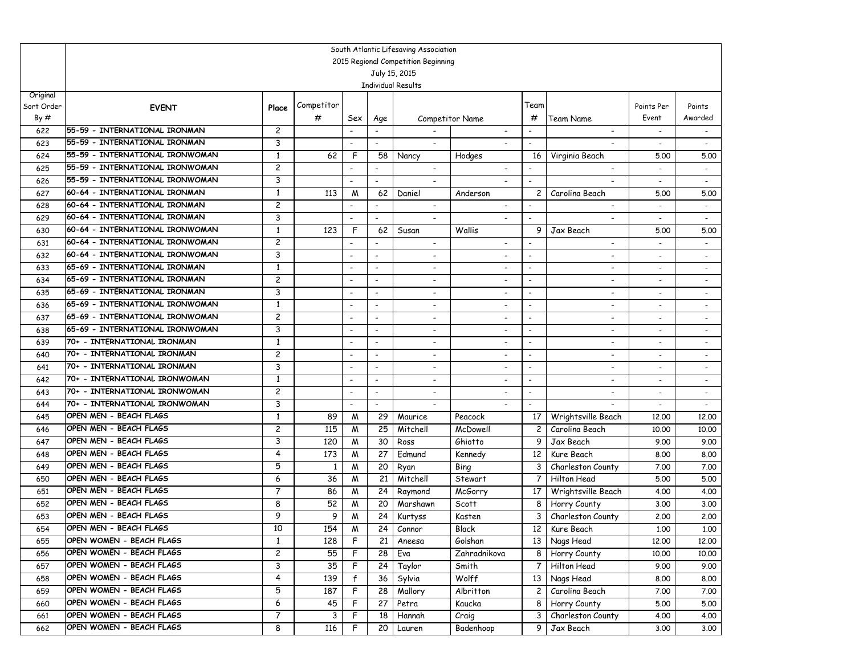|                        |                                     |                |            |                          |                                | South Atlantic Lifesaving Association |                          |                          |                                  |                          |                          |  |  |
|------------------------|-------------------------------------|----------------|------------|--------------------------|--------------------------------|---------------------------------------|--------------------------|--------------------------|----------------------------------|--------------------------|--------------------------|--|--|
|                        | 2015 Regional Competition Beginning |                |            |                          |                                |                                       |                          |                          |                                  |                          |                          |  |  |
|                        |                                     |                |            |                          |                                | July 15, 2015                         |                          |                          |                                  |                          |                          |  |  |
|                        |                                     |                |            |                          |                                | <b>Individual Results</b>             |                          |                          |                                  |                          |                          |  |  |
| Original<br>Sort Order |                                     |                | Competitor |                          |                                |                                       |                          | Team                     |                                  | Points Per               |                          |  |  |
| By#                    | <b>EVENT</b>                        | Place          | #          |                          |                                |                                       | <b>Competitor Name</b>   | #                        | <b>Team Name</b>                 | Event                    | Points<br>Awarded        |  |  |
|                        | 55-59 - INTERNATIONAL IRONMAN       | 2              |            | Sex                      | Age                            |                                       |                          |                          |                                  |                          |                          |  |  |
| 622                    | 55-59 - INTERNATIONAL IRONMAN       | 3              |            |                          |                                |                                       |                          |                          |                                  | $\blacksquare$           |                          |  |  |
| 623                    | 55-59 - INTERNATIONAL IRONWOMAN     | $\mathbf{1}$   |            | F                        |                                |                                       |                          |                          |                                  |                          |                          |  |  |
| 624<br>625             | 55-59 - INTERNATIONAL IRONWOMAN     | $\overline{c}$ | 62         | $\overline{\phantom{a}}$ | 58<br>$\overline{\phantom{a}}$ | Nancy<br>$\overline{\phantom{a}}$     | Hodges                   | 16                       | Virginia Beach<br>$\blacksquare$ | 5.00                     | 5.00                     |  |  |
| 626                    | 55-59 - INTERNATIONAL IRONWOMAN     | 3              |            | $\overline{\phantom{a}}$ |                                |                                       |                          |                          |                                  |                          | $\overline{\phantom{a}}$ |  |  |
| 627                    | 60-64 - INTERNATIONAL IRONMAN       | $\mathbf{1}$   | 113        | M                        | $\overline{\phantom{a}}$<br>62 | $\overline{\phantom{a}}$<br>Daniel    | Anderson                 | $\overline{c}$           | ٠<br>Carolina Beach              | 5.00                     | 5.00                     |  |  |
| 628                    | 60-64 - INTERNATIONAL IRONMAN       | 2              |            |                          |                                |                                       |                          |                          |                                  |                          | $\blacksquare$           |  |  |
| 629                    | 60-64 - INTERNATIONAL IRONMAN       | 3              |            | $\overline{\phantom{a}}$ | $\blacksquare$                 |                                       |                          |                          |                                  |                          |                          |  |  |
| 630                    | 60-64 - INTERNATIONAL IRONWOMAN     | $\mathbf{1}$   | 123        | F                        | 62                             | Susan                                 | Wallis                   | 9                        | Jax Beach                        | 5.00                     | 5.00                     |  |  |
| 631                    | 60-64 - INTERNATIONAL IRONWOMAN     | $\overline{c}$ |            | $\overline{\phantom{a}}$ | $\blacksquare$                 | $\overline{\phantom{a}}$              | $\overline{\phantom{a}}$ |                          | $\overline{\phantom{0}}$         | $\blacksquare$           | $\sim$                   |  |  |
| 632                    | 60-64 - INTERNATIONAL IRONWOMAN     | 3              |            |                          | $\overline{\phantom{a}}$       | $\overline{\phantom{a}}$              | $\overline{\phantom{a}}$ | -                        | -                                | $\overline{\phantom{a}}$ | $\blacksquare$           |  |  |
| 633                    | 65-69 - INTERNATIONAL IRONMAN       | $\mathbf{1}$   |            | $\overline{\phantom{a}}$ | $\blacksquare$                 | $\overline{\phantom{a}}$              | $\overline{\phantom{a}}$ | $\overline{\phantom{a}}$ | $\overline{\phantom{0}}$         | $\overline{\phantom{a}}$ | $\overline{\phantom{a}}$ |  |  |
| 634                    | 65-69 - INTERNATIONAL IRONMAN       | 2              |            | $\overline{\phantom{a}}$ | $\overline{\phantom{a}}$       | $\overline{\phantom{a}}$              | $\overline{\phantom{a}}$ | $\overline{\phantom{0}}$ | $\overline{\phantom{a}}$         | $\overline{\phantom{a}}$ | $\overline{\phantom{a}}$ |  |  |
| 635                    | 65-69 - INTERNATIONAL IRONMAN       | 3              |            | $\overline{\phantom{a}}$ | $\overline{\phantom{a}}$       | $\overline{\phantom{a}}$              | $\overline{\phantom{a}}$ | $\overline{\phantom{a}}$ | $\overline{\phantom{0}}$         |                          | $\overline{\phantom{a}}$ |  |  |
| 636                    | 65-69 - INTERNATIONAL IRONWOMAN     | 1              |            | $\overline{\phantom{a}}$ |                                |                                       |                          |                          |                                  |                          | $\blacksquare$           |  |  |
| 637                    | 65-69 - INTERNATIONAL IRONWOMAN     | 2              |            | $\overline{\phantom{a}}$ | $\blacksquare$                 | $\overline{\phantom{a}}$              |                          | $\overline{\phantom{a}}$ |                                  |                          |                          |  |  |
| 638                    | 65-69 - INTERNATIONAL IRONWOMAN     | 3              |            | $\overline{\phantom{a}}$ | $\overline{\phantom{a}}$       | $\overline{\phantom{a}}$              | $\overline{\phantom{a}}$ | $\overline{\phantom{a}}$ | ٠                                | $\overline{\phantom{a}}$ | $\blacksquare$           |  |  |
| 639                    | 70+ - INTERNATIONAL IRONMAN         | $\mathbf{1}$   |            | $\overline{\phantom{a}}$ | $\blacksquare$                 | $\overline{\phantom{a}}$              |                          | $\overline{\phantom{a}}$ | $\overline{\phantom{a}}$         |                          | $\sim$                   |  |  |
| 640                    | 70+ - INTERNATIONAL IRONMAN         | 2              |            | $\overline{\phantom{a}}$ | $\overline{\phantom{a}}$       | $\overline{\phantom{a}}$              | $\overline{\phantom{a}}$ | $\overline{\phantom{a}}$ | ٠                                | $\overline{\phantom{a}}$ | $\sim$                   |  |  |
| 641                    | 70+ - INTERNATIONAL IRONMAN         | 3              |            | $\overline{\phantom{a}}$ | $\overline{\phantom{a}}$       | $\overline{\phantom{a}}$              |                          |                          | $\qquad \qquad \blacksquare$     |                          | $\overline{\phantom{a}}$ |  |  |
| 642                    | 70+ - INTERNATIONAL IRONWOMAN       | 1              |            | $\overline{\phantom{a}}$ | $\overline{\phantom{a}}$       |                                       |                          | $\overline{\phantom{a}}$ |                                  |                          |                          |  |  |
| 643                    | 70+ - INTERNATIONAL IRONWOMAN       | 2              |            | $\overline{\phantom{a}}$ | $\blacksquare$                 |                                       |                          | $\blacksquare$           |                                  |                          |                          |  |  |
| 644                    | 70+ - INTERNATIONAL IRONWOMAN       | 3              |            | $\overline{\phantom{a}}$ | $\blacksquare$                 | $\overline{\phantom{a}}$              | $\sim$                   | $\overline{\phantom{0}}$ |                                  |                          | $\sim$                   |  |  |
| 645                    | OPEN MEN - BEACH FLAGS              | 1              | 89         | M                        | 29                             | Maurice                               | Peacock                  | 17                       | Wrightsville Beach               | 12,00                    | 12,00                    |  |  |
| 646                    | OPEN MEN - BEACH FLAGS              | 2              | 115        | M                        | 25                             | Mitchell                              | McDowell                 | $\overline{c}$           | Carolina Beach                   | 10,00                    | 10.00                    |  |  |
| 647                    | OPEN MEN - BEACH FLAGS              | 3              | 120        | M                        | 30                             | Ross                                  | Ghiotto                  | 9                        | Jax Beach                        | 9.00                     | 9.00                     |  |  |
| 648                    | OPEN MEN - BEACH FLAGS              | 4              | 173        | M                        | 27                             | Edmund                                | Kennedy                  | 12                       | Kure Beach                       | 8.00                     | 8.00                     |  |  |
| 649                    | OPEN MEN - BEACH FLAGS              | 5              | 1          | M                        | 20                             | Ryan                                  | Bing                     | 3                        | Charleston County                | 7.00                     | 7.00                     |  |  |
| 650                    | OPEN MEN - BEACH FLAGS              | 6              | 36         | M                        | 21                             | Mitchell                              | Stewart                  | 7                        | Hilton Head                      | 5.00                     | 5.00                     |  |  |
| 651                    | OPEN MEN - BEACH FLAGS              | $\overline{7}$ | 86         | M                        | 24                             | Raymond                               | McGorry                  | 17                       | Wrightsville Beach               | 4.00                     | 4.00                     |  |  |
| 652                    | OPEN MEN - BEACH FLAGS              | 8              | 52         | M                        | 20                             | Marshawn                              | Scott                    | 8                        | Horry County                     | 3.00                     | 3.00                     |  |  |
| 653                    | OPEN MEN - BEACH FLAGS              | 9              | 9          | M                        | 24                             | Kurtyss                               | Kasten                   | 3                        | Charleston County                | 2,00                     | 2,00                     |  |  |
| 654                    | OPEN MEN - BEACH FLAGS              | 10             | 154        | W                        |                                | 24 Connor                             | <b>Black</b>             | $\overline{12}$          | Kure Beach                       | 1.00                     | 1.00                     |  |  |
| 655                    | OPEN WOMEN - BEACH FLAGS            | $\mathbf{1}$   | 128        | F                        | 21                             | Aneesa                                | Golshan                  | 13                       | Nags Head                        | 12,00                    | 12.00                    |  |  |
| 656                    | OPEN WOMEN - BEACH FLAGS            | 2              | 55         | F                        | 28                             | Eva                                   | Zahradnikova             | 8                        | Horry County                     | 10.00                    | 10.00                    |  |  |
| 657                    | OPEN WOMEN - BEACH FLAGS            | 3              | 35         | F                        | 24                             | Taylor                                | Smith                    | 7                        | Hilton Head                      | 9.00                     | 9.00                     |  |  |
| 658                    | OPEN WOMEN - BEACH FLAGS            | 4              | 139        | $\mathbf f$              | 36                             | Sylvia                                | Wolff                    | 13                       | Nags Head                        | 8.00                     | 8.00                     |  |  |
| 659                    | OPEN WOMEN - BEACH FLAGS            | 5              | 187        | F                        | 28                             | Mallory                               | Albritton                | $\mathbf{2}$             | Carolina Beach                   | 7.00                     | 7.00                     |  |  |
| 660                    | OPEN WOMEN - BEACH FLAGS            | 6              | 45         | F                        | 27                             | Petra                                 | Kaucka                   | 8                        | Horry County                     | 5.00                     | 5.00                     |  |  |
| 661                    | OPEN WOMEN - BEACH FLAGS            | $\overline{7}$ | 3          | F                        | 18                             | Hannah                                | Craig                    | 3                        | Charleston County                | 4.00                     | 4.00                     |  |  |
| 662                    | OPEN WOMEN - BEACH FLAGS            | 8              | 116        | F                        | 20                             | Lauren                                | Badenhoop                | 9                        | Jax Beach                        | 3.00                     | 3.00                     |  |  |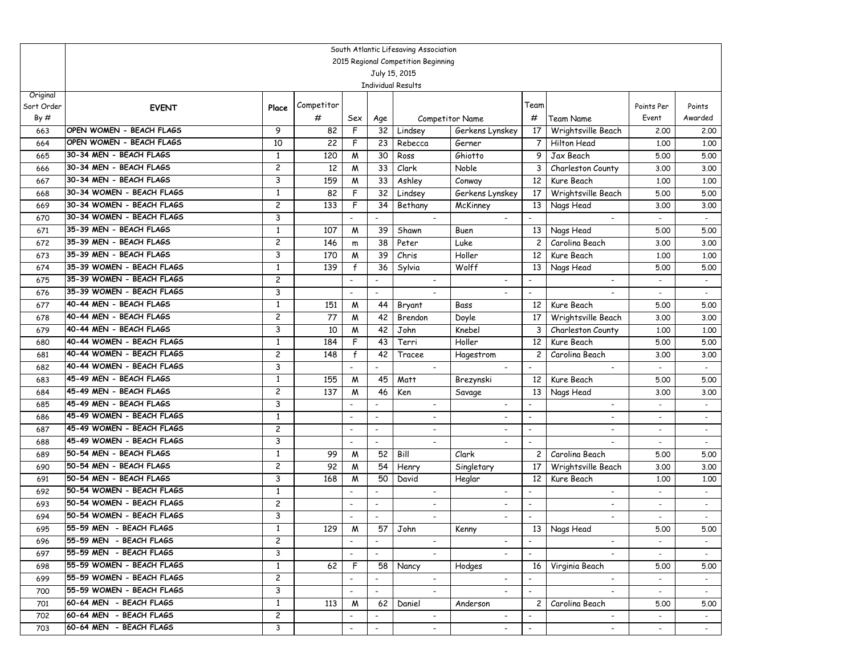|                        | South Atlantic Lifesaving Association              |                         |            |                          |                          |                                            |                          |                          |                                                      |                          |                                     |  |  |
|------------------------|----------------------------------------------------|-------------------------|------------|--------------------------|--------------------------|--------------------------------------------|--------------------------|--------------------------|------------------------------------------------------|--------------------------|-------------------------------------|--|--|
|                        | 2015 Regional Competition Beginning                |                         |            |                          |                          |                                            |                          |                          |                                                      |                          |                                     |  |  |
|                        |                                                    |                         |            |                          |                          | July 15, 2015                              |                          |                          |                                                      |                          |                                     |  |  |
|                        |                                                    |                         |            |                          |                          | <b>Individual Results</b>                  |                          |                          |                                                      |                          |                                     |  |  |
| Original<br>Sort Order |                                                    |                         | Competitor |                          |                          |                                            |                          | Team                     |                                                      | Points Per               | Points                              |  |  |
| By#                    | <b>EVENT</b>                                       | Place                   | #          | Sex                      |                          |                                            | Competitor Name          | #                        | <b>Team Name</b>                                     | Event                    | Awarded                             |  |  |
| 663                    | OPEN WOMEN - BEACH FLAGS                           | 9                       | 82         | F                        | Age<br>32                | Lindsey                                    | Gerkens Lynskey          | 17                       | Wrightsville Beach                                   | 2,00                     | 2.00                                |  |  |
| 664                    | OPEN WOMEN - BEACH FLAGS                           | 10                      | 22         | F                        | 23                       | Rebecca                                    | Gerner                   | $\overline{7}$           | Hilton Head                                          | 1,00                     | 1.00                                |  |  |
| 665                    | 30-34 MEN - BEACH FLAGS                            | 1                       | 120        | M                        | 30                       | Ross                                       | Ghiotto                  | 9                        | Jax Beach                                            | 5.00                     | 5.00                                |  |  |
| 666                    | 30-34 MEN - BEACH FLAGS                            | $\overline{\mathbf{c}}$ | 12         | M                        | 33                       | Clark                                      | Noble                    | 3                        | Charleston County                                    | 3.00                     | 3.00                                |  |  |
| 667                    | 30-34 MEN - BEACH FLAGS                            | 3                       | 159        | M                        | 33                       | Ashley                                     | Conway                   | 12 <sup>2</sup>          | Kure Beach                                           | 1,00                     | 1.00                                |  |  |
| 668                    | 30-34 WOMEN - BEACH FLAGS                          | 1                       | 82         | F                        | 32                       | Lindsey                                    | Gerkens Lynskey          | 17 <sup>2</sup>          | Wrightsville Beach                                   | 5.00                     | 5.00                                |  |  |
| 669                    | 30-34 WOMEN - BEACH FLAGS                          | $\overline{\mathbf{c}}$ | 133        | F                        | 34                       | Bethany                                    | McKinney                 | 13                       | Nags Head                                            | 3.00                     | 3.00                                |  |  |
| 670                    | 30-34 WOMEN - BEACH FLAGS                          | 3                       |            |                          |                          |                                            |                          |                          |                                                      |                          |                                     |  |  |
| 671                    | 35-39 MEN - BEACH FLAGS                            | 1                       | 107        | M                        | 39                       | Shawn                                      | Buen                     | 13                       | Nags Head                                            | 5.00                     | 5.00                                |  |  |
| 672                    | 35-39 MEN - BEACH FLAGS                            | $\overline{\mathbf{c}}$ | 146        | m                        | 38                       | Peter                                      | Luke                     | $\mathbf{2}$             | Carolina Beach                                       | 3.00                     | 3.00                                |  |  |
| 673                    | 35-39 MEN - BEACH FLAGS                            | 3                       | 170        | M                        | 39                       | Chris                                      | Holler                   | 12 <sup>2</sup>          | Kure Beach                                           | 1,00                     | 1.00                                |  |  |
| 674                    | 35-39 WOMEN - BEACH FLAGS                          | $\mathbf{1}$            | 139        | $\mathsf{f}$             | 36                       | Sylvia                                     | Wolff                    | 13                       | Nags Head                                            | 5.00                     | 5.00                                |  |  |
| 675                    | 35-39 WOMEN - BEACH FLAGS                          | $\overline{\mathbf{c}}$ |            |                          | $\blacksquare$           | $\overline{\phantom{a}}$                   | $\overline{\phantom{a}}$ | $\overline{\phantom{a}}$ | $\blacksquare$                                       | $\blacksquare$           | $\overline{\phantom{a}}$            |  |  |
| 676                    | 35-39 WOMEN - BEACH FLAGS                          | 3                       |            | $\blacksquare$           | $\overline{\phantom{a}}$ |                                            |                          | $\overline{\phantom{a}}$ | $\overline{\phantom{a}}$                             | $\sim$                   | $\overline{\phantom{a}}$            |  |  |
| 677                    | 40-44 MEN - BEACH FLAGS                            | 1                       | 151        | M                        | 44                       | Bryant                                     | Bass                     | 12                       | Kure Beach                                           | 5.00                     | 5.00                                |  |  |
| 678                    | 40-44 MEN - BEACH FLAGS                            | $\overline{\mathbf{c}}$ | 77         | M                        | 42                       | Brendon                                    | Doyle                    | 17                       | Wrightsville Beach                                   | 3.00                     | 3.00                                |  |  |
| 679                    | 40-44 MEN - BEACH FLAGS                            | 3                       | 10         | M                        | 42                       | John                                       | Knebel                   | 3                        | Charleston County                                    | 1,00                     | 1.00                                |  |  |
| 680                    | 40-44 WOMEN - BEACH FLAGS                          | $\mathbf{1}$            | 184        | F                        | 43                       | Terri                                      | Holler                   | 12                       | Kure Beach                                           | 5.00                     | 5.00                                |  |  |
| 681                    | 40-44 WOMEN - BEACH FLAGS                          | $\overline{\mathbf{c}}$ | 148        | $\mathsf{f}$             | 42                       | Tracee                                     | Hagestrom                | $\overline{c}$           | Carolina Beach                                       | 3.00                     | 3.00                                |  |  |
| 682                    | 40-44 WOMEN - BEACH FLAGS                          | 3                       |            |                          |                          | $\overline{\phantom{a}}$                   |                          | $\overline{\phantom{a}}$ | $\overline{\phantom{a}}$                             |                          | $\sim$                              |  |  |
| 683                    | 45-49 MEN - BEACH FLAGS                            | 1                       | 155        | M                        | 45                       | Matt                                       | Brezynski                | 12                       | Kure Beach                                           | 5.00                     | 5.00                                |  |  |
| 684                    | 45-49 MEN - BEACH FLAGS<br>45-49 MEN - BEACH FLAGS | 2<br>3                  | 137        | M                        | 46<br>$\overline{a}$     | Ken                                        | Savage                   | 13<br>$\blacksquare$     | Nags Head                                            | 3.00                     | 3.00                                |  |  |
| 685<br>686             | 45-49 WOMEN - BEACH FLAGS                          | 1                       |            | $\blacksquare$           | $\blacksquare$           | $\blacksquare$<br>$\overline{\phantom{a}}$ | $\overline{\phantom{a}}$ | $\blacksquare$           | $\overline{\phantom{a}}$<br>$\overline{\phantom{a}}$ | $\blacksquare$           | $\mathbb{Z}^{\mathbb{Z}}$<br>$\sim$ |  |  |
| 687                    | 45-49 WOMEN - BEACH FLAGS                          | $\overline{\mathbf{c}}$ |            | $\blacksquare$           | $\overline{\phantom{a}}$ | $\overline{\phantom{a}}$                   |                          | $\overline{\phantom{a}}$ | $\overline{\phantom{a}}$                             | $\overline{\phantom{a}}$ | $\sim$                              |  |  |
| 688                    | 45-49 WOMEN - BEACH FLAGS                          | 3                       |            | $\blacksquare$           | $\overline{\phantom{a}}$ | $\overline{\phantom{a}}$                   |                          | $\overline{\phantom{a}}$ |                                                      | $\overline{\phantom{a}}$ | $\blacksquare$                      |  |  |
| 689                    | 50-54 MEN - BEACH FLAGS                            | 1                       | 99         | M                        | 52                       | Bill                                       | Clark                    | $\mathbf{2}$             | Carolina Beach                                       | 5.00                     | 5.00                                |  |  |
| 690                    | 50-54 MEN - BEACH FLAGS                            | $\overline{\mathbf{c}}$ | 92         | M                        | 54                       | Henry                                      | Singletary               | 17                       | Wrightsville Beach                                   | 3.00                     | 3.00                                |  |  |
| 691                    | 50-54 MEN - BEACH FLAGS                            | 3                       | 168        | M                        | 50                       | David                                      | Heglar                   | 12                       | Kure Beach                                           | 1,00                     | 1.00                                |  |  |
| 692                    | 50-54 WOMEN - BEACH FLAGS                          | 1                       |            | $\blacksquare$           | $\overline{\phantom{a}}$ | $\overline{\phantom{a}}$                   |                          | $\overline{\phantom{a}}$ | $\overline{\phantom{a}}$                             | $\blacksquare$           | $\sim$                              |  |  |
| 693                    | 50-54 WOMEN - BEACH FLAGS                          | $\overline{\mathbf{c}}$ |            | $\blacksquare$           | $\overline{\phantom{a}}$ | $\overline{\phantom{a}}$                   |                          | $\overline{\phantom{a}}$ | $\overline{\phantom{a}}$                             | $\overline{\phantom{a}}$ | $\sim$                              |  |  |
| 694                    | 50-54 WOMEN - BEACH FLAGS                          | 3                       |            | $\blacksquare$           | $\blacksquare$           | $\overline{\phantom{a}}$                   | $\overline{\phantom{a}}$ | $\overline{\phantom{a}}$ | $\blacksquare$                                       | $\overline{a}$           | $\blacksquare$                      |  |  |
| 695                    | 55-59 MEN - BEACH FLAGS                            | $\mathbf{1}$            | 129        | $\overline{M}$           |                          | $57$ John                                  | Kenny                    |                          | 13 Nags Head                                         | 5.00                     | 5.00                                |  |  |
| 696                    | 55-59 MEN - BEACH FLAGS                            | $\overline{c}$          |            |                          |                          |                                            |                          |                          |                                                      |                          |                                     |  |  |
| 697                    | 55-59 MEN - BEACH FLAGS                            | 3                       |            | $\blacksquare$           | $\overline{\phantom{0}}$ |                                            |                          | $\mathbb{Z}^2$           |                                                      |                          | $\sim$                              |  |  |
| 698                    | 55-59 WOMEN - BEACH FLAGS                          | $\mathbf{1}$            | 62         | F                        | 58                       | Nancy                                      | Hodges                   | 16 I                     | Virginia Beach                                       | 5.00                     | 5.00                                |  |  |
| 699                    | 55-59 WOMEN - BEACH FLAGS                          | $\overline{c}$          |            | $\overline{\phantom{a}}$ | $\overline{\phantom{0}}$ | $\sim$                                     |                          | $\sim$                   | $\sim$                                               | $\sim$                   | $\sim$                              |  |  |
| 700                    | 55-59 WOMEN - BEACH FLAGS                          | 3                       |            | $\overline{\phantom{a}}$ | $\overline{\phantom{0}}$ | $\sim$                                     | $\sim$                   | $\blacksquare$           | $\sim$                                               | $\sim$                   | $\sim$                              |  |  |
| 701                    | 60-64 MEN - BEACH FLAGS                            | $\mathbf{1}$            | 113        | M                        | 62                       | Daniel                                     | Anderson                 | $\mathsf{2}^-$           | Carolina Beach                                       | 5.00                     | 5.00                                |  |  |
| 702                    | 60-64 MEN - BEACH FLAGS                            | $\mathbf{2}$            |            | $\overline{\phantom{a}}$ |                          | $\sim$                                     |                          |                          |                                                      | $\sim$                   | $\sim$                              |  |  |
| 703                    | 60-64 MEN - BEACH FLAGS                            | 3                       |            | $\overline{\phantom{a}}$ | $\overline{\phantom{a}}$ | $\sim$                                     | $\overline{\phantom{a}}$ | $\overline{\phantom{a}}$ | $\sim$                                               |                          |                                     |  |  |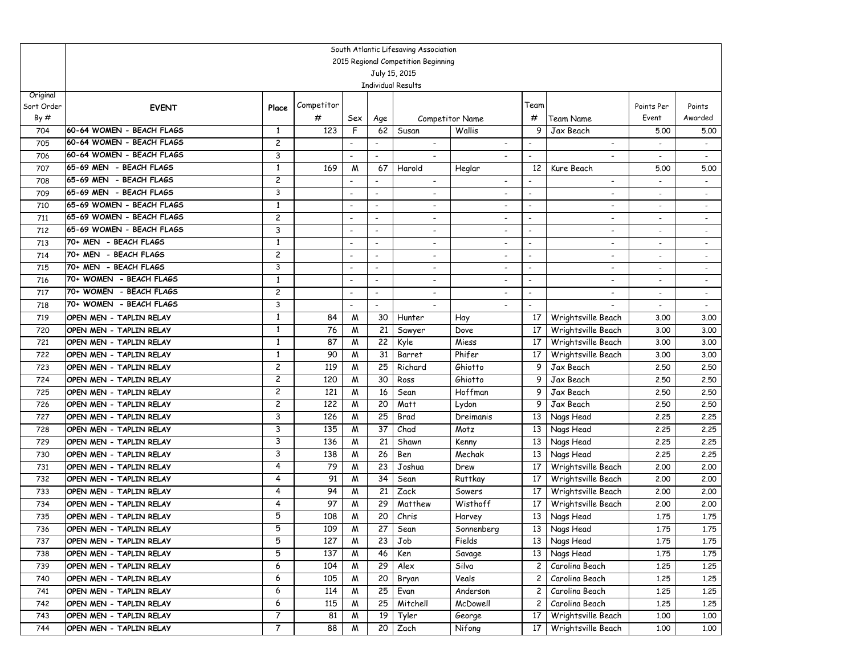|            | South Atlantic Lifesaving Association |                |            |                                                      |                                                      |                                                      |                          |                          |                                                      |                                                      |                                                      |  |  |
|------------|---------------------------------------|----------------|------------|------------------------------------------------------|------------------------------------------------------|------------------------------------------------------|--------------------------|--------------------------|------------------------------------------------------|------------------------------------------------------|------------------------------------------------------|--|--|
|            |                                       |                |            |                                                      |                                                      | 2015 Regional Competition Beginning                  |                          |                          |                                                      |                                                      |                                                      |  |  |
|            |                                       |                |            |                                                      |                                                      | July 15, 2015                                        |                          |                          |                                                      |                                                      |                                                      |  |  |
|            |                                       |                |            |                                                      |                                                      | <b>Individual Results</b>                            |                          |                          |                                                      |                                                      |                                                      |  |  |
| Original   |                                       |                | Competitor |                                                      |                                                      |                                                      |                          | Team                     |                                                      |                                                      |                                                      |  |  |
| Sort Order | <b>EVENT</b>                          | Place          |            |                                                      |                                                      |                                                      |                          |                          |                                                      | Points Per                                           | Points<br>Awarded                                    |  |  |
| By#        | 60-64 WOMEN - BEACH FLAGS             |                | #          | Sex                                                  | Age                                                  |                                                      | Competitor Name          | #<br>9                   | Team Name                                            | Event                                                |                                                      |  |  |
| 704        | 60-64 WOMEN - BEACH FLAGS             | 1              | 123        | F                                                    | 62                                                   | Susan                                                | Wallis                   |                          | Jax Beach                                            | 5.00                                                 | 5.00                                                 |  |  |
| 705        | 60-64 WOMEN - BEACH FLAGS             | 2              |            |                                                      |                                                      | $\overline{\phantom{a}}$                             |                          |                          | $\overline{\phantom{a}}$                             |                                                      |                                                      |  |  |
| 706        | 65-69 MEN - BEACH FLAGS               | 3<br>1         |            |                                                      |                                                      |                                                      |                          |                          |                                                      | $\overline{\phantom{a}}$                             |                                                      |  |  |
| 707        | 65-69 MEN - BEACH FLAGS               | $\overline{c}$ | 169        | M                                                    | 67                                                   | Harold                                               | Heglar                   | 12                       | Kure Beach                                           | 5.00                                                 | 5.00                                                 |  |  |
| 708<br>709 | 65-69 MEN - BEACH FLAGS               | 3              |            | $\overline{\phantom{a}}$<br>$\overline{\phantom{a}}$ | $\overline{\phantom{a}}$<br>$\overline{\phantom{a}}$ | $\overline{\phantom{a}}$                             | $\overline{\phantom{a}}$ | $\overline{\phantom{a}}$ | $\overline{\phantom{a}}$<br>$\overline{\phantom{a}}$ | $\blacksquare$<br>$\overline{\phantom{0}}$           | $\overline{\phantom{a}}$<br>$\overline{\phantom{a}}$ |  |  |
| 710        | 65-69 WOMEN - BEACH FLAGS             | $\mathbf{1}$   |            | $\overline{\phantom{a}}$                             | $\blacksquare$                                       | $\overline{\phantom{a}}$<br>$\blacksquare$           |                          | $\overline{\phantom{a}}$ | $\blacksquare$                                       | $\overline{a}$                                       | $\sim$                                               |  |  |
| 711        | 65-69 WOMEN - BEACH FLAGS             | 2              |            | $\overline{\phantom{a}}$                             |                                                      |                                                      |                          | $\overline{\phantom{a}}$ | $\overline{\phantom{a}}$                             |                                                      |                                                      |  |  |
| 712        | 65-69 WOMEN - BEACH FLAGS             | 3              |            |                                                      | $\overline{\phantom{a}}$<br>$\overline{\phantom{a}}$ | $\overline{\phantom{a}}$                             |                          | $\overline{\phantom{a}}$ | $\overline{\phantom{a}}$                             | $\overline{\phantom{a}}$<br>$\overline{\phantom{a}}$ | $\overline{\phantom{a}}$<br>$\blacksquare$           |  |  |
| 713        | 70+ MEN - BEACH FLAGS                 | 1              |            | $\overline{\phantom{a}}$                             | $\overline{\phantom{a}}$                             | $\overline{\phantom{0}}$<br>$\overline{\phantom{a}}$ |                          | $\overline{\phantom{a}}$ | $\overline{\phantom{a}}$                             | $\overline{a}$                                       |                                                      |  |  |
| 714        | 70+ MEN - BEACH FLAGS                 | $\overline{c}$ |            | $\overline{\phantom{a}}$                             | $\overline{\phantom{a}}$                             | $\overline{\phantom{0}}$                             | $\overline{\phantom{a}}$ | $\overline{\phantom{a}}$ | $\overline{\phantom{a}}$                             | $\blacksquare$                                       | $\sim$                                               |  |  |
| 715        | 70+ MEN - BEACH FLAGS                 | 3              |            | $\overline{\phantom{a}}$                             | $\overline{\phantom{a}}$                             | $\overline{\phantom{a}}$                             | $\overline{\phantom{a}}$ | $\overline{\phantom{a}}$ | $\overline{\phantom{a}}$                             | $\overline{\phantom{a}}$                             | $\overline{\phantom{a}}$                             |  |  |
| 716        | 70+ WOMEN - BEACH FLAGS               | $\mathbf{1}$   |            |                                                      | $\overline{\phantom{a}}$                             | $\overline{\phantom{a}}$                             |                          | $\overline{\phantom{a}}$ | $\overline{\phantom{a}}$                             | $\overline{\phantom{a}}$                             | $\overline{\phantom{a}}$                             |  |  |
| 717        | 70+ WOMEN - BEACH FLAGS               | $\overline{c}$ |            | $\overline{\phantom{a}}$                             | $\overline{\phantom{a}}$                             | $\overline{\phantom{a}}$                             |                          | $\overline{\phantom{a}}$ |                                                      | $\overline{\phantom{a}}$                             | $\overline{\phantom{a}}$                             |  |  |
| 718        | 70+ WOMEN - BEACH FLAGS               | 3              |            | $\overline{\phantom{a}}$                             |                                                      | $\overline{\phantom{a}}$                             |                          | $\overline{\phantom{a}}$ |                                                      | $\overline{\phantom{a}}$                             | $\blacksquare$                                       |  |  |
| 719        | OPEN MEN - TAPLIN RELAY               | 1              | 84         | M                                                    | 30                                                   | Hunter                                               | Hay                      | 17                       | Wrightsville Beach                                   | 3.00                                                 | 3.00                                                 |  |  |
| 720        | OPEN MEN - TAPLIN RELAY               | 1              | 76         | M                                                    | 21                                                   | Sawyer                                               | Dove                     | 17                       | Wrightsville Beach                                   | 3.00                                                 | 3.00                                                 |  |  |
| 721        | OPEN MEN - TAPLIN RELAY               | 1              | 87         | M                                                    | 22                                                   | Kyle                                                 | Miess                    | 17                       | Wrightsville Beach                                   | 3.00                                                 | 3.00                                                 |  |  |
| 722        | OPEN MEN - TAPLIN RELAY               | $\mathbf{1}$   | 90         | M                                                    | 31                                                   | Barret                                               | Phifer                   | 17                       | Wrightsville Beach                                   | 3.00                                                 | 3.00                                                 |  |  |
| 723        | OPEN MEN - TAPLIN RELAY               | 2              | 119        | M                                                    | 25                                                   | Richard                                              | Ghiotto                  | 9                        | Jax Beach                                            | 2.50                                                 | 2.50                                                 |  |  |
| 724        | OPEN MEN - TAPLIN RELAY               | 2              | 120        | M                                                    | 30                                                   | Ross                                                 | Ghiotto                  | 9                        | Jax Beach                                            | 2.50                                                 | 2.50                                                 |  |  |
| 725        | OPEN MEN - TAPLIN RELAY               | 2              | 121        | M                                                    | 16                                                   | Sean                                                 | Hoffman                  | 9                        | Jax Beach                                            | 2.50                                                 | 2.50                                                 |  |  |
| 726        | OPEN MEN - TAPLIN RELAY               | 2              | 122        | M                                                    | 20                                                   | Matt                                                 | Lydon                    | 9                        | Jax Beach                                            | 2.50                                                 | 2.50                                                 |  |  |
| 727        | OPEN MEN - TAPLIN RELAY               | 3              | 126        | W                                                    | 25                                                   | Brad                                                 | Dreimanis                | 13                       | Nags Head                                            | 2.25                                                 | 2.25                                                 |  |  |
| 728        | OPEN MEN - TAPLIN RELAY               | 3              | 135        | M                                                    | 37                                                   | Chad                                                 | Motz                     | 13                       | Nags Head                                            | 2,25                                                 | 2.25                                                 |  |  |
| 729        | OPEN MEN - TAPLIN RELAY               | 3              | 136        | M                                                    | 21                                                   | Shawn                                                | Kenny                    | 13                       | Nags Head                                            | 2,25                                                 | 2.25                                                 |  |  |
| 730        | OPEN MEN - TAPLIN RELAY               | 3              | 138        | M                                                    | 26                                                   | Ben                                                  | Mechak                   | 13                       | Nags Head                                            | 2.25                                                 | 2.25                                                 |  |  |
| 731        | OPEN MEN - TAPLIN RELAY               | 4              | 79         | M                                                    | 23                                                   | Joshua                                               | Drew                     | 17                       | Wrightsville Beach                                   | 2,00                                                 | 2.00                                                 |  |  |
| 732        | OPEN MEN - TAPLIN RELAY               | 4              | 91         | M                                                    | 34                                                   | Sean                                                 | Ruttkay                  | 17                       | Wrightsville Beach                                   | 2,00                                                 | 2.00                                                 |  |  |
| 733        | OPEN MEN - TAPLIN RELAY               | 4              | 94         | M                                                    | 21                                                   | Zack                                                 | Sowers                   | 17                       | Wrightsville Beach                                   | 2,00                                                 | 2.00                                                 |  |  |
| 734        | OPEN MEN - TAPLIN RELAY               | 4              | 97         | M                                                    | $\overline{29}$                                      | Matthew                                              | Wisthoff                 | 17 <sup>2</sup>          | Wrightsville Beach                                   | 2.00                                                 | 2.00                                                 |  |  |
| 735        | OPEN MEN - TAPLIN RELAY               | 5              | 108        | M                                                    | 20                                                   | Chris                                                | Harvey                   | 13                       | Nags Head                                            | 1.75                                                 | 1.75                                                 |  |  |
| 736        | OPEN MEN - TAPLIN RELAY               | 5              | 109        | ${\mathsf M}$                                        | 27                                                   | Sean                                                 | Sonnenberg               |                          | 13 Nags Head                                         | 1.75                                                 | 1.75                                                 |  |  |
| 737        | OPEN MEN - TAPLIN RELAY               | 5              | 127        | M                                                    | 23                                                   | Job                                                  | Fields                   | 13                       | Nags Head                                            | 1.75                                                 | 1.75                                                 |  |  |
| 738        | OPEN MEN - TAPLIN RELAY               | 5              | 137        | M                                                    | 46                                                   | Ken                                                  | Savage                   | 13                       | Nags Head                                            | 1.75                                                 | 1.75                                                 |  |  |
| 739        | OPEN MEN - TAPLIN RELAY               | 6              | 104        | M                                                    | 29                                                   | Alex                                                 | Silva                    | $\mathbf{2}$             | Carolina Beach                                       | 1.25                                                 | 1.25                                                 |  |  |
| 740        | OPEN MEN - TAPLIN RELAY               | 6              | 105        | M                                                    | 20                                                   | Bryan                                                | Veals                    | $\mathbf{2}$             | Carolina Beach                                       | 1.25                                                 | 1.25                                                 |  |  |
| 741        | OPEN MEN - TAPLIN RELAY               | 6              | 114        | M                                                    | 25                                                   | Evan                                                 | Anderson                 | $\mathbf{2}$             | Carolina Beach                                       | 1.25                                                 | 1.25                                                 |  |  |
| 742        | OPEN MEN - TAPLIN RELAY               | 6              | 115        | M                                                    | 25                                                   | Mitchell                                             | McDowell                 | 2                        | Carolina Beach                                       | 1.25                                                 | 1.25                                                 |  |  |
| 743        | OPEN MEN - TAPLIN RELAY               | 7              | 81         | M                                                    | 19                                                   | Tyler                                                | George                   | 17                       | Wrightsville Beach                                   | 1.00                                                 | 1.00                                                 |  |  |
| 744        | OPEN MEN - TAPLIN RELAY               | 7              | 88         | M                                                    | 20                                                   | Zach                                                 | Nifong                   | 17                       | Wrightsville Beach                                   | 1.00                                                 | 1.00                                                 |  |  |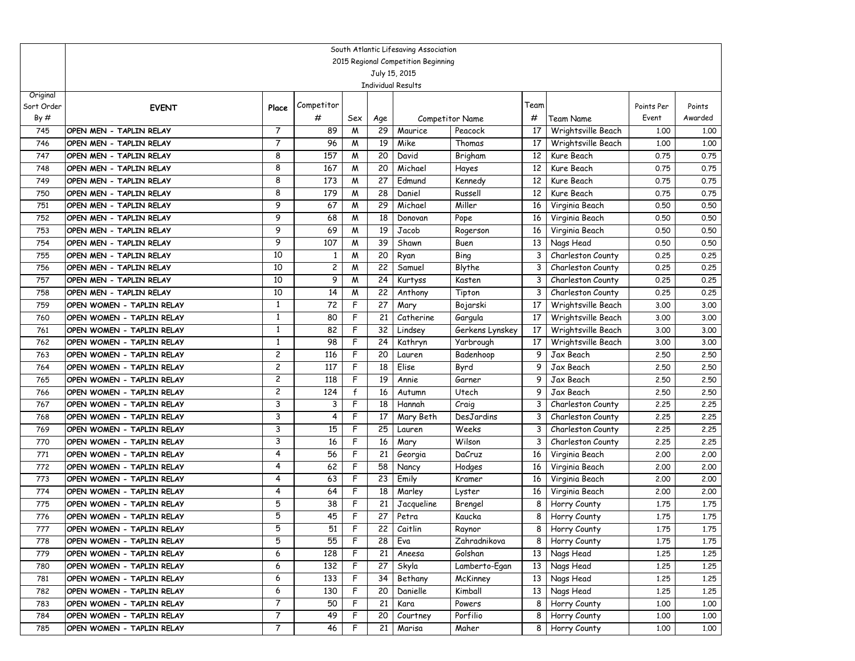|                   | South Atlantic Lifesaving Association                  |                              |                 |             |                       |                                     |                         |                         |                                  |                     |                   |  |
|-------------------|--------------------------------------------------------|------------------------------|-----------------|-------------|-----------------------|-------------------------------------|-------------------------|-------------------------|----------------------------------|---------------------|-------------------|--|
|                   |                                                        |                              |                 |             |                       | 2015 Regional Competition Beginning |                         |                         |                                  |                     |                   |  |
|                   |                                                        |                              |                 |             |                       | July 15, 2015                       |                         |                         |                                  |                     |                   |  |
|                   |                                                        |                              |                 |             |                       | <b>Individual Results</b>           |                         |                         |                                  |                     |                   |  |
| Original          |                                                        |                              | Competitor      |             |                       |                                     |                         | Team                    |                                  |                     |                   |  |
| Sort Order<br>By# | <b>EVENT</b>                                           | Place                        |                 |             |                       |                                     |                         |                         |                                  | Points Per<br>Event | Points<br>Awarded |  |
|                   |                                                        |                              | #               | Sex         | Age                   |                                     | <b>Competitor Name</b>  | #                       | Team Name                        |                     |                   |  |
| 745               | OPEN MEN - TAPLIN RELAY                                | 7                            | 89              | M           | 29                    | Maurice                             | Peacock                 | 17                      | Wrightsville Beach               | 1,00                | 1.00              |  |
| 746               | OPEN MEN - TAPLIN RELAY                                | 7                            | 96              | M           | 19                    | Mike                                | Thomas                  | 17                      | Wrightsville Beach               | 1,00                | 1.00              |  |
| 747               | OPEN MEN - TAPLIN RELAY                                | 8                            | 157             | M           | 20                    | David                               | Brigham                 | 12                      | Kure Beach                       | 0.75                | 0.75              |  |
| 748               | OPEN MEN - TAPLIN RELAY                                | 8                            | 167             | M           | 20                    | Michael                             | Hayes                   | 12                      | Kure Beach                       | 0.75                | 0.75              |  |
| 749               | OPEN MEN - TAPLIN RELAY                                | 8<br>8                       | 173<br>179      | M           | 27<br>$\overline{28}$ | Edmund                              | Kennedy                 | 12                      | Kure Beach                       | 0.75                | 0.75              |  |
| 750               | OPEN MEN - TAPLIN RELAY                                | 9                            |                 | M           | 29                    | Daniel<br>Michael                   | Russell                 | 12                      | Kure Beach                       | 0.75                | 0.75              |  |
| 751               | OPEN MEN - TAPLIN RELAY                                | 9                            | 67              | M           |                       |                                     | Miller                  | 16                      | Virginia Beach                   | 0.50                | 0.50              |  |
| 752               | OPEN MEN - TAPLIN RELAY                                | 9                            | 68              | M           | 18                    | Donovan                             | Pope                    | 16                      | Virginia Beach                   | 0.50                | 0.50              |  |
| 753               | OPEN MEN - TAPLIN RELAY                                | 9                            | 69<br>107       | M           | 19<br>39              | Jacob                               | Rogerson                | 16                      | Virginia Beach                   | 0.50                | 0.50              |  |
| 754               | OPEN MEN - TAPLIN RELAY                                | 10                           |                 | M           |                       | Shawn                               | Buen                    | 13                      | Nags Head                        | 0.50                | 0.50              |  |
| 755               | OPEN MEN - TAPLIN RELAY                                | 10                           | 1               | M           | 20                    | Ryan                                | Bing                    | 3                       | Charleston County                | 0.25                | 0.25              |  |
| 756               | OPEN MEN - TAPLIN RELAY                                |                              | 2               | M           | 22                    | Samuel                              | Blythe                  | 3                       | Charleston County                | 0.25                | 0.25              |  |
| 757               | OPEN MEN - TAPLIN RELAY                                | 10                           | 9               | M           | 24                    | Kurtyss                             | Kasten                  | 3                       | Charleston County                | 0.25                | 0.25              |  |
| 758               | OPEN MEN - TAPLIN RELAY                                | 10                           | 14              | M           | 22                    | Anthony                             | Tipton                  | 3                       | Charleston County                | 0.25                | 0.25              |  |
| 759               | OPEN WOMEN - TAPLIN RELAY                              | 1                            | 72              | F           | 27                    | Mary                                | Bojarski                | 17                      | Wrightsville Beach               | 3.00                | 3.00              |  |
| 760               | OPEN WOMEN - TAPLIN RELAY                              | 1                            | 80              | F<br>F      | 21                    | Catherine                           | Gargula                 | 17                      | Wrightsville Beach               | 3.00                | 3.00              |  |
| 761               | OPEN WOMEN - TAPLIN RELAY                              | 1<br>1                       | 82              |             | 32                    | Lindsey                             | Gerkens Lynskey         | 17                      | Wrightsville Beach               | 3.00                | 3.00              |  |
| 762               | OPEN WOMEN - TAPLIN RELAY                              |                              | 98              | F           | 24                    | Kathryn                             | Yarbrough               | 17                      | Wrightsville Beach               | 3.00                | 3.00              |  |
| 763               | OPEN WOMEN - TAPLIN RELAY                              | 2                            | 116             | F           | 20                    | Lauren                              | Badenhoop               | 9                       | Jax Beach                        | 2,50                | 2.50              |  |
| 764               | OPEN WOMEN - TAPLIN RELAY                              | $\overline{c}$               | 117             | F<br>F      | 18                    | Elise                               | Byrd                    | 9                       | Jax Beach                        | 2.50                | 2.50              |  |
| 765               | OPEN WOMEN - TAPLIN RELAY                              | 2<br>$\overline{\mathbf{c}}$ | 118<br>124      |             | 19                    | Annie                               | Garner                  | 9                       | Jax Beach                        | 2,50                | 2.50              |  |
| 766               | OPEN WOMEN - TAPLIN RELAY                              | 3                            |                 | f<br>F      | 16                    | Autumn                              | Utech                   | 9                       | Jax Beach                        | 2,50                | 2.50              |  |
| 767               | OPEN WOMEN - TAPLIN RELAY                              | 3                            | 3<br>4          | F           | 18                    | Hannah                              | Craig                   | 3                       | Charleston County                | 2.25                | 2.25              |  |
| 768               | OPEN WOMEN - TAPLIN RELAY                              |                              |                 | F           | 17<br>25              | Mary Beth                           | DesJardins              | 3                       | Charleston County                | 2.25                | 2.25              |  |
| 769               | OPEN WOMEN - TAPLIN RELAY                              | 3<br>3                       | 15              | F           |                       | Lauren                              | Weeks<br>Wilson         | 3                       | Charleston County                | 2.25                | 2.25              |  |
| 770               | OPEN WOMEN - TAPLIN RELAY                              | 4                            | 16              | F           | 16                    | Mary                                |                         | 3                       | Charleston County                | 2.25                | 2.25              |  |
| 771<br>772        | OPEN WOMEN - TAPLIN RELAY                              | 4                            | 56<br>62        | F           | 21<br>58              | Georgia<br>Nancy                    | DaCruz<br>Hodges        | 16<br>16                | Virginia Beach<br>Virginia Beach | 2,00<br>2,00        | 2.00<br>2.00      |  |
| 773               | OPEN WOMEN - TAPLIN RELAY<br>OPEN WOMEN - TAPLIN RELAY | 4                            | 63              | F           | 23                    |                                     |                         | 16                      |                                  | 2,00                | 2.00              |  |
| 774               |                                                        | 4                            | 64              | F           | 18                    | Emily<br>Marley                     | Kramer                  | 16                      | Virginia Beach                   | 2,00                | 2.00              |  |
| 775               | OPEN WOMEN - TAPLIN RELAY<br>OPEN WOMEN - TAPLIN RELAY | 5                            | 38              |             | 21                    | Jacqueline                          | Lyster<br>Brengel       | 8                       | Virginia Beach<br>Horry County   | 1.75                | 1.75              |  |
| 776               |                                                        | 5                            | 45              | F           | 27                    |                                     |                         | 8                       |                                  | 1.75                | 1.75              |  |
| 777               | OPEN WOMEN - TAPLIN RELAY                              | 5                            | $\overline{51}$ | $\mathsf F$ |                       | Petra<br>22 Caitlin                 | Kaucka<br>Raynor        | $\overline{\mathbf{8}}$ | Horry County<br>Horry County     | 1.75                | 1.75              |  |
|                   | OPEN WOMEN - TAPLIN RELAY                              | 5                            |                 | F           |                       |                                     |                         |                         |                                  |                     |                   |  |
| 778               | OPEN WOMEN - TAPLIN RELAY                              |                              | 55<br>128       | F           | 28                    | Eva                                 | Zahradnikova<br>Golshan | 8<br>13                 | Horry County                     | 1.75                | 1.75              |  |
| 779               | OPEN WOMEN - TAPLIN RELAY                              | 6                            |                 |             | 21                    | Aneesa                              |                         |                         | Nags Head                        | 1.25                | 1.25              |  |
| 780               | OPEN WOMEN - TAPLIN RELAY                              | 6<br>6                       | 132             | F           | 27                    | Skyla                               | Lamberto-Egan           | 13                      | Nags Head                        | 1.25                | 1.25              |  |
| 781               | OPEN WOMEN - TAPLIN RELAY                              |                              | 133             | F           | 34                    | Bethany                             | McKinney                | 13                      | Nags Head                        | 1.25                | 1.25              |  |
| 782               | OPEN WOMEN - TAPLIN RELAY                              | 6<br>7                       | 130             | F           | 20                    | Danielle                            | Kimball                 | 13                      | Nags Head                        | 1.25                | 1.25              |  |
| 783               | OPEN WOMEN - TAPLIN RELAY                              | 7                            | 50              | F           | 21                    | Kara                                | Powers                  | 8                       | Horry County                     | 1.00                | 1.00              |  |
| 784               | OPEN WOMEN - TAPLIN RELAY                              |                              | 49              | F           | 20                    | Courtney                            | Porfilio                | 8                       | Horry County                     | 1.00                | 1.00              |  |
| 785               | OPEN WOMEN - TAPLIN RELAY                              | 7                            | 46              | F           | 21                    | Marisa                              | Maher                   | 8                       | Horry County                     | 1.00                | 1.00              |  |